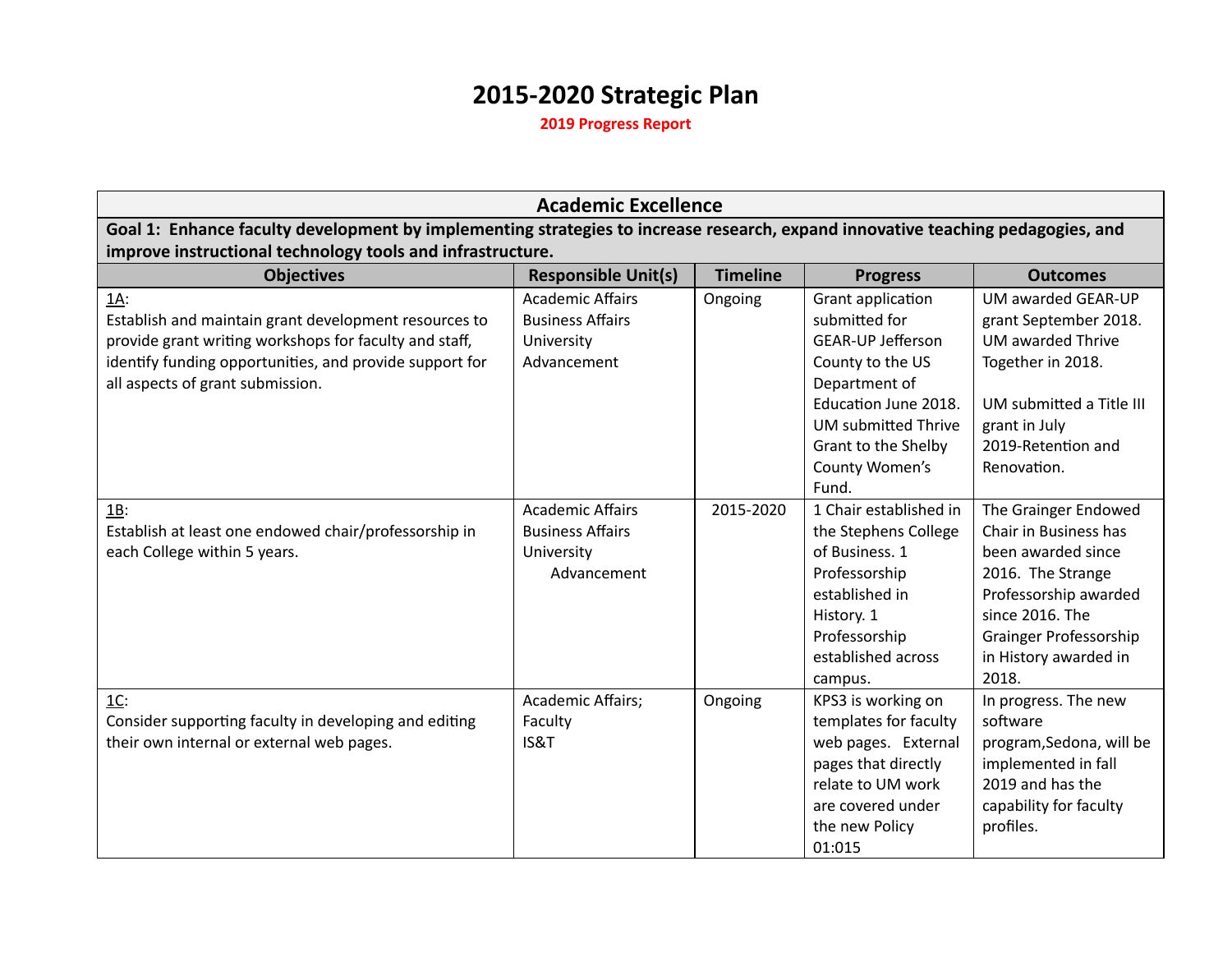## **2015-2020 Strategic Plan**

**2019 Progress Report**

|                                                                                                                                 | <b>Academic Excellence</b> |                 |                            |                          |  |  |
|---------------------------------------------------------------------------------------------------------------------------------|----------------------------|-----------------|----------------------------|--------------------------|--|--|
| Goal 1: Enhance faculty development by implementing strategies to increase research, expand innovative teaching pedagogies, and |                            |                 |                            |                          |  |  |
| improve instructional technology tools and infrastructure.                                                                      |                            |                 |                            |                          |  |  |
| <b>Objectives</b>                                                                                                               | <b>Responsible Unit(s)</b> | <b>Timeline</b> | <b>Progress</b>            | <b>Outcomes</b>          |  |  |
| 1A:                                                                                                                             | <b>Academic Affairs</b>    | Ongoing         | Grant application          | UM awarded GEAR-UP       |  |  |
| Establish and maintain grant development resources to                                                                           | <b>Business Affairs</b>    |                 | submitted for              | grant September 2018.    |  |  |
| provide grant writing workshops for faculty and staff,                                                                          | University                 |                 | <b>GEAR-UP Jefferson</b>   | <b>UM awarded Thrive</b> |  |  |
| identify funding opportunities, and provide support for                                                                         | Advancement                |                 | County to the US           | Together in 2018.        |  |  |
| all aspects of grant submission.                                                                                                |                            |                 | Department of              |                          |  |  |
|                                                                                                                                 |                            |                 | Education June 2018.       | UM submitted a Title III |  |  |
|                                                                                                                                 |                            |                 | <b>UM submitted Thrive</b> | grant in July            |  |  |
|                                                                                                                                 |                            |                 | Grant to the Shelby        | 2019-Retention and       |  |  |
|                                                                                                                                 |                            |                 | County Women's             | Renovation.              |  |  |
|                                                                                                                                 |                            |                 | Fund.                      |                          |  |  |
| $1B$ :                                                                                                                          | <b>Academic Affairs</b>    | 2015-2020       | 1 Chair established in     | The Grainger Endowed     |  |  |
| Establish at least one endowed chair/professorship in                                                                           | <b>Business Affairs</b>    |                 | the Stephens College       | Chair in Business has    |  |  |
| each College within 5 years.                                                                                                    | University                 |                 | of Business. 1             | been awarded since       |  |  |
|                                                                                                                                 | Advancement                |                 | Professorship              | 2016. The Strange        |  |  |
|                                                                                                                                 |                            |                 | established in             | Professorship awarded    |  |  |
|                                                                                                                                 |                            |                 | History. 1                 | since 2016. The          |  |  |
|                                                                                                                                 |                            |                 | Professorship              | Grainger Professorship   |  |  |
|                                                                                                                                 |                            |                 | established across         | in History awarded in    |  |  |
|                                                                                                                                 |                            |                 | campus.                    | 2018.                    |  |  |
| $\underline{1}\underline{C}$ :                                                                                                  | Academic Affairs;          | Ongoing         | KPS3 is working on         | In progress. The new     |  |  |
| Consider supporting faculty in developing and editing                                                                           | Faculty                    |                 | templates for faculty      | software                 |  |  |
| their own internal or external web pages.                                                                                       | IS&T                       |                 | web pages. External        | program, Sedona, will be |  |  |
|                                                                                                                                 |                            |                 | pages that directly        | implemented in fall      |  |  |
|                                                                                                                                 |                            |                 | relate to UM work          | 2019 and has the         |  |  |
|                                                                                                                                 |                            |                 | are covered under          | capability for faculty   |  |  |
|                                                                                                                                 |                            |                 | the new Policy             | profiles.                |  |  |
|                                                                                                                                 |                            |                 | 01:015                     |                          |  |  |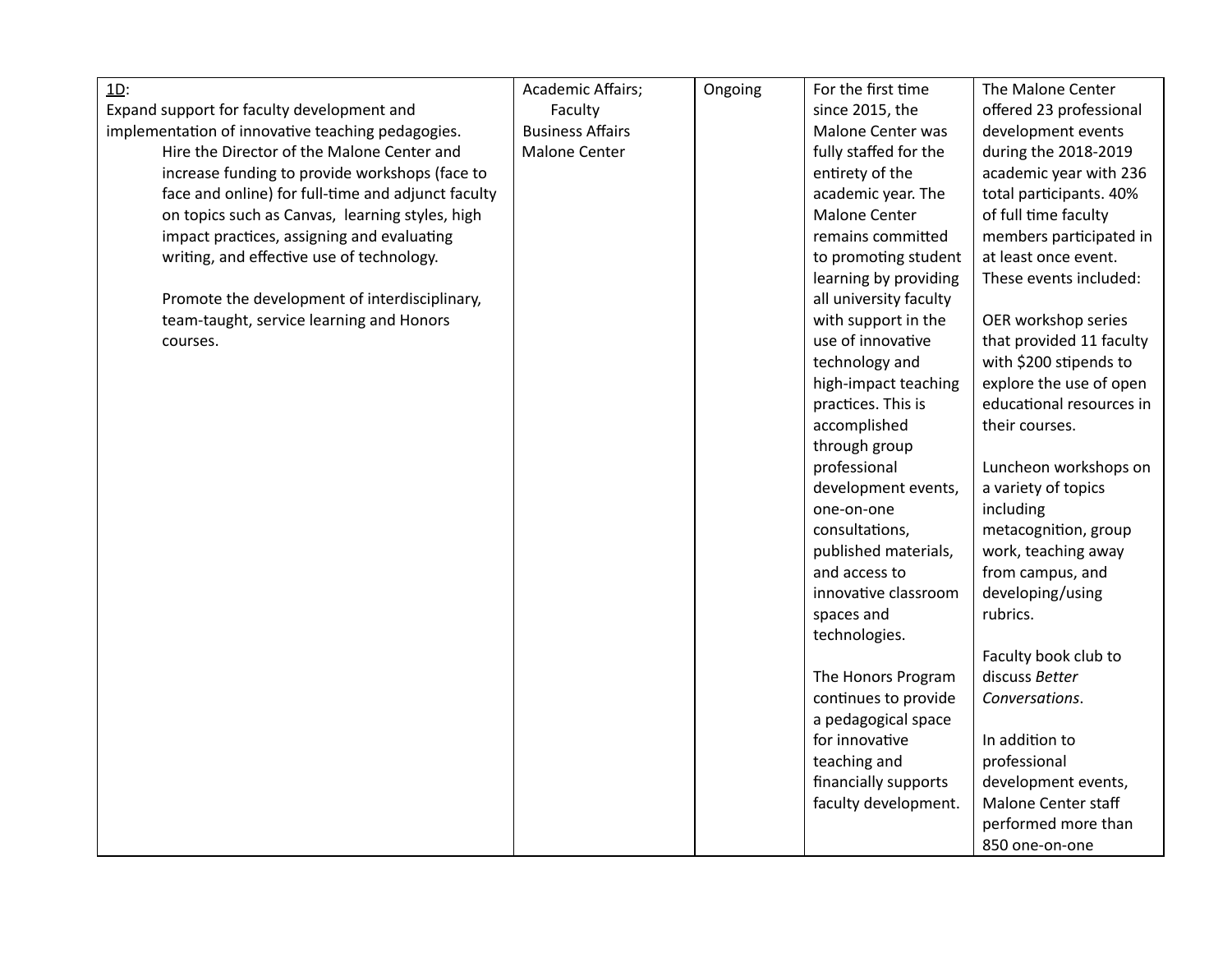| $\underline{1D}$ :                                 | Academic Affairs;       | Ongoing | For the first time     | The Malone Center        |
|----------------------------------------------------|-------------------------|---------|------------------------|--------------------------|
| Expand support for faculty development and         | Faculty                 |         | since 2015, the        | offered 23 professional  |
| implementation of innovative teaching pedagogies.  | <b>Business Affairs</b> |         | Malone Center was      | development events       |
| Hire the Director of the Malone Center and         | Malone Center           |         | fully staffed for the  | during the 2018-2019     |
| increase funding to provide workshops (face to     |                         |         | entirety of the        | academic year with 236   |
| face and online) for full-time and adjunct faculty |                         |         | academic year. The     | total participants. 40%  |
| on topics such as Canvas, learning styles, high    |                         |         | <b>Malone Center</b>   | of full time faculty     |
| impact practices, assigning and evaluating         |                         |         | remains committed      | members participated in  |
| writing, and effective use of technology.          |                         |         | to promoting student   | at least once event.     |
|                                                    |                         |         | learning by providing  | These events included:   |
| Promote the development of interdisciplinary,      |                         |         | all university faculty |                          |
| team-taught, service learning and Honors           |                         |         | with support in the    | OER workshop series      |
| courses.                                           |                         |         | use of innovative      | that provided 11 faculty |
|                                                    |                         |         | technology and         | with \$200 stipends to   |
|                                                    |                         |         | high-impact teaching   | explore the use of open  |
|                                                    |                         |         | practices. This is     | educational resources in |
|                                                    |                         |         | accomplished           | their courses.           |
|                                                    |                         |         | through group          |                          |
|                                                    |                         |         | professional           | Luncheon workshops on    |
|                                                    |                         |         | development events,    | a variety of topics      |
|                                                    |                         |         | one-on-one             | including                |
|                                                    |                         |         | consultations,         | metacognition, group     |
|                                                    |                         |         | published materials,   | work, teaching away      |
|                                                    |                         |         | and access to          | from campus, and         |
|                                                    |                         |         | innovative classroom   | developing/using         |
|                                                    |                         |         | spaces and             | rubrics.                 |
|                                                    |                         |         | technologies.          |                          |
|                                                    |                         |         |                        | Faculty book club to     |
|                                                    |                         |         | The Honors Program     | discuss Better           |
|                                                    |                         |         | continues to provide   | Conversations.           |
|                                                    |                         |         | a pedagogical space    |                          |
|                                                    |                         |         | for innovative         | In addition to           |
|                                                    |                         |         | teaching and           | professional             |
|                                                    |                         |         | financially supports   | development events,      |
|                                                    |                         |         | faculty development.   | Malone Center staff      |
|                                                    |                         |         |                        | performed more than      |
|                                                    |                         |         |                        | 850 one-on-one           |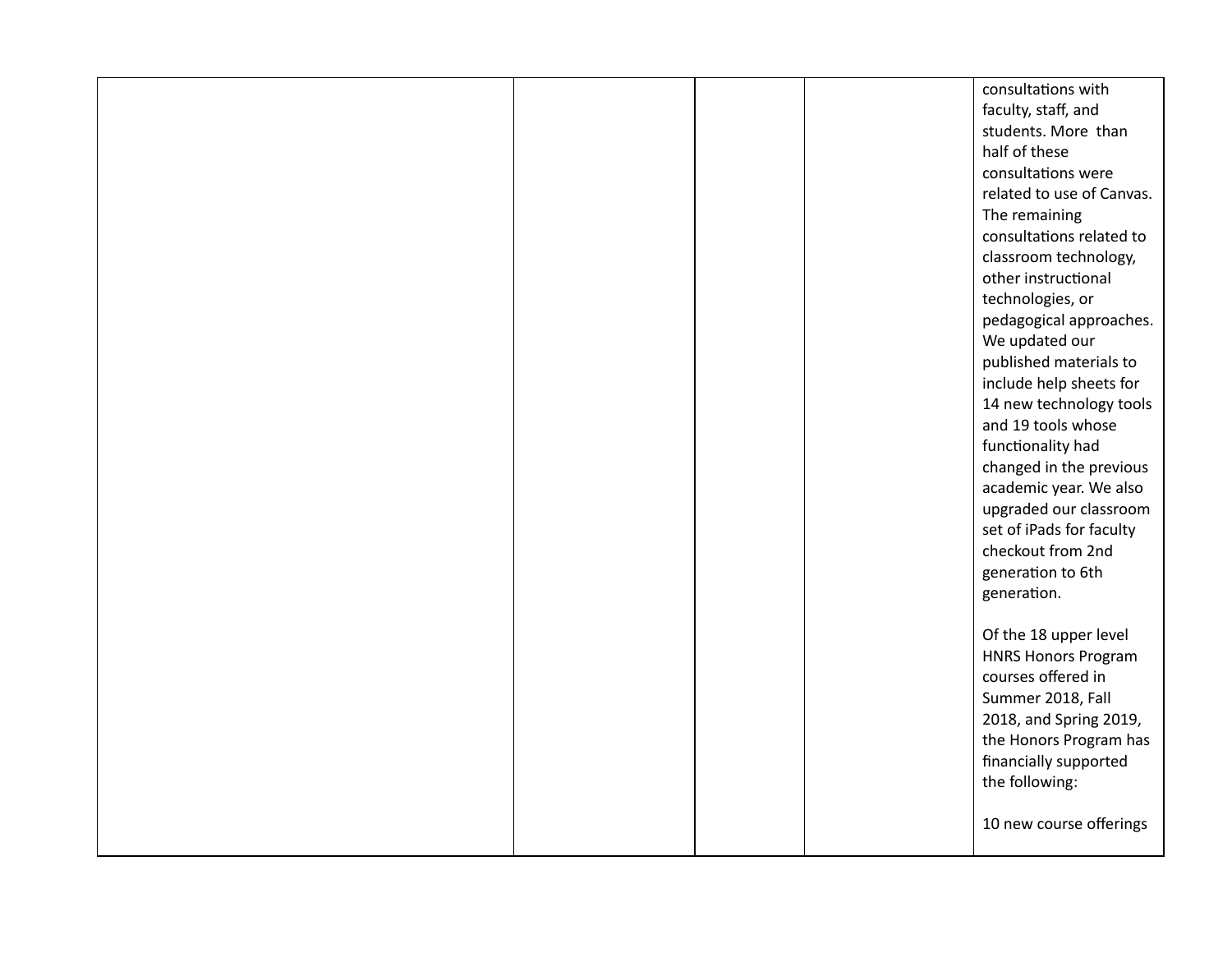|  |  | consultations with         |
|--|--|----------------------------|
|  |  | faculty, staff, and        |
|  |  | students. More than        |
|  |  | half of these              |
|  |  | consultations were         |
|  |  | related to use of Canvas.  |
|  |  | The remaining              |
|  |  | consultations related to   |
|  |  | classroom technology,      |
|  |  | other instructional        |
|  |  | technologies, or           |
|  |  | pedagogical approaches.    |
|  |  | We updated our             |
|  |  | published materials to     |
|  |  | include help sheets for    |
|  |  | 14 new technology tools    |
|  |  | and 19 tools whose         |
|  |  | functionality had          |
|  |  | changed in the previous    |
|  |  | academic year. We also     |
|  |  | upgraded our classroom     |
|  |  | set of iPads for faculty   |
|  |  | checkout from 2nd          |
|  |  | generation to 6th          |
|  |  | generation.                |
|  |  |                            |
|  |  | Of the 18 upper level      |
|  |  | <b>HNRS Honors Program</b> |
|  |  | courses offered in         |
|  |  |                            |
|  |  | Summer 2018, Fall          |
|  |  | 2018, and Spring 2019,     |
|  |  | the Honors Program has     |
|  |  | financially supported      |
|  |  | the following:             |
|  |  |                            |
|  |  | 10 new course offerings    |
|  |  |                            |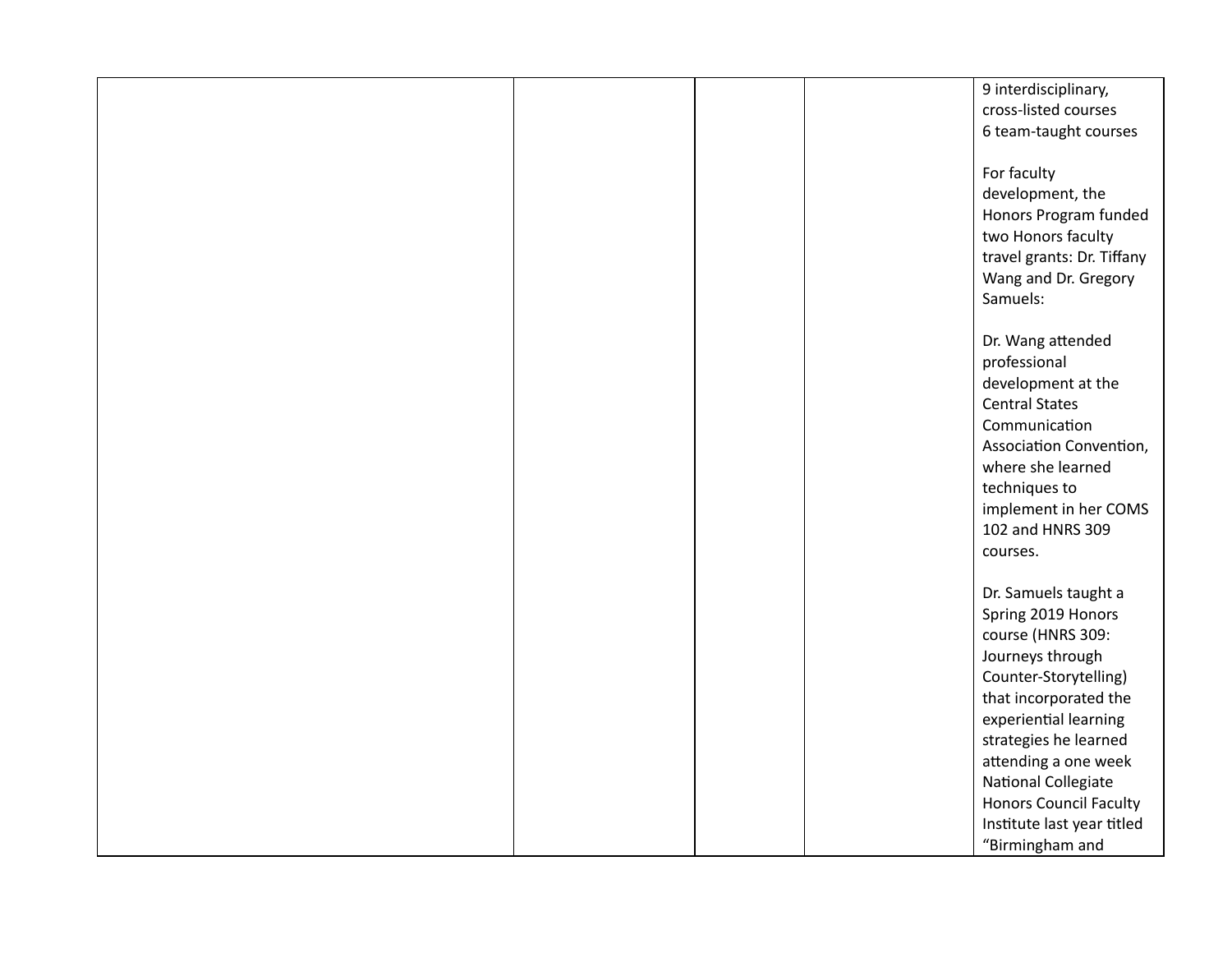|  | 9 interdisciplinary,          |
|--|-------------------------------|
|  | cross-listed courses          |
|  | 6 team-taught courses         |
|  |                               |
|  | For faculty                   |
|  | development, the              |
|  | Honors Program funded         |
|  | two Honors faculty            |
|  | travel grants: Dr. Tiffany    |
|  | Wang and Dr. Gregory          |
|  | Samuels:                      |
|  |                               |
|  | Dr. Wang attended             |
|  | professional                  |
|  | development at the            |
|  | <b>Central States</b>         |
|  | Communication                 |
|  | Association Convention,       |
|  | where she learned             |
|  |                               |
|  | techniques to                 |
|  | implement in her COMS         |
|  | 102 and HNRS 309              |
|  | courses.                      |
|  |                               |
|  | Dr. Samuels taught a          |
|  | Spring 2019 Honors            |
|  | course (HNRS 309:             |
|  | Journeys through              |
|  | Counter-Storytelling)         |
|  | that incorporated the         |
|  | experiential learning         |
|  | strategies he learned         |
|  | attending a one week          |
|  | National Collegiate           |
|  | <b>Honors Council Faculty</b> |
|  | Institute last year titled    |
|  | "Birmingham and               |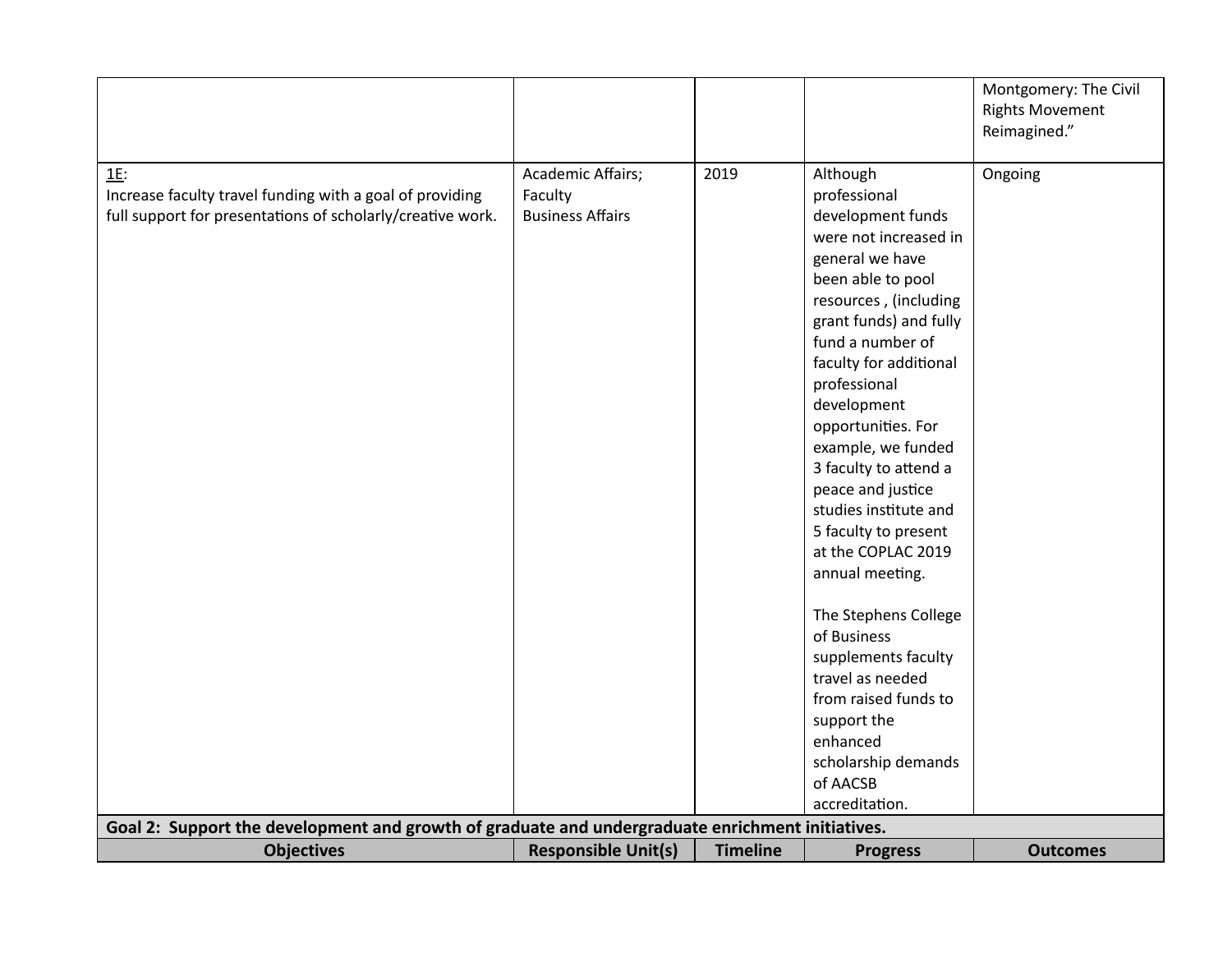|                                                                                                  |                            |                 |                                            | Montgomery: The Civil  |
|--------------------------------------------------------------------------------------------------|----------------------------|-----------------|--------------------------------------------|------------------------|
|                                                                                                  |                            |                 |                                            | <b>Rights Movement</b> |
|                                                                                                  |                            |                 |                                            | Reimagined."           |
|                                                                                                  |                            |                 |                                            |                        |
| $1E$ :                                                                                           | Academic Affairs;          | 2019            | Although                                   | Ongoing                |
| Increase faculty travel funding with a goal of providing                                         | Faculty                    |                 | professional                               |                        |
| full support for presentations of scholarly/creative work.                                       | <b>Business Affairs</b>    |                 | development funds                          |                        |
|                                                                                                  |                            |                 | were not increased in                      |                        |
|                                                                                                  |                            |                 | general we have                            |                        |
|                                                                                                  |                            |                 | been able to pool                          |                        |
|                                                                                                  |                            |                 | resources, (including                      |                        |
|                                                                                                  |                            |                 | grant funds) and fully                     |                        |
|                                                                                                  |                            |                 | fund a number of                           |                        |
|                                                                                                  |                            |                 | faculty for additional                     |                        |
|                                                                                                  |                            |                 | professional                               |                        |
|                                                                                                  |                            |                 | development                                |                        |
|                                                                                                  |                            |                 | opportunities. For                         |                        |
|                                                                                                  |                            |                 | example, we funded                         |                        |
|                                                                                                  |                            |                 | 3 faculty to attend a                      |                        |
|                                                                                                  |                            |                 | peace and justice                          |                        |
|                                                                                                  |                            |                 | studies institute and                      |                        |
|                                                                                                  |                            |                 | 5 faculty to present<br>at the COPLAC 2019 |                        |
|                                                                                                  |                            |                 |                                            |                        |
|                                                                                                  |                            |                 | annual meeting.                            |                        |
|                                                                                                  |                            |                 | The Stephens College                       |                        |
|                                                                                                  |                            |                 | of Business                                |                        |
|                                                                                                  |                            |                 | supplements faculty                        |                        |
|                                                                                                  |                            |                 | travel as needed                           |                        |
|                                                                                                  |                            |                 | from raised funds to                       |                        |
|                                                                                                  |                            |                 | support the                                |                        |
|                                                                                                  |                            |                 | enhanced                                   |                        |
|                                                                                                  |                            |                 | scholarship demands                        |                        |
|                                                                                                  |                            |                 | of AACSB                                   |                        |
|                                                                                                  |                            |                 | accreditation.                             |                        |
| Goal 2: Support the development and growth of graduate and undergraduate enrichment initiatives. |                            |                 |                                            |                        |
| <b>Objectives</b>                                                                                | <b>Responsible Unit(s)</b> | <b>Timeline</b> | <b>Progress</b>                            | <b>Outcomes</b>        |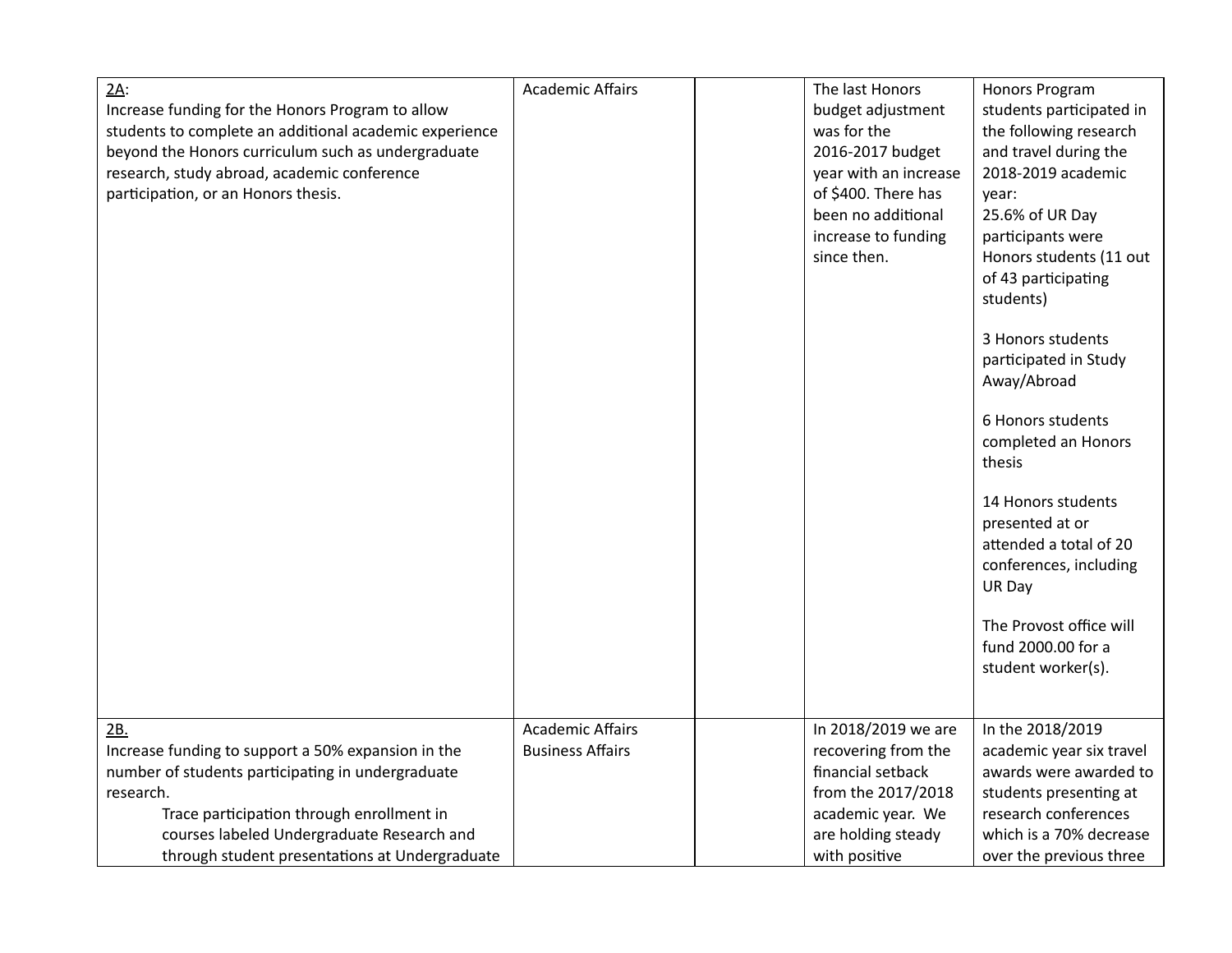| $2A$ :                                                 | <b>Academic Affairs</b> | The last Honors       | Honors Program           |
|--------------------------------------------------------|-------------------------|-----------------------|--------------------------|
| Increase funding for the Honors Program to allow       |                         | budget adjustment     | students participated in |
| students to complete an additional academic experience |                         | was for the           | the following research   |
| beyond the Honors curriculum such as undergraduate     |                         | 2016-2017 budget      | and travel during the    |
| research, study abroad, academic conference            |                         | year with an increase | 2018-2019 academic       |
| participation, or an Honors thesis.                    |                         | of \$400. There has   | year:                    |
|                                                        |                         | been no additional    | 25.6% of UR Day          |
|                                                        |                         | increase to funding   | participants were        |
|                                                        |                         | since then.           | Honors students (11 out  |
|                                                        |                         |                       | of 43 participating      |
|                                                        |                         |                       | students)                |
|                                                        |                         |                       |                          |
|                                                        |                         |                       | 3 Honors students        |
|                                                        |                         |                       | participated in Study    |
|                                                        |                         |                       | Away/Abroad              |
|                                                        |                         |                       |                          |
|                                                        |                         |                       | 6 Honors students        |
|                                                        |                         |                       | completed an Honors      |
|                                                        |                         |                       | thesis                   |
|                                                        |                         |                       | 14 Honors students       |
|                                                        |                         |                       | presented at or          |
|                                                        |                         |                       | attended a total of 20   |
|                                                        |                         |                       | conferences, including   |
|                                                        |                         |                       | UR Day                   |
|                                                        |                         |                       |                          |
|                                                        |                         |                       | The Provost office will  |
|                                                        |                         |                       | fund 2000.00 for a       |
|                                                        |                         |                       | student worker(s).       |
|                                                        |                         |                       |                          |
|                                                        |                         |                       |                          |
| 2B.                                                    | <b>Academic Affairs</b> | In 2018/2019 we are   | In the 2018/2019         |
| Increase funding to support a 50% expansion in the     | <b>Business Affairs</b> | recovering from the   | academic year six travel |
| number of students participating in undergraduate      |                         | financial setback     | awards were awarded to   |
| research.                                              |                         | from the 2017/2018    | students presenting at   |
| Trace participation through enrollment in              |                         | academic year. We     | research conferences     |
| courses labeled Undergraduate Research and             |                         | are holding steady    | which is a 70% decrease  |
| through student presentations at Undergraduate         |                         | with positive         | over the previous three  |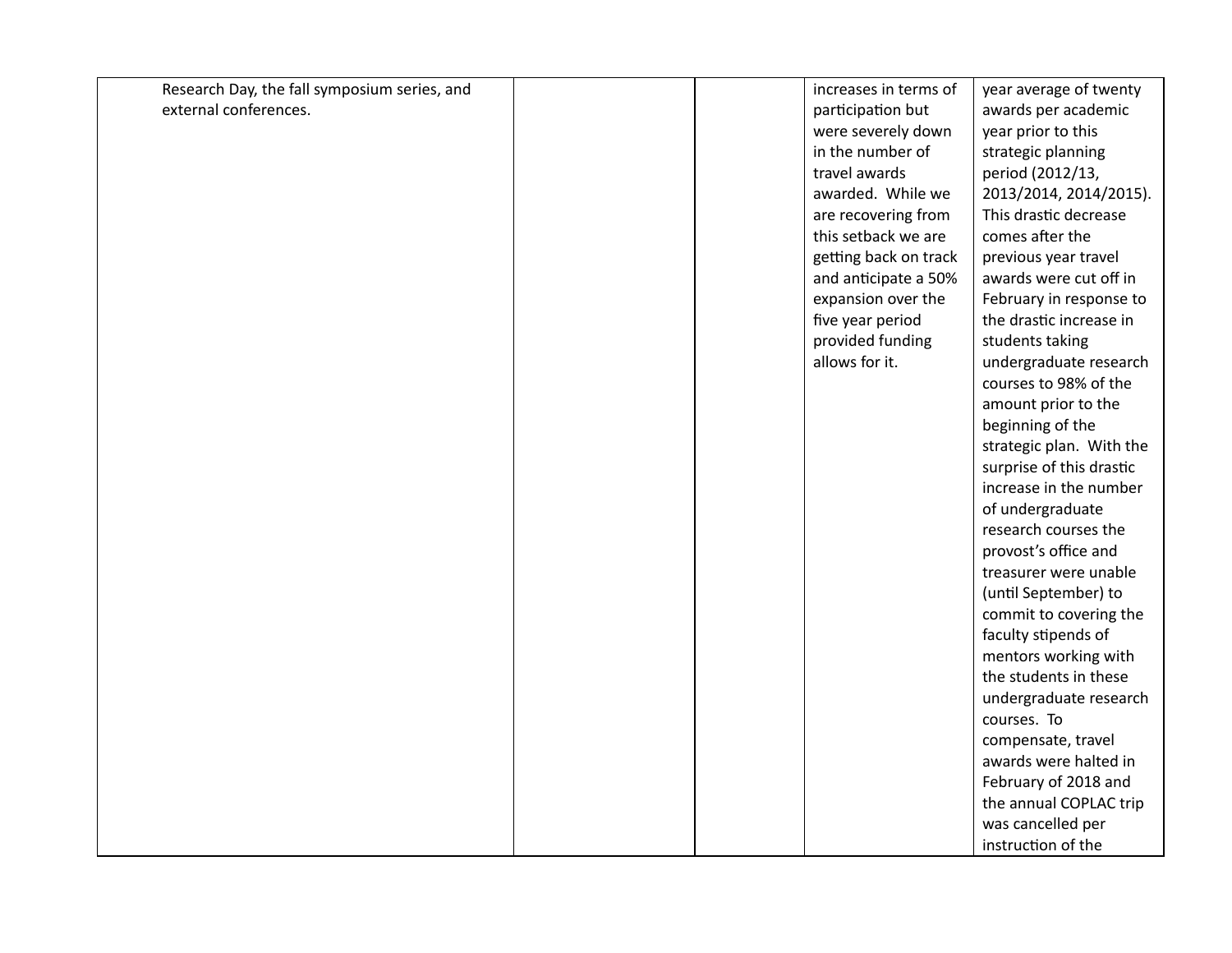| Research Day, the fall symposium series, and |  |
|----------------------------------------------|--|
| external conferences.                        |  |

increases in terms of participation but were severely down in the number of travel awards awarded. While we are recovering from this setback we are getting back on track and anticipate a 50% expansion over the five year period provided funding allows for it.

year average of twenty awards per academic year prior to this strategic planning period (2012/13, 2013/2014, 2014/2015). This drastic decrease comes after the previous year travel awards were cut off in February in response to the drastic increase in students taking undergraduate research courses to 98% of the amount prior to the beginning of the strategic plan. With the surprise of this drastic increase in the number of undergraduate research courses the provost's office and treasurer were unable (until September) to commit to covering the faculty stipends of mentors working with the students in these undergraduate research courses. To compensate, travel awards were halted in February of 2018 and the annual COPLAC trip was cancelled per instruction of the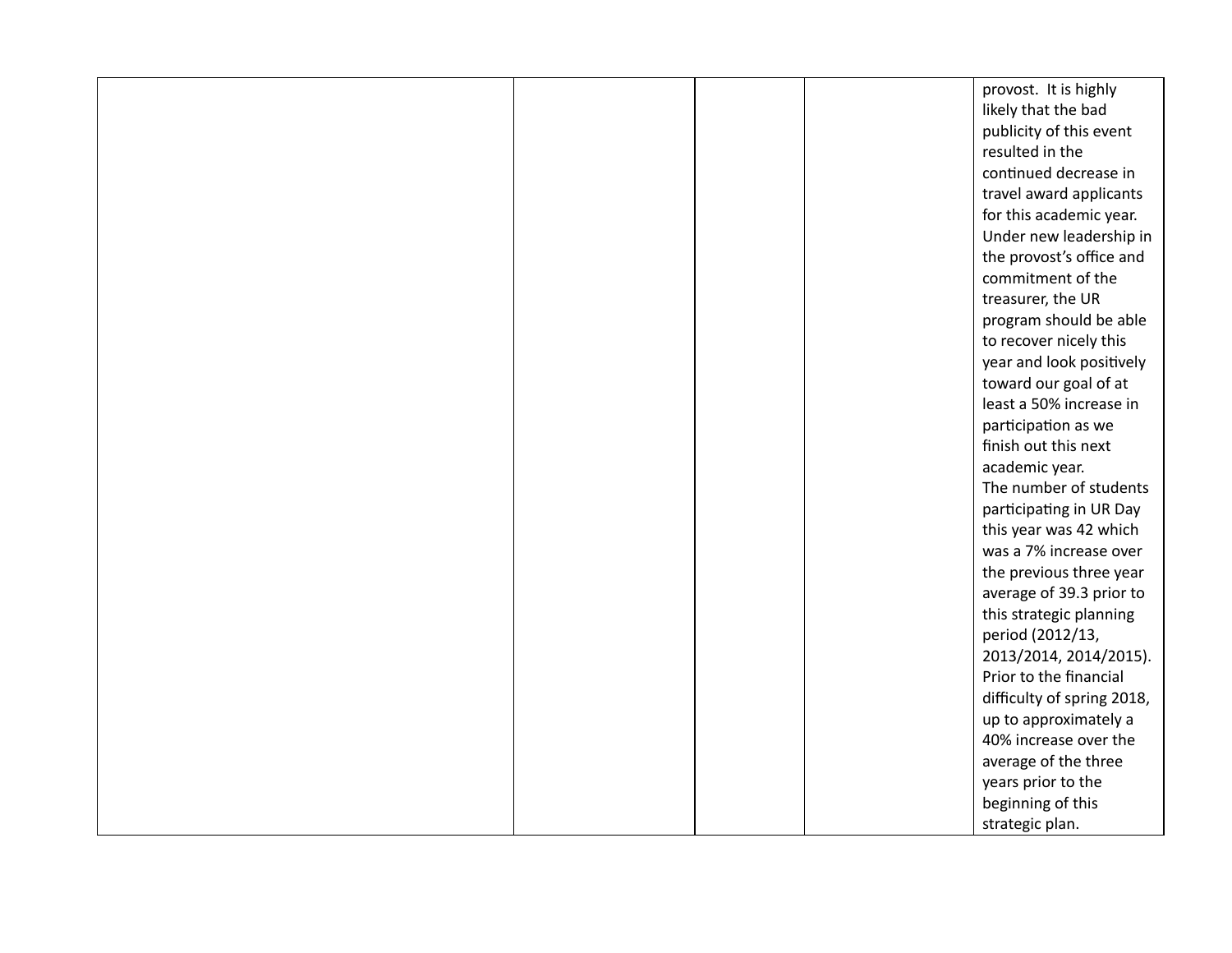|  |  | provost. It is highly      |
|--|--|----------------------------|
|  |  | likely that the bad        |
|  |  | publicity of this event    |
|  |  | resulted in the            |
|  |  | continued decrease in      |
|  |  | travel award applicants    |
|  |  | for this academic year.    |
|  |  | Under new leadership in    |
|  |  | the provost's office and   |
|  |  | commitment of the          |
|  |  | treasurer, the UR          |
|  |  | program should be able     |
|  |  | to recover nicely this     |
|  |  | year and look positively   |
|  |  | toward our goal of at      |
|  |  | least a 50% increase in    |
|  |  | participation as we        |
|  |  | finish out this next       |
|  |  | academic year.             |
|  |  | The number of students     |
|  |  | participating in UR Day    |
|  |  | this year was 42 which     |
|  |  | was a 7% increase over     |
|  |  | the previous three year    |
|  |  | average of 39.3 prior to   |
|  |  | this strategic planning    |
|  |  | period (2012/13,           |
|  |  | 2013/2014, 2014/2015).     |
|  |  | Prior to the financial     |
|  |  | difficulty of spring 2018, |
|  |  | up to approximately a      |
|  |  | 40% increase over the      |
|  |  | average of the three       |
|  |  | years prior to the         |
|  |  | beginning of this          |
|  |  | strategic plan.            |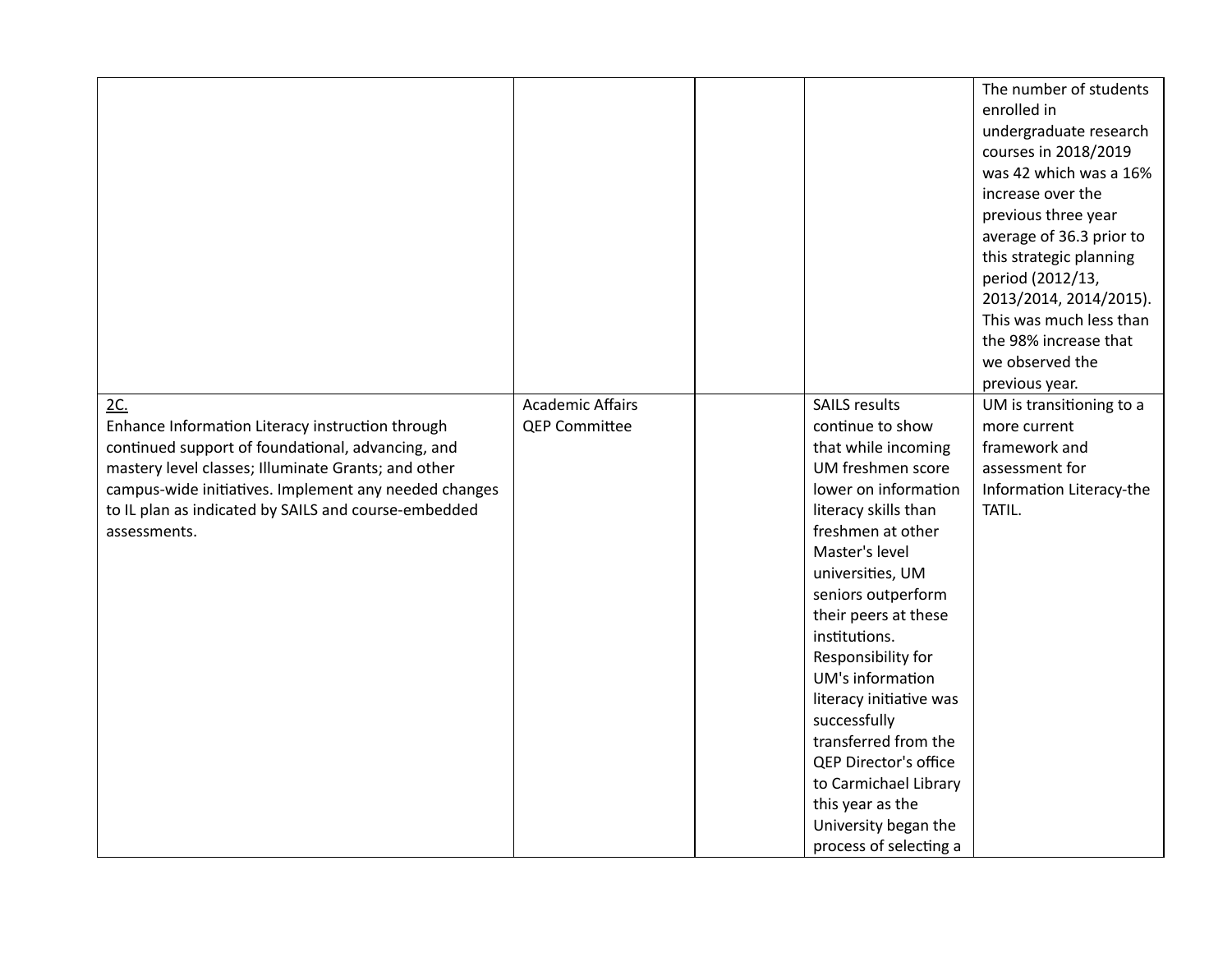| 2C.                                                   | <b>Academic Affairs</b> | <b>SAILS results</b>                  | The number of students<br>enrolled in<br>undergraduate research<br>courses in 2018/2019<br>was 42 which was a 16%<br>increase over the<br>previous three year<br>average of 36.3 prior to<br>this strategic planning<br>period (2012/13,<br>2013/2014, 2014/2015).<br>This was much less than<br>the 98% increase that<br>we observed the<br>previous year.<br>UM is transitioning to a |
|-------------------------------------------------------|-------------------------|---------------------------------------|-----------------------------------------------------------------------------------------------------------------------------------------------------------------------------------------------------------------------------------------------------------------------------------------------------------------------------------------------------------------------------------------|
| Enhance Information Literacy instruction through      | <b>QEP Committee</b>    | continue to show                      | more current                                                                                                                                                                                                                                                                                                                                                                            |
| continued support of foundational, advancing, and     |                         | that while incoming                   | framework and                                                                                                                                                                                                                                                                                                                                                                           |
| mastery level classes; Illuminate Grants; and other   |                         | UM freshmen score                     | assessment for                                                                                                                                                                                                                                                                                                                                                                          |
| campus-wide initiatives. Implement any needed changes |                         | lower on information                  | Information Literacy-the                                                                                                                                                                                                                                                                                                                                                                |
| to IL plan as indicated by SAILS and course-embedded  |                         | literacy skills than                  | TATIL.                                                                                                                                                                                                                                                                                                                                                                                  |
| assessments.                                          |                         | freshmen at other                     |                                                                                                                                                                                                                                                                                                                                                                                         |
|                                                       |                         | Master's level                        |                                                                                                                                                                                                                                                                                                                                                                                         |
|                                                       |                         | universities, UM                      |                                                                                                                                                                                                                                                                                                                                                                                         |
|                                                       |                         | seniors outperform                    |                                                                                                                                                                                                                                                                                                                                                                                         |
|                                                       |                         | their peers at these<br>institutions. |                                                                                                                                                                                                                                                                                                                                                                                         |
|                                                       |                         | Responsibility for                    |                                                                                                                                                                                                                                                                                                                                                                                         |
|                                                       |                         | UM's information                      |                                                                                                                                                                                                                                                                                                                                                                                         |
|                                                       |                         | literacy initiative was               |                                                                                                                                                                                                                                                                                                                                                                                         |
|                                                       |                         | successfully                          |                                                                                                                                                                                                                                                                                                                                                                                         |
|                                                       |                         | transferred from the                  |                                                                                                                                                                                                                                                                                                                                                                                         |
|                                                       |                         | QEP Director's office                 |                                                                                                                                                                                                                                                                                                                                                                                         |
|                                                       |                         | to Carmichael Library                 |                                                                                                                                                                                                                                                                                                                                                                                         |
|                                                       |                         | this year as the                      |                                                                                                                                                                                                                                                                                                                                                                                         |
|                                                       |                         | University began the                  |                                                                                                                                                                                                                                                                                                                                                                                         |
|                                                       |                         | process of selecting a                |                                                                                                                                                                                                                                                                                                                                                                                         |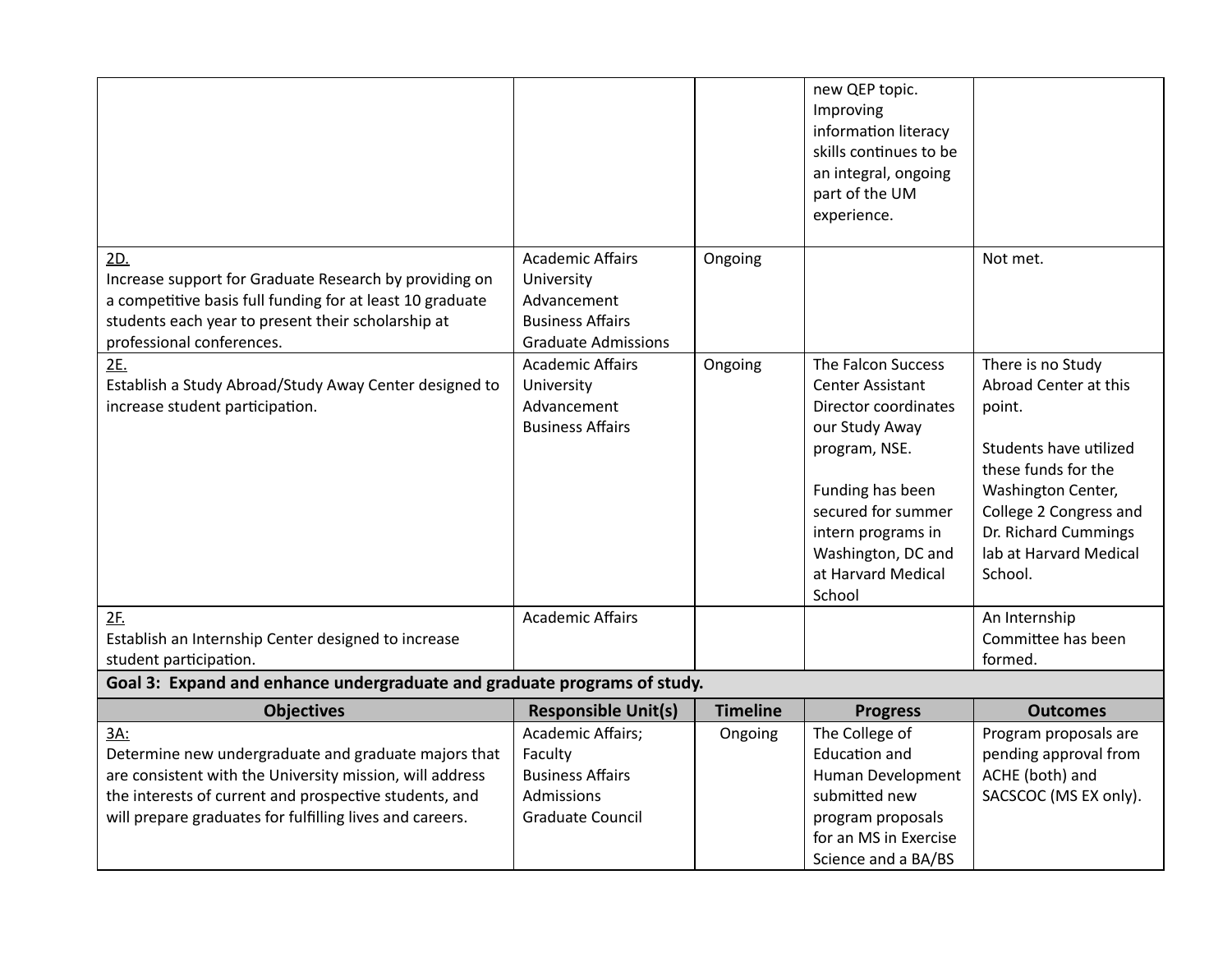|                                                                                                                                                                                                                                               |                                                                                                               |                 | new QEP topic.<br>Improving<br>information literacy<br>skills continues to be<br>an integral, ongoing<br>part of the UM<br>experience.                                                                                  |                                                                                                                                                                                                                    |
|-----------------------------------------------------------------------------------------------------------------------------------------------------------------------------------------------------------------------------------------------|---------------------------------------------------------------------------------------------------------------|-----------------|-------------------------------------------------------------------------------------------------------------------------------------------------------------------------------------------------------------------------|--------------------------------------------------------------------------------------------------------------------------------------------------------------------------------------------------------------------|
| 2D.<br>Increase support for Graduate Research by providing on<br>a competitive basis full funding for at least 10 graduate<br>students each year to present their scholarship at<br>professional conferences.                                 | <b>Academic Affairs</b><br>University<br>Advancement<br><b>Business Affairs</b><br><b>Graduate Admissions</b> | Ongoing         |                                                                                                                                                                                                                         | Not met.                                                                                                                                                                                                           |
| 2E.<br>Establish a Study Abroad/Study Away Center designed to<br>increase student participation.                                                                                                                                              | <b>Academic Affairs</b><br>University<br>Advancement<br><b>Business Affairs</b>                               | Ongoing         | The Falcon Success<br>Center Assistant<br>Director coordinates<br>our Study Away<br>program, NSE.<br>Funding has been<br>secured for summer<br>intern programs in<br>Washington, DC and<br>at Harvard Medical<br>School | There is no Study<br>Abroad Center at this<br>point.<br>Students have utilized<br>these funds for the<br>Washington Center,<br>College 2 Congress and<br>Dr. Richard Cummings<br>lab at Harvard Medical<br>School. |
| 2F.<br>Establish an Internship Center designed to increase<br>student participation.                                                                                                                                                          | <b>Academic Affairs</b>                                                                                       |                 |                                                                                                                                                                                                                         | An Internship<br>Committee has been<br>formed.                                                                                                                                                                     |
| Goal 3: Expand and enhance undergraduate and graduate programs of study.                                                                                                                                                                      |                                                                                                               |                 |                                                                                                                                                                                                                         |                                                                                                                                                                                                                    |
| <b>Objectives</b>                                                                                                                                                                                                                             | <b>Responsible Unit(s)</b>                                                                                    | <b>Timeline</b> | <b>Progress</b>                                                                                                                                                                                                         | <b>Outcomes</b>                                                                                                                                                                                                    |
| 3A:<br>Determine new undergraduate and graduate majors that<br>are consistent with the University mission, will address<br>the interests of current and prospective students, and<br>will prepare graduates for fulfilling lives and careers. | Academic Affairs;<br>Faculty<br><b>Business Affairs</b><br>Admissions<br>Graduate Council                     | Ongoing         | The College of<br><b>Education and</b><br>Human Development<br>submitted new<br>program proposals<br>for an MS in Exercise<br>Science and a BA/BS                                                                       | Program proposals are<br>pending approval from<br>ACHE (both) and<br>SACSCOC (MS EX only).                                                                                                                         |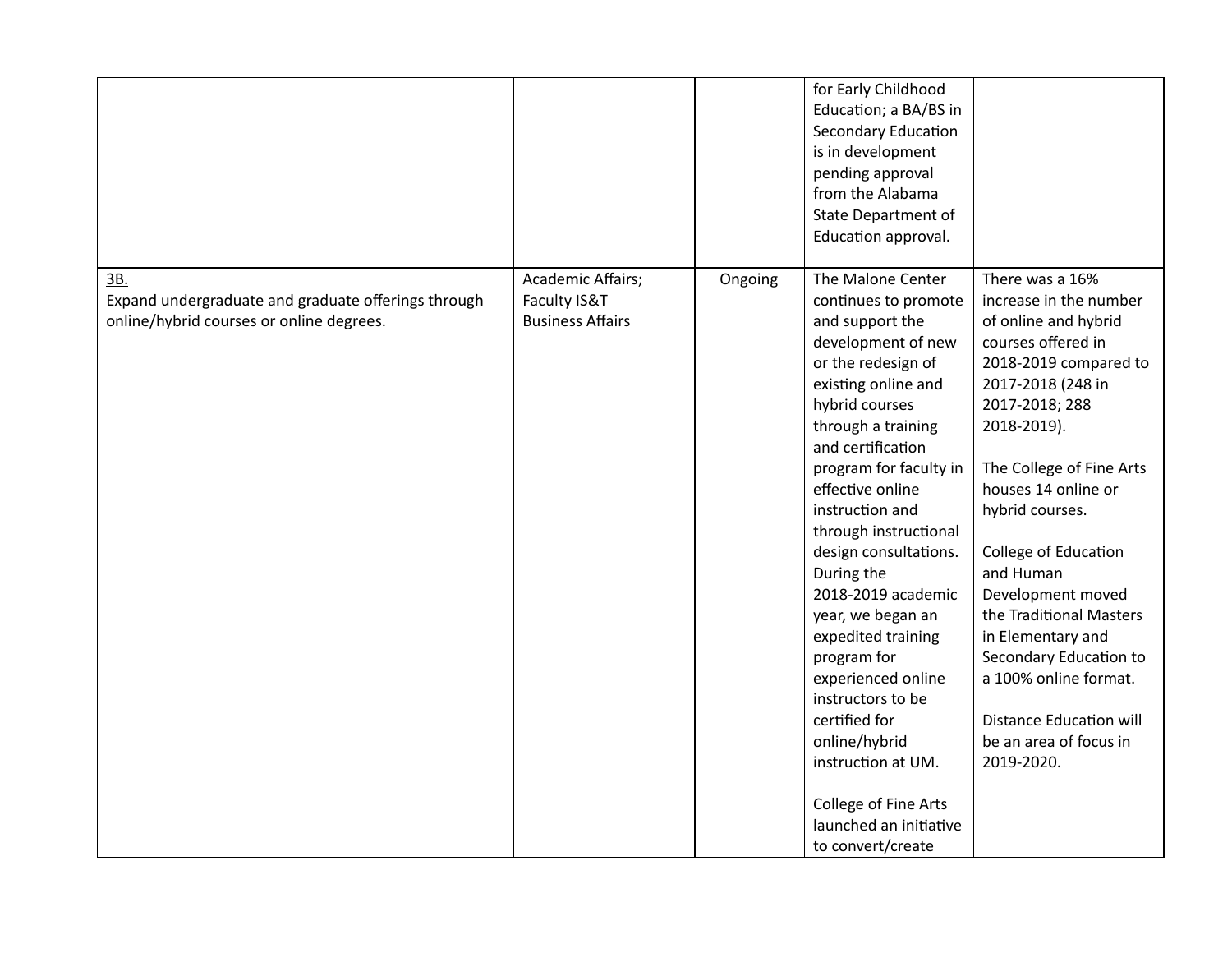|                                                                                                        |                                                              |         | for Early Childhood<br>Education; a BA/BS in<br><b>Secondary Education</b><br>is in development<br>pending approval<br>from the Alabama<br>State Department of<br>Education approval.                                                                                                                                                                                                                                                                                                                                                                                                   |                                                                                                                                                                                                                                                                                                                                                                                                                                                                                     |
|--------------------------------------------------------------------------------------------------------|--------------------------------------------------------------|---------|-----------------------------------------------------------------------------------------------------------------------------------------------------------------------------------------------------------------------------------------------------------------------------------------------------------------------------------------------------------------------------------------------------------------------------------------------------------------------------------------------------------------------------------------------------------------------------------------|-------------------------------------------------------------------------------------------------------------------------------------------------------------------------------------------------------------------------------------------------------------------------------------------------------------------------------------------------------------------------------------------------------------------------------------------------------------------------------------|
| 3B.<br>Expand undergraduate and graduate offerings through<br>online/hybrid courses or online degrees. | Academic Affairs;<br>Faculty IS&T<br><b>Business Affairs</b> | Ongoing | The Malone Center<br>continues to promote<br>and support the<br>development of new<br>or the redesign of<br>existing online and<br>hybrid courses<br>through a training<br>and certification<br>program for faculty in<br>effective online<br>instruction and<br>through instructional<br>design consultations.<br>During the<br>2018-2019 academic<br>year, we began an<br>expedited training<br>program for<br>experienced online<br>instructors to be<br>certified for<br>online/hybrid<br>instruction at UM.<br>College of Fine Arts<br>launched an initiative<br>to convert/create | There was a 16%<br>increase in the number<br>of online and hybrid<br>courses offered in<br>2018-2019 compared to<br>2017-2018 (248 in<br>2017-2018; 288<br>2018-2019).<br>The College of Fine Arts<br>houses 14 online or<br>hybrid courses.<br>College of Education<br>and Human<br>Development moved<br>the Traditional Masters<br>in Elementary and<br>Secondary Education to<br>a 100% online format.<br><b>Distance Education will</b><br>be an area of focus in<br>2019-2020. |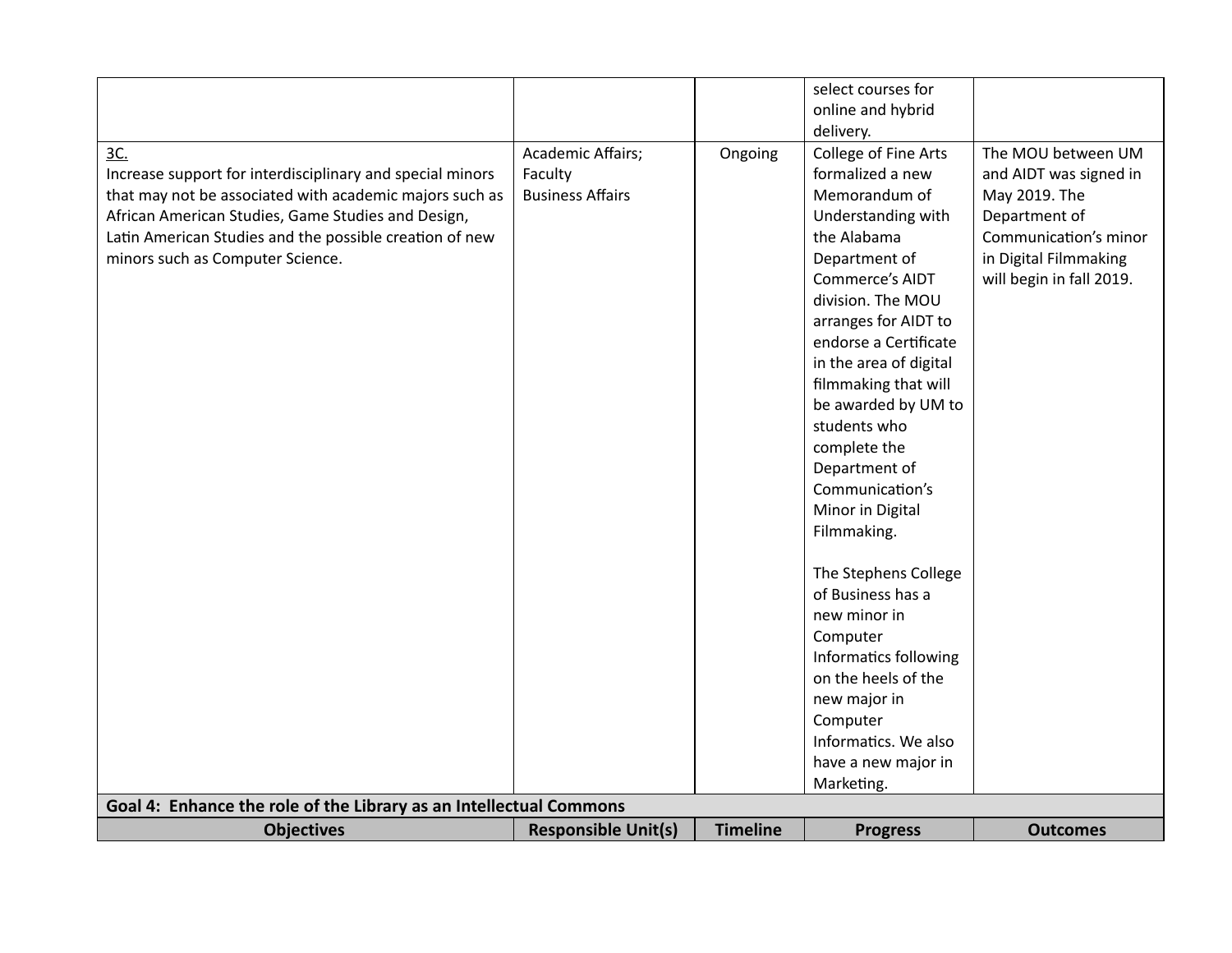|                                                                    |                            |                 | select courses for     |                          |
|--------------------------------------------------------------------|----------------------------|-----------------|------------------------|--------------------------|
|                                                                    |                            |                 | online and hybrid      |                          |
|                                                                    |                            |                 | delivery.              |                          |
| 3C.                                                                | Academic Affairs;          | Ongoing         | College of Fine Arts   | The MOU between UM       |
| Increase support for interdisciplinary and special minors          | Faculty                    |                 | formalized a new       | and AIDT was signed in   |
| that may not be associated with academic majors such as            | <b>Business Affairs</b>    |                 | Memorandum of          | May 2019. The            |
| African American Studies, Game Studies and Design,                 |                            |                 | Understanding with     | Department of            |
| Latin American Studies and the possible creation of new            |                            |                 | the Alabama            | Communication's minor    |
| minors such as Computer Science.                                   |                            |                 | Department of          | in Digital Filmmaking    |
|                                                                    |                            |                 | <b>Commerce's AIDT</b> | will begin in fall 2019. |
|                                                                    |                            |                 | division. The MOU      |                          |
|                                                                    |                            |                 | arranges for AIDT to   |                          |
|                                                                    |                            |                 | endorse a Certificate  |                          |
|                                                                    |                            |                 | in the area of digital |                          |
|                                                                    |                            |                 | filmmaking that will   |                          |
|                                                                    |                            |                 | be awarded by UM to    |                          |
|                                                                    |                            |                 | students who           |                          |
|                                                                    |                            |                 | complete the           |                          |
|                                                                    |                            |                 | Department of          |                          |
|                                                                    |                            |                 | Communication's        |                          |
|                                                                    |                            |                 | Minor in Digital       |                          |
|                                                                    |                            |                 | Filmmaking.            |                          |
|                                                                    |                            |                 |                        |                          |
|                                                                    |                            |                 | The Stephens College   |                          |
|                                                                    |                            |                 | of Business has a      |                          |
|                                                                    |                            |                 | new minor in           |                          |
|                                                                    |                            |                 | Computer               |                          |
|                                                                    |                            |                 | Informatics following  |                          |
|                                                                    |                            |                 | on the heels of the    |                          |
|                                                                    |                            |                 | new major in           |                          |
|                                                                    |                            |                 | Computer               |                          |
|                                                                    |                            |                 | Informatics. We also   |                          |
|                                                                    |                            |                 | have a new major in    |                          |
|                                                                    |                            |                 | Marketing.             |                          |
| Goal 4: Enhance the role of the Library as an Intellectual Commons |                            |                 |                        |                          |
| <b>Objectives</b>                                                  | <b>Responsible Unit(s)</b> | <b>Timeline</b> | <b>Progress</b>        | <b>Outcomes</b>          |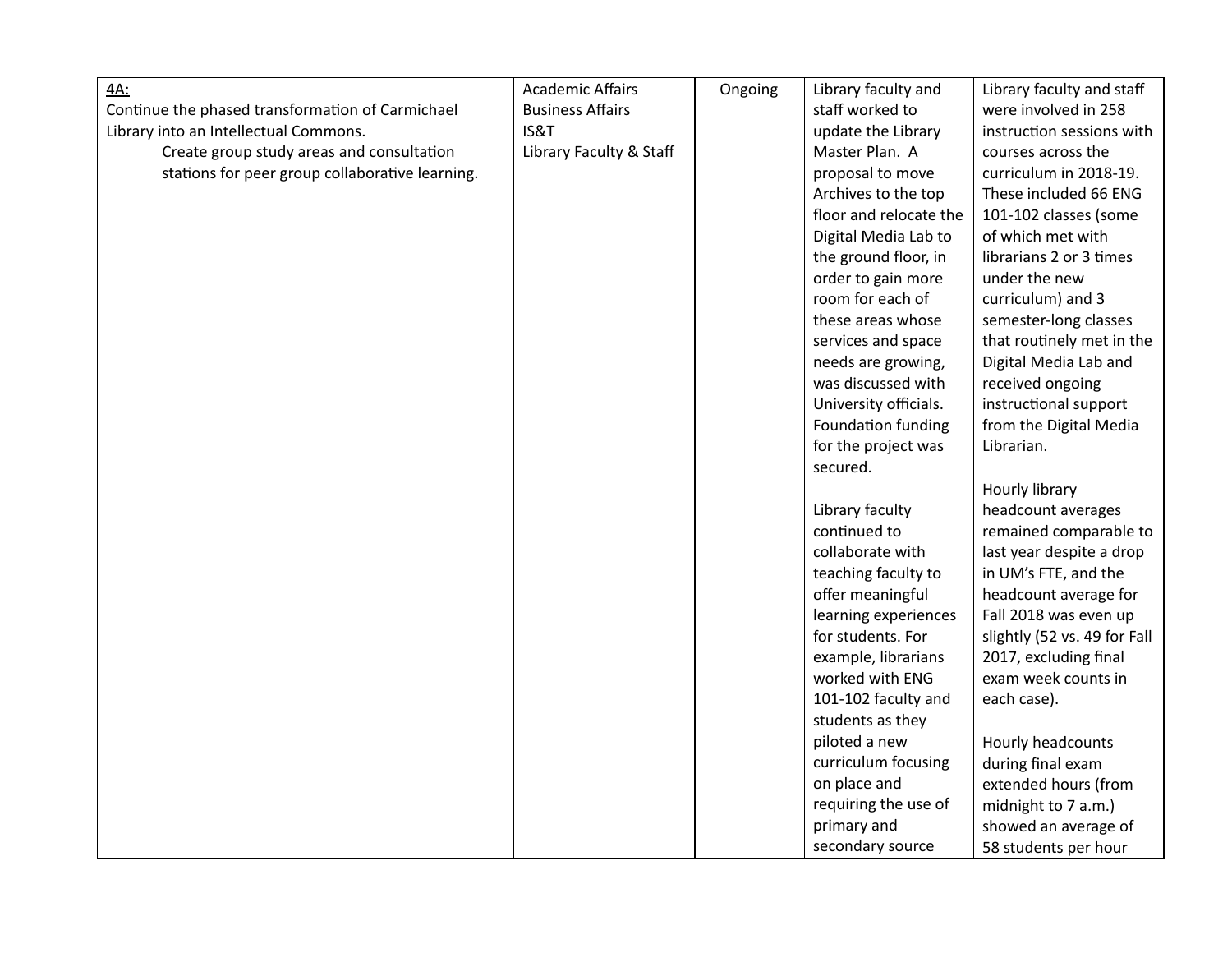| <u>4A:</u>                                       | <b>Academic Affairs</b> | Ongoing | Library faculty and    | Library faculty and staff    |
|--------------------------------------------------|-------------------------|---------|------------------------|------------------------------|
| Continue the phased transformation of Carmichael | <b>Business Affairs</b> |         | staff worked to        | were involved in 258         |
| Library into an Intellectual Commons.            | IS&T                    |         | update the Library     | instruction sessions with    |
| Create group study areas and consultation        | Library Faculty & Staff |         | Master Plan. A         | courses across the           |
| stations for peer group collaborative learning.  |                         |         | proposal to move       | curriculum in 2018-19.       |
|                                                  |                         |         | Archives to the top    | These included 66 ENG        |
|                                                  |                         |         | floor and relocate the | 101-102 classes (some        |
|                                                  |                         |         | Digital Media Lab to   | of which met with            |
|                                                  |                         |         | the ground floor, in   | librarians 2 or 3 times      |
|                                                  |                         |         | order to gain more     | under the new                |
|                                                  |                         |         | room for each of       | curriculum) and 3            |
|                                                  |                         |         | these areas whose      | semester-long classes        |
|                                                  |                         |         | services and space     | that routinely met in the    |
|                                                  |                         |         | needs are growing,     | Digital Media Lab and        |
|                                                  |                         |         | was discussed with     | received ongoing             |
|                                                  |                         |         | University officials.  | instructional support        |
|                                                  |                         |         | Foundation funding     | from the Digital Media       |
|                                                  |                         |         | for the project was    | Librarian.                   |
|                                                  |                         |         | secured.               |                              |
|                                                  |                         |         |                        | Hourly library               |
|                                                  |                         |         | Library faculty        | headcount averages           |
|                                                  |                         |         | continued to           | remained comparable to       |
|                                                  |                         |         | collaborate with       | last year despite a drop     |
|                                                  |                         |         | teaching faculty to    | in UM's FTE, and the         |
|                                                  |                         |         | offer meaningful       | headcount average for        |
|                                                  |                         |         | learning experiences   | Fall 2018 was even up        |
|                                                  |                         |         | for students. For      | slightly (52 vs. 49 for Fall |
|                                                  |                         |         | example, librarians    | 2017, excluding final        |
|                                                  |                         |         | worked with ENG        | exam week counts in          |
|                                                  |                         |         | 101-102 faculty and    | each case).                  |
|                                                  |                         |         | students as they       |                              |
|                                                  |                         |         | piloted a new          | Hourly headcounts            |
|                                                  |                         |         | curriculum focusing    | during final exam            |
|                                                  |                         |         | on place and           | extended hours (from         |
|                                                  |                         |         | requiring the use of   | midnight to 7 a.m.)          |
|                                                  |                         |         | primary and            | showed an average of         |
|                                                  |                         |         | secondary source       | 58 students per hour         |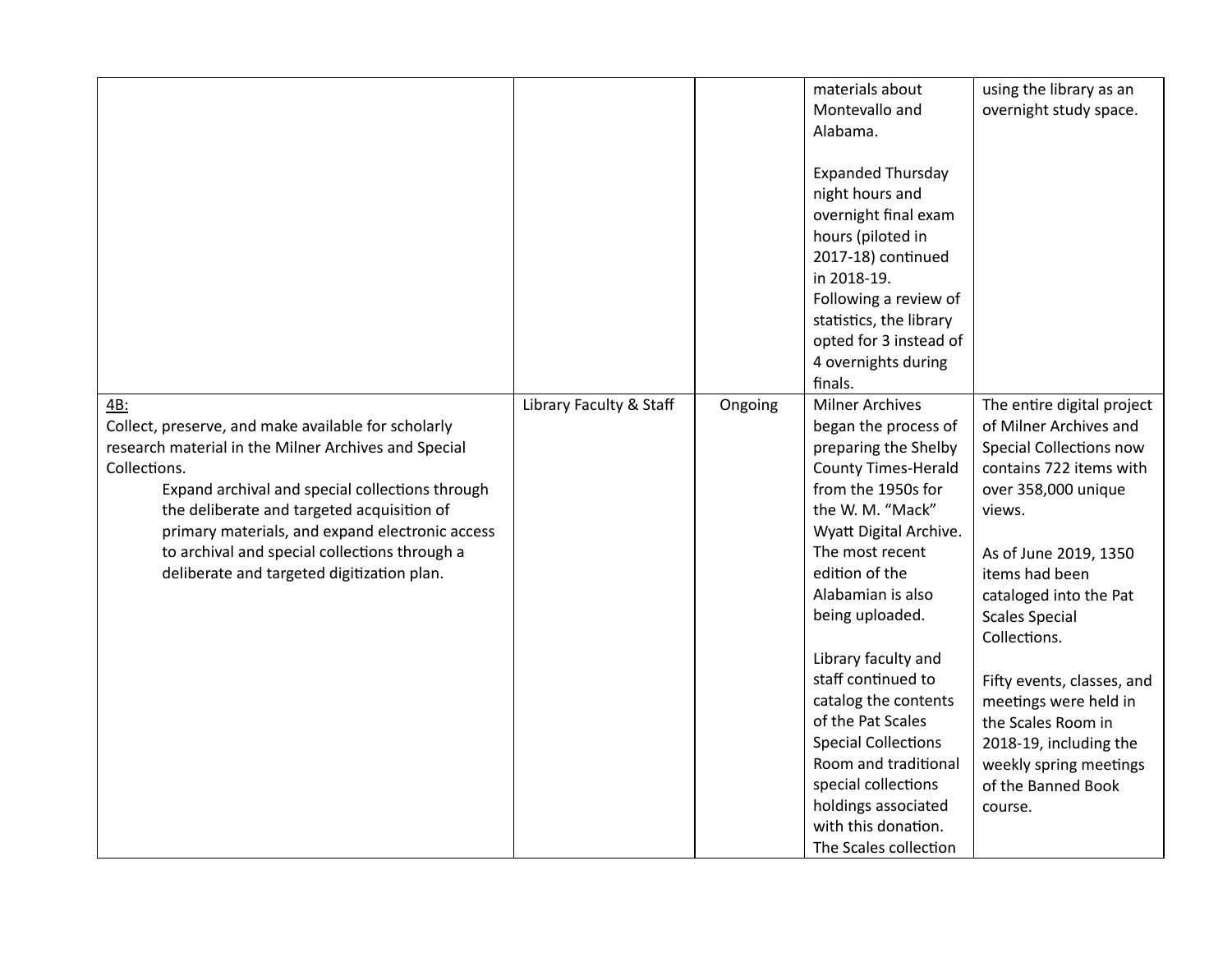|                                                                                                                                                                                                                                                                                                                                                                                       |                         |         | materials about<br>Montevallo and<br>Alabama.<br><b>Expanded Thursday</b><br>night hours and<br>overnight final exam<br>hours (piloted in<br>2017-18) continued<br>in 2018-19.<br>Following a review of<br>statistics, the library<br>opted for 3 instead of<br>4 overnights during<br>finals.                                                                                                                                                                             | using the library as an<br>overnight study space.                                                                                                                                                                                                                                                                                                                                                                           |
|---------------------------------------------------------------------------------------------------------------------------------------------------------------------------------------------------------------------------------------------------------------------------------------------------------------------------------------------------------------------------------------|-------------------------|---------|----------------------------------------------------------------------------------------------------------------------------------------------------------------------------------------------------------------------------------------------------------------------------------------------------------------------------------------------------------------------------------------------------------------------------------------------------------------------------|-----------------------------------------------------------------------------------------------------------------------------------------------------------------------------------------------------------------------------------------------------------------------------------------------------------------------------------------------------------------------------------------------------------------------------|
| 4B:<br>Collect, preserve, and make available for scholarly<br>research material in the Milner Archives and Special<br>Collections.<br>Expand archival and special collections through<br>the deliberate and targeted acquisition of<br>primary materials, and expand electronic access<br>to archival and special collections through a<br>deliberate and targeted digitization plan. | Library Faculty & Staff | Ongoing | <b>Milner Archives</b><br>began the process of<br>preparing the Shelby<br><b>County Times-Herald</b><br>from the 1950s for<br>the W. M. "Mack"<br>Wyatt Digital Archive.<br>The most recent<br>edition of the<br>Alabamian is also<br>being uploaded.<br>Library faculty and<br>staff continued to<br>catalog the contents<br>of the Pat Scales<br><b>Special Collections</b><br>Room and traditional<br>special collections<br>holdings associated<br>with this donation. | The entire digital project<br>of Milner Archives and<br>Special Collections now<br>contains 722 items with<br>over 358,000 unique<br>views.<br>As of June 2019, 1350<br>items had been<br>cataloged into the Pat<br><b>Scales Special</b><br>Collections.<br>Fifty events, classes, and<br>meetings were held in<br>the Scales Room in<br>2018-19, including the<br>weekly spring meetings<br>of the Banned Book<br>course. |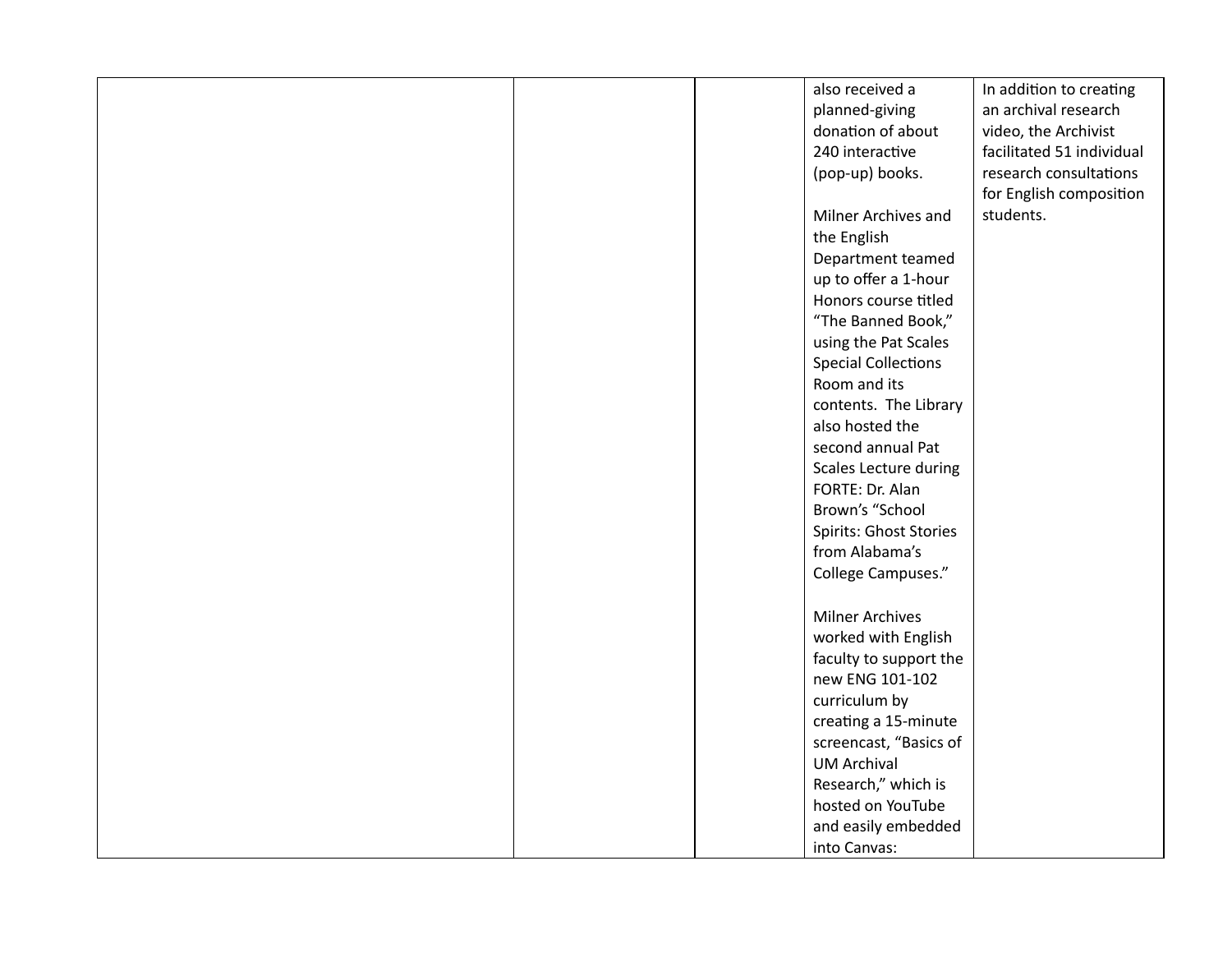|  | also received a            | In addition to creating   |
|--|----------------------------|---------------------------|
|  | planned-giving             | an archival research      |
|  | donation of about          | video, the Archivist      |
|  | 240 interactive            | facilitated 51 individual |
|  | (pop-up) books.            | research consultations    |
|  |                            | for English composition   |
|  | Milner Archives and        | students.                 |
|  | the English                |                           |
|  | Department teamed          |                           |
|  | up to offer a 1-hour       |                           |
|  | Honors course titled       |                           |
|  | "The Banned Book,"         |                           |
|  | using the Pat Scales       |                           |
|  | <b>Special Collections</b> |                           |
|  | Room and its               |                           |
|  | contents. The Library      |                           |
|  | also hosted the            |                           |
|  | second annual Pat          |                           |
|  | Scales Lecture during      |                           |
|  | FORTE: Dr. Alan            |                           |
|  | Brown's "School            |                           |
|  | Spirits: Ghost Stories     |                           |
|  | from Alabama's             |                           |
|  | College Campuses."         |                           |
|  |                            |                           |
|  | <b>Milner Archives</b>     |                           |
|  | worked with English        |                           |
|  | faculty to support the     |                           |
|  | new ENG 101-102            |                           |
|  | curriculum by              |                           |
|  | creating a 15-minute       |                           |
|  | screencast, "Basics of     |                           |
|  | <b>UM Archival</b>         |                           |
|  | Research," which is        |                           |
|  | hosted on YouTube          |                           |
|  |                            |                           |
|  | and easily embedded        |                           |
|  | into Canvas:               |                           |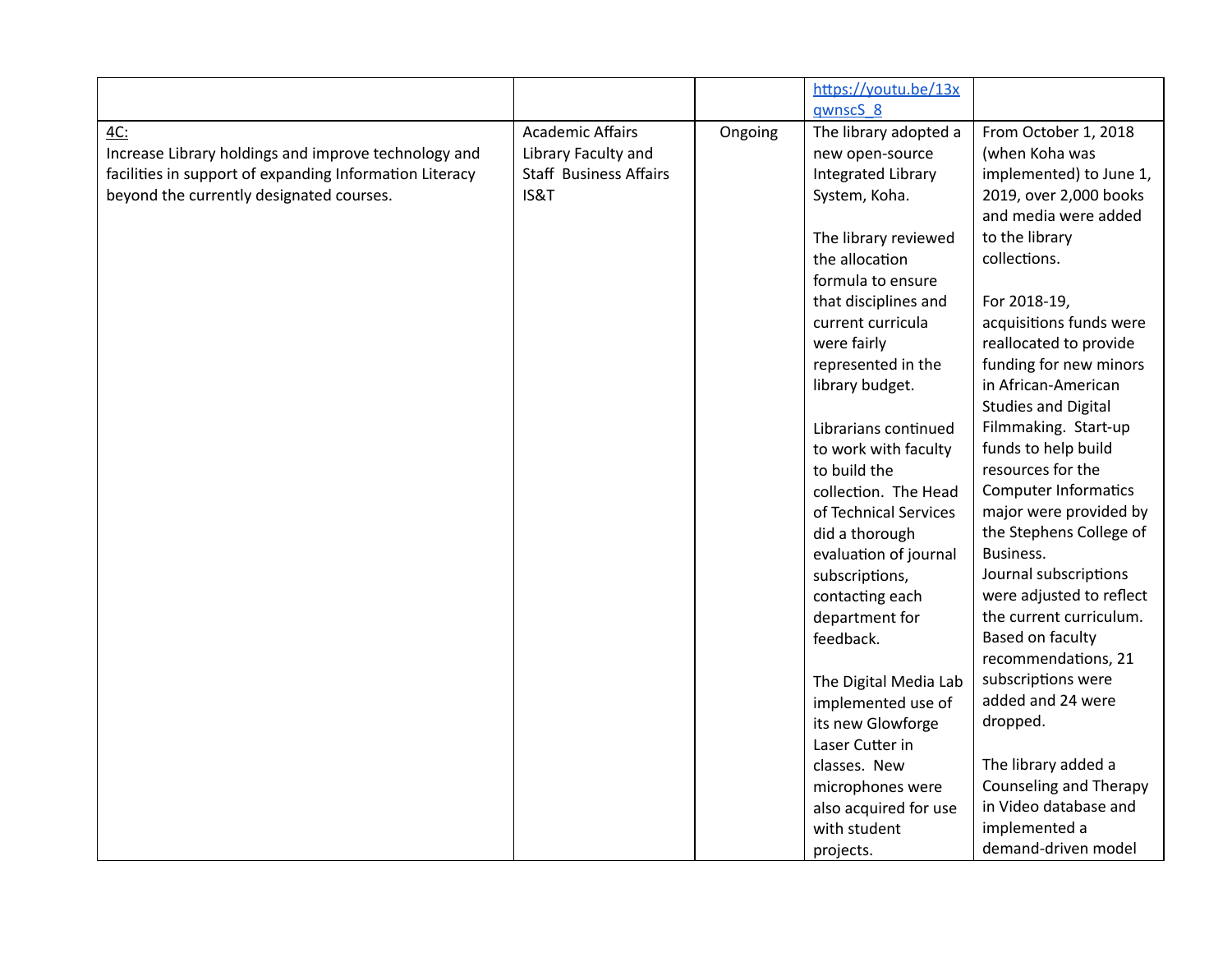|                                                         |                               |         | https://youtu.be/13x      |                             |
|---------------------------------------------------------|-------------------------------|---------|---------------------------|-----------------------------|
|                                                         |                               |         | gwnscS <sub>8</sub>       |                             |
| 4C:                                                     | <b>Academic Affairs</b>       | Ongoing | The library adopted a     | From October 1, 2018        |
| Increase Library holdings and improve technology and    | Library Faculty and           |         | new open-source           | (when Koha was              |
| facilities in support of expanding Information Literacy | <b>Staff Business Affairs</b> |         | <b>Integrated Library</b> | implemented) to June 1,     |
| beyond the currently designated courses.                | IS&T                          |         | System, Koha.             | 2019, over 2,000 books      |
|                                                         |                               |         |                           | and media were added        |
|                                                         |                               |         | The library reviewed      | to the library              |
|                                                         |                               |         | the allocation            | collections.                |
|                                                         |                               |         | formula to ensure         |                             |
|                                                         |                               |         | that disciplines and      | For 2018-19,                |
|                                                         |                               |         | current curricula         | acquisitions funds were     |
|                                                         |                               |         | were fairly               | reallocated to provide      |
|                                                         |                               |         | represented in the        | funding for new minors      |
|                                                         |                               |         | library budget.           | in African-American         |
|                                                         |                               |         |                           | <b>Studies and Digital</b>  |
|                                                         |                               |         | Librarians continued      | Filmmaking. Start-up        |
|                                                         |                               |         | to work with faculty      | funds to help build         |
|                                                         |                               |         | to build the              | resources for the           |
|                                                         |                               |         | collection. The Head      | <b>Computer Informatics</b> |
|                                                         |                               |         | of Technical Services     | major were provided by      |
|                                                         |                               |         | did a thorough            | the Stephens College of     |
|                                                         |                               |         | evaluation of journal     | Business.                   |
|                                                         |                               |         | subscriptions,            | Journal subscriptions       |
|                                                         |                               |         | contacting each           | were adjusted to reflect    |
|                                                         |                               |         | department for            | the current curriculum.     |
|                                                         |                               |         | feedback.                 | Based on faculty            |
|                                                         |                               |         |                           | recommendations, 21         |
|                                                         |                               |         | The Digital Media Lab     | subscriptions were          |
|                                                         |                               |         | implemented use of        | added and 24 were           |
|                                                         |                               |         | its new Glowforge         | dropped.                    |
|                                                         |                               |         | Laser Cutter in           |                             |
|                                                         |                               |         | classes. New              | The library added a         |
|                                                         |                               |         | microphones were          | Counseling and Therapy      |
|                                                         |                               |         | also acquired for use     | in Video database and       |
|                                                         |                               |         | with student              | implemented a               |
|                                                         |                               |         | projects.                 | demand-driven model         |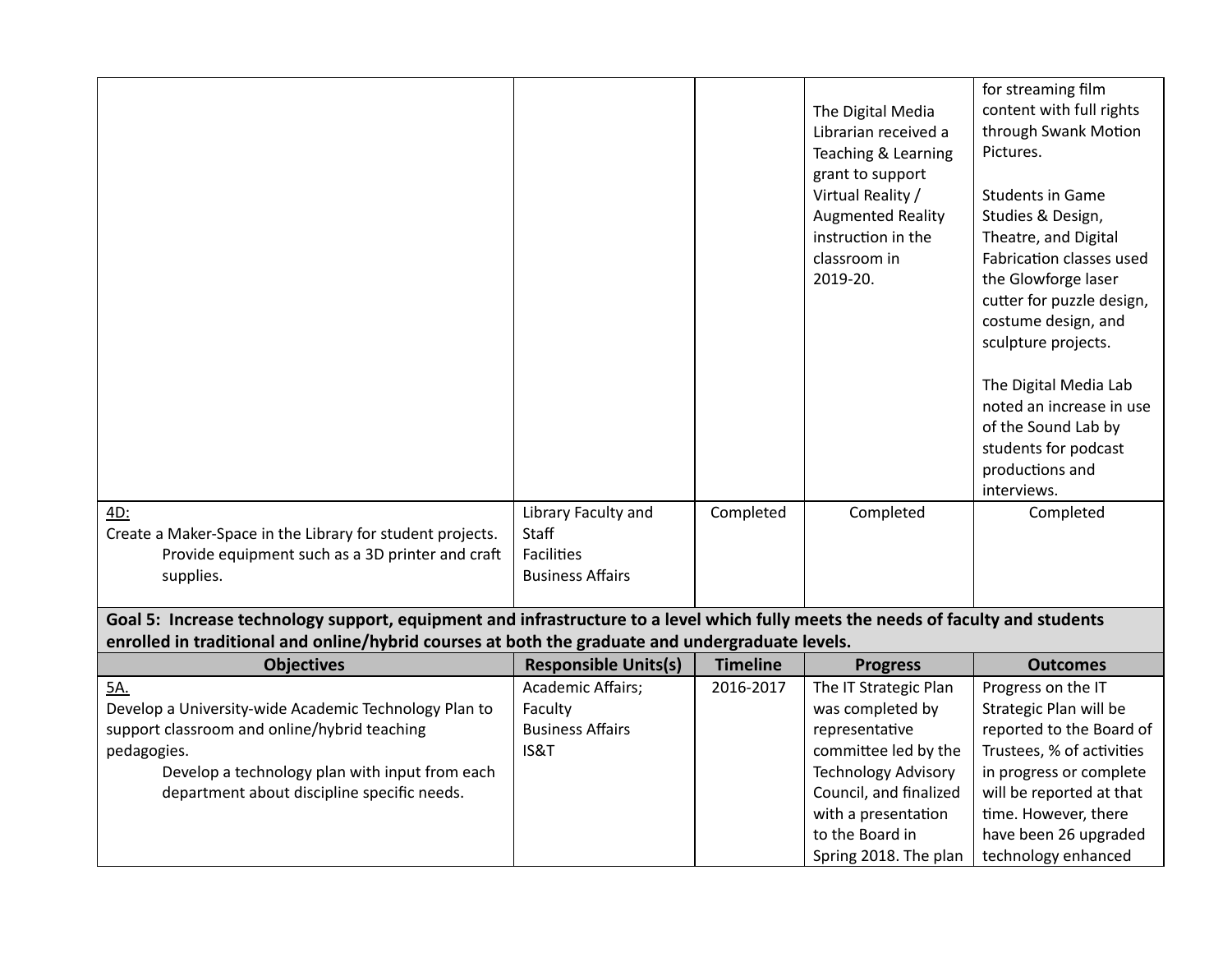| 4D:                                                                                                                                                                                                                                  | Library Faculty and         | Completed       | The Digital Media<br>Librarian received a<br>Teaching & Learning<br>grant to support<br>Virtual Reality /<br><b>Augmented Reality</b><br>instruction in the<br>classroom in<br>2019-20.<br>Completed | for streaming film<br>content with full rights<br>through Swank Motion<br>Pictures.<br><b>Students in Game</b><br>Studies & Design,<br>Theatre, and Digital<br>Fabrication classes used<br>the Glowforge laser<br>cutter for puzzle design,<br>costume design, and<br>sculpture projects.<br>The Digital Media Lab<br>noted an increase in use<br>of the Sound Lab by<br>students for podcast<br>productions and<br>interviews.<br>Completed |
|--------------------------------------------------------------------------------------------------------------------------------------------------------------------------------------------------------------------------------------|-----------------------------|-----------------|------------------------------------------------------------------------------------------------------------------------------------------------------------------------------------------------------|----------------------------------------------------------------------------------------------------------------------------------------------------------------------------------------------------------------------------------------------------------------------------------------------------------------------------------------------------------------------------------------------------------------------------------------------|
| Create a Maker-Space in the Library for student projects.                                                                                                                                                                            | Staff                       |                 |                                                                                                                                                                                                      |                                                                                                                                                                                                                                                                                                                                                                                                                                              |
| Provide equipment such as a 3D printer and craft                                                                                                                                                                                     | <b>Facilities</b>           |                 |                                                                                                                                                                                                      |                                                                                                                                                                                                                                                                                                                                                                                                                                              |
| supplies.                                                                                                                                                                                                                            | <b>Business Affairs</b>     |                 |                                                                                                                                                                                                      |                                                                                                                                                                                                                                                                                                                                                                                                                                              |
|                                                                                                                                                                                                                                      |                             |                 |                                                                                                                                                                                                      |                                                                                                                                                                                                                                                                                                                                                                                                                                              |
| Goal 5: Increase technology support, equipment and infrastructure to a level which fully meets the needs of faculty and students<br>enrolled in traditional and online/hybrid courses at both the graduate and undergraduate levels. |                             |                 |                                                                                                                                                                                                      |                                                                                                                                                                                                                                                                                                                                                                                                                                              |
| <b>Objectives</b>                                                                                                                                                                                                                    | <b>Responsible Units(s)</b> | <b>Timeline</b> | <b>Progress</b>                                                                                                                                                                                      | <b>Outcomes</b>                                                                                                                                                                                                                                                                                                                                                                                                                              |
| 5A.                                                                                                                                                                                                                                  | Academic Affairs;           | 2016-2017       | The IT Strategic Plan                                                                                                                                                                                | Progress on the IT                                                                                                                                                                                                                                                                                                                                                                                                                           |
| Develop a University-wide Academic Technology Plan to                                                                                                                                                                                | Faculty                     |                 | was completed by                                                                                                                                                                                     | Strategic Plan will be                                                                                                                                                                                                                                                                                                                                                                                                                       |
| support classroom and online/hybrid teaching                                                                                                                                                                                         | <b>Business Affairs</b>     |                 | representative                                                                                                                                                                                       | reported to the Board of                                                                                                                                                                                                                                                                                                                                                                                                                     |
| pedagogies.                                                                                                                                                                                                                          | IS&T                        |                 | committee led by the                                                                                                                                                                                 | Trustees, % of activities                                                                                                                                                                                                                                                                                                                                                                                                                    |
| Develop a technology plan with input from each                                                                                                                                                                                       |                             |                 | <b>Technology Advisory</b>                                                                                                                                                                           | in progress or complete                                                                                                                                                                                                                                                                                                                                                                                                                      |
| department about discipline specific needs.                                                                                                                                                                                          |                             |                 | Council, and finalized                                                                                                                                                                               | will be reported at that                                                                                                                                                                                                                                                                                                                                                                                                                     |
|                                                                                                                                                                                                                                      |                             |                 | with a presentation                                                                                                                                                                                  | time. However, there                                                                                                                                                                                                                                                                                                                                                                                                                         |
|                                                                                                                                                                                                                                      |                             |                 | to the Board in                                                                                                                                                                                      | have been 26 upgraded                                                                                                                                                                                                                                                                                                                                                                                                                        |
|                                                                                                                                                                                                                                      |                             |                 | Spring 2018. The plan                                                                                                                                                                                | technology enhanced                                                                                                                                                                                                                                                                                                                                                                                                                          |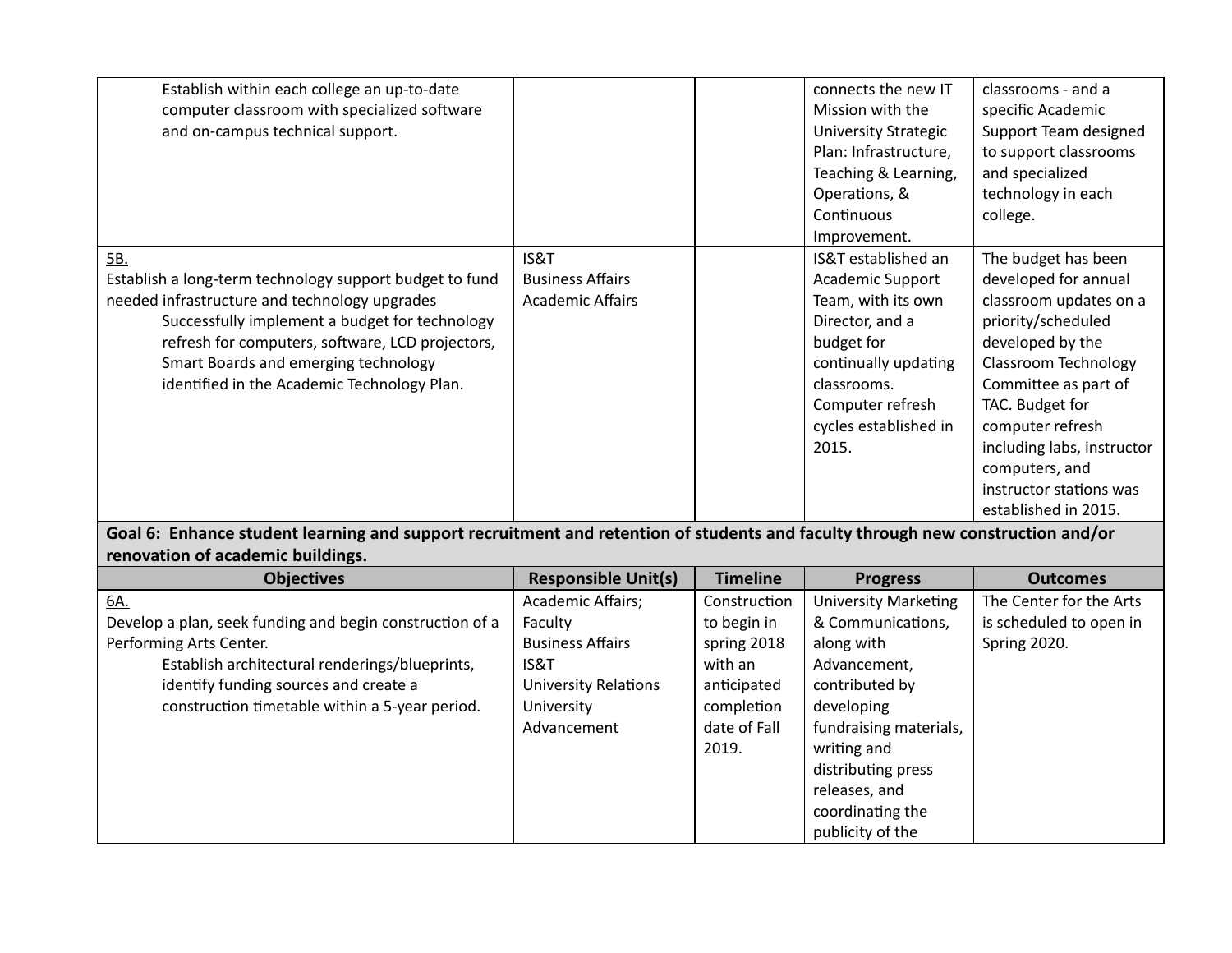| Establish within each college an up-to-date                                                                                    |                             |                 | connects the new IT         | classrooms - and a          |
|--------------------------------------------------------------------------------------------------------------------------------|-----------------------------|-----------------|-----------------------------|-----------------------------|
| computer classroom with specialized software                                                                                   |                             |                 | Mission with the            | specific Academic           |
| and on-campus technical support.                                                                                               |                             |                 | <b>University Strategic</b> | Support Team designed       |
|                                                                                                                                |                             |                 | Plan: Infrastructure,       | to support classrooms       |
|                                                                                                                                |                             |                 | Teaching & Learning,        | and specialized             |
|                                                                                                                                |                             |                 | Operations, &               | technology in each          |
|                                                                                                                                |                             |                 | Continuous                  | college.                    |
|                                                                                                                                |                             |                 | Improvement.                |                             |
| 5B.                                                                                                                            | IS&T                        |                 | IS&T established an         | The budget has been         |
| Establish a long-term technology support budget to fund                                                                        | <b>Business Affairs</b>     |                 | Academic Support            | developed for annual        |
| needed infrastructure and technology upgrades                                                                                  | <b>Academic Affairs</b>     |                 | Team, with its own          | classroom updates on a      |
| Successfully implement a budget for technology                                                                                 |                             |                 | Director, and a             | priority/scheduled          |
| refresh for computers, software, LCD projectors,                                                                               |                             |                 | budget for                  | developed by the            |
| Smart Boards and emerging technology                                                                                           |                             |                 | continually updating        | <b>Classroom Technology</b> |
| identified in the Academic Technology Plan.                                                                                    |                             |                 | classrooms.                 | Committee as part of        |
|                                                                                                                                |                             |                 | Computer refresh            | TAC. Budget for             |
|                                                                                                                                |                             |                 | cycles established in       | computer refresh            |
|                                                                                                                                |                             |                 | 2015.                       | including labs, instructor  |
|                                                                                                                                |                             |                 |                             | computers, and              |
|                                                                                                                                |                             |                 |                             | instructor stations was     |
|                                                                                                                                |                             |                 |                             | established in 2015.        |
| Goal 6: Enhance student learning and support recruitment and retention of students and faculty through new construction and/or |                             |                 |                             |                             |
| renovation of academic buildings.                                                                                              |                             |                 |                             |                             |
| <b>Objectives</b>                                                                                                              | <b>Responsible Unit(s)</b>  | <b>Timeline</b> | <b>Progress</b>             | <b>Outcomes</b>             |
| 6A.                                                                                                                            | Academic Affairs;           | Construction    | <b>University Marketing</b> | The Center for the Arts     |
| Develop a plan, seek funding and begin construction of a                                                                       | Faculty                     | to begin in     | & Communications,           | is scheduled to open in     |
| Performing Arts Center.                                                                                                        | <b>Business Affairs</b>     | spring 2018     | along with                  | Spring 2020.                |
| Establish architectural renderings/blueprints,                                                                                 | IS&T                        | with an         | Advancement,                |                             |
| identify funding sources and create a                                                                                          | <b>University Relations</b> | anticipated     | contributed by              |                             |
| construction timetable within a 5-year period.                                                                                 | University                  | completion      | developing                  |                             |
|                                                                                                                                | Advancement                 | date of Fall    | fundraising materials,      |                             |
|                                                                                                                                |                             | 2019.           | writing and                 |                             |
|                                                                                                                                |                             |                 | distributing press          |                             |
|                                                                                                                                |                             |                 | releases, and               |                             |
|                                                                                                                                |                             |                 | coordinating the            |                             |
|                                                                                                                                |                             |                 | publicity of the            |                             |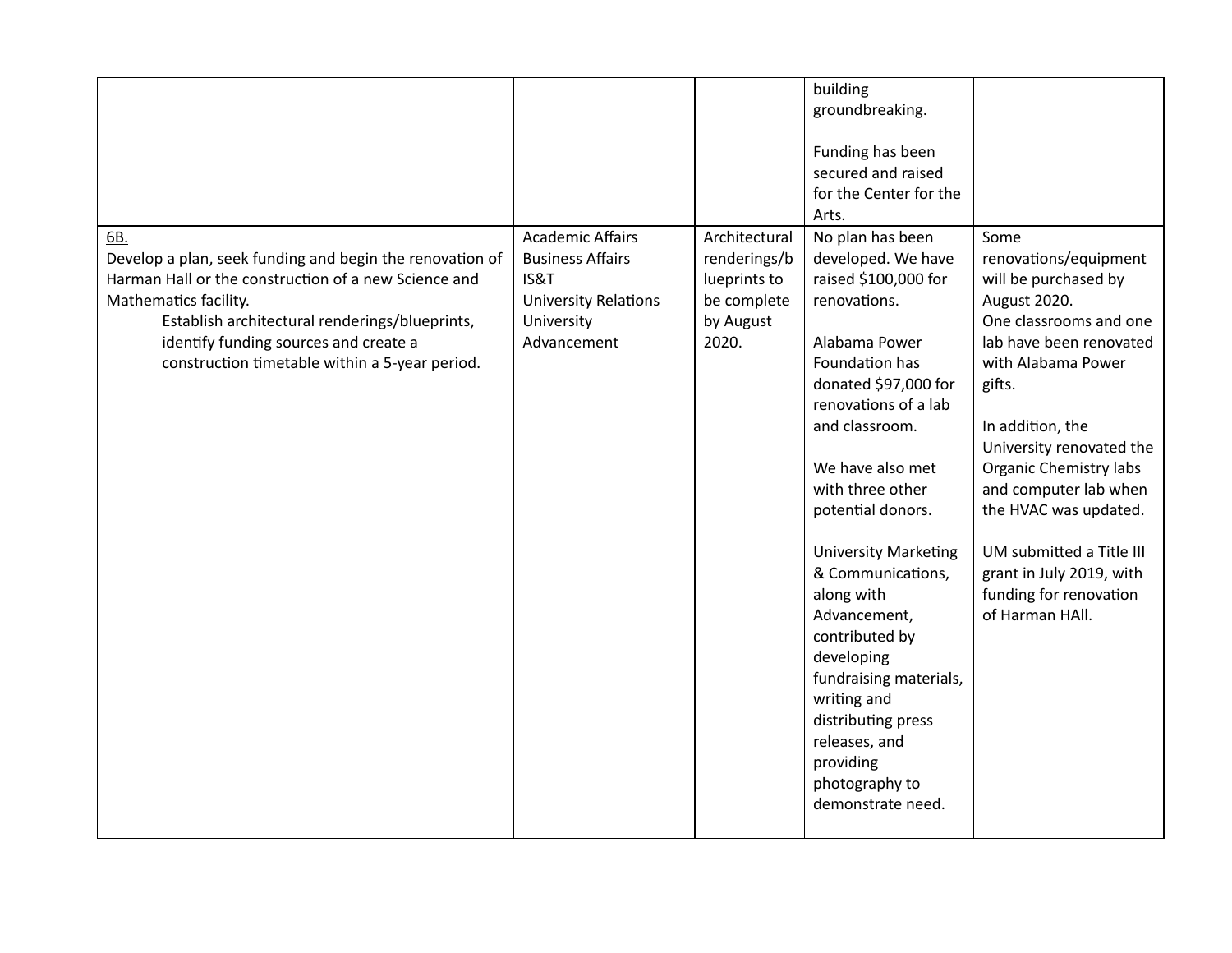|                                                                                                                                                                                                                                                                                               |                                                                                                                        |                                                                                    | building<br>groundbreaking.<br>Funding has been<br>secured and raised<br>for the Center for the<br>Arts.                                                                                                                                                                                                                                                                                                                                                                                               |                                                                                                                                                                                                                                                                                                                                                                                                    |
|-----------------------------------------------------------------------------------------------------------------------------------------------------------------------------------------------------------------------------------------------------------------------------------------------|------------------------------------------------------------------------------------------------------------------------|------------------------------------------------------------------------------------|--------------------------------------------------------------------------------------------------------------------------------------------------------------------------------------------------------------------------------------------------------------------------------------------------------------------------------------------------------------------------------------------------------------------------------------------------------------------------------------------------------|----------------------------------------------------------------------------------------------------------------------------------------------------------------------------------------------------------------------------------------------------------------------------------------------------------------------------------------------------------------------------------------------------|
| 6B.<br>Develop a plan, seek funding and begin the renovation of<br>Harman Hall or the construction of a new Science and<br>Mathematics facility.<br>Establish architectural renderings/blueprints,<br>identify funding sources and create a<br>construction timetable within a 5-year period. | <b>Academic Affairs</b><br><b>Business Affairs</b><br>IS&T<br><b>University Relations</b><br>University<br>Advancement | Architectural<br>renderings/b<br>lueprints to<br>be complete<br>by August<br>2020. | No plan has been<br>developed. We have<br>raised \$100,000 for<br>renovations.<br>Alabama Power<br>Foundation has<br>donated \$97,000 for<br>renovations of a lab<br>and classroom.<br>We have also met<br>with three other<br>potential donors.<br><b>University Marketing</b><br>& Communications,<br>along with<br>Advancement,<br>contributed by<br>developing<br>fundraising materials,<br>writing and<br>distributing press<br>releases, and<br>providing<br>photography to<br>demonstrate need. | Some<br>renovations/equipment<br>will be purchased by<br>August 2020.<br>One classrooms and one<br>lab have been renovated<br>with Alabama Power<br>gifts.<br>In addition, the<br>University renovated the<br><b>Organic Chemistry labs</b><br>and computer lab when<br>the HVAC was updated.<br>UM submitted a Title III<br>grant in July 2019, with<br>funding for renovation<br>of Harman HAll. |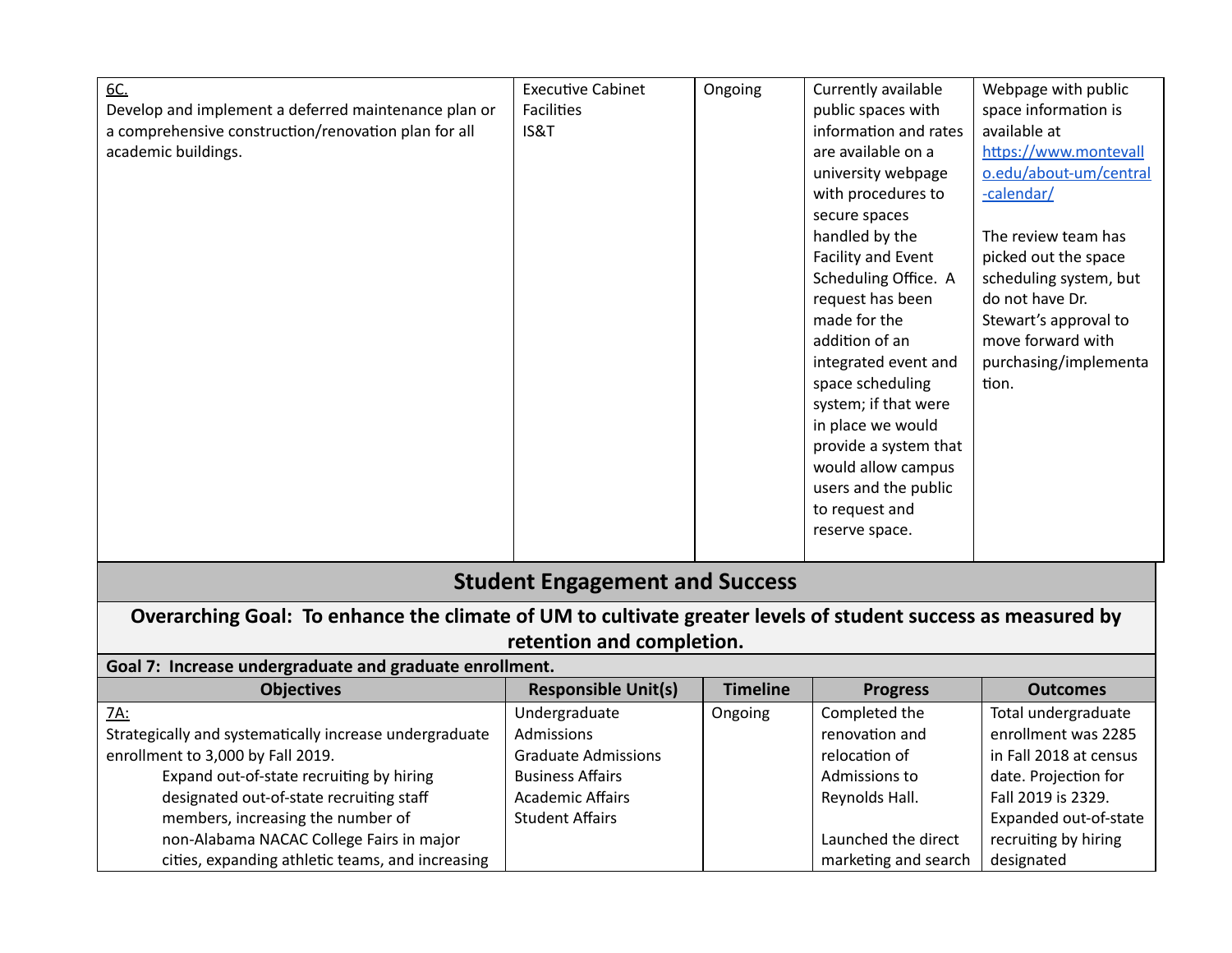| 6C.                                                                                                          | <b>Executive Cabinet</b>              | Ongoing | Currently available   | Webpage with public    |  |  |  |
|--------------------------------------------------------------------------------------------------------------|---------------------------------------|---------|-----------------------|------------------------|--|--|--|
| Develop and implement a deferred maintenance plan or                                                         | <b>Facilities</b>                     |         | public spaces with    | space information is   |  |  |  |
| a comprehensive construction/renovation plan for all                                                         | IS&T                                  |         | information and rates | available at           |  |  |  |
| academic buildings.                                                                                          |                                       |         | are available on a    | https://www.montevall  |  |  |  |
|                                                                                                              |                                       |         | university webpage    | o.edu/about-um/central |  |  |  |
|                                                                                                              |                                       |         | with procedures to    | -calendar/             |  |  |  |
|                                                                                                              |                                       |         | secure spaces         |                        |  |  |  |
|                                                                                                              |                                       |         | handled by the        | The review team has    |  |  |  |
|                                                                                                              |                                       |         | Facility and Event    | picked out the space   |  |  |  |
|                                                                                                              |                                       |         | Scheduling Office. A  | scheduling system, but |  |  |  |
|                                                                                                              |                                       |         | request has been      | do not have Dr.        |  |  |  |
|                                                                                                              |                                       |         | made for the          | Stewart's approval to  |  |  |  |
|                                                                                                              |                                       |         | addition of an        | move forward with      |  |  |  |
|                                                                                                              |                                       |         | integrated event and  | purchasing/implementa  |  |  |  |
|                                                                                                              |                                       |         | space scheduling      | tion.                  |  |  |  |
|                                                                                                              |                                       |         | system; if that were  |                        |  |  |  |
|                                                                                                              |                                       |         | in place we would     |                        |  |  |  |
|                                                                                                              |                                       |         | provide a system that |                        |  |  |  |
|                                                                                                              |                                       |         | would allow campus    |                        |  |  |  |
|                                                                                                              |                                       |         | users and the public  |                        |  |  |  |
|                                                                                                              |                                       |         | to request and        |                        |  |  |  |
|                                                                                                              |                                       |         | reserve space.        |                        |  |  |  |
|                                                                                                              |                                       |         |                       |                        |  |  |  |
|                                                                                                              | <b>Student Engagement and Success</b> |         |                       |                        |  |  |  |
| Overarching Goal: To enhance the climate of UM to cultivate greater levels of student success as measured by |                                       |         |                       |                        |  |  |  |

## **retention and completion.**

**Goal 7: Increase undergraduate and graduate enrollment.**

| <b>Objectives</b>                                       | <b>Responsible Unit(s)</b> | <b>Timeline</b> | <b>Progress</b>      | <b>Outcomes</b>        |
|---------------------------------------------------------|----------------------------|-----------------|----------------------|------------------------|
| <u>7A:</u>                                              | Undergraduate              | Ongoing         | Completed the        | Total undergraduate    |
| Strategically and systematically increase undergraduate | Admissions                 |                 | renovation and       | enrollment was 2285    |
| enrollment to 3,000 by Fall 2019.                       | <b>Graduate Admissions</b> |                 | relocation of        | in Fall 2018 at census |
| Expand out-of-state recruiting by hiring                | <b>Business Affairs</b>    |                 | Admissions to        | date. Projection for   |
| designated out-of-state recruiting staff                | <b>Academic Affairs</b>    |                 | Reynolds Hall.       | Fall 2019 is 2329.     |
| members, increasing the number of                       | <b>Student Affairs</b>     |                 |                      | Expanded out-of-state  |
| non-Alabama NACAC College Fairs in major                |                            |                 | Launched the direct  | recruiting by hiring   |
| cities, expanding athletic teams, and increasing        |                            |                 | marketing and search | designated             |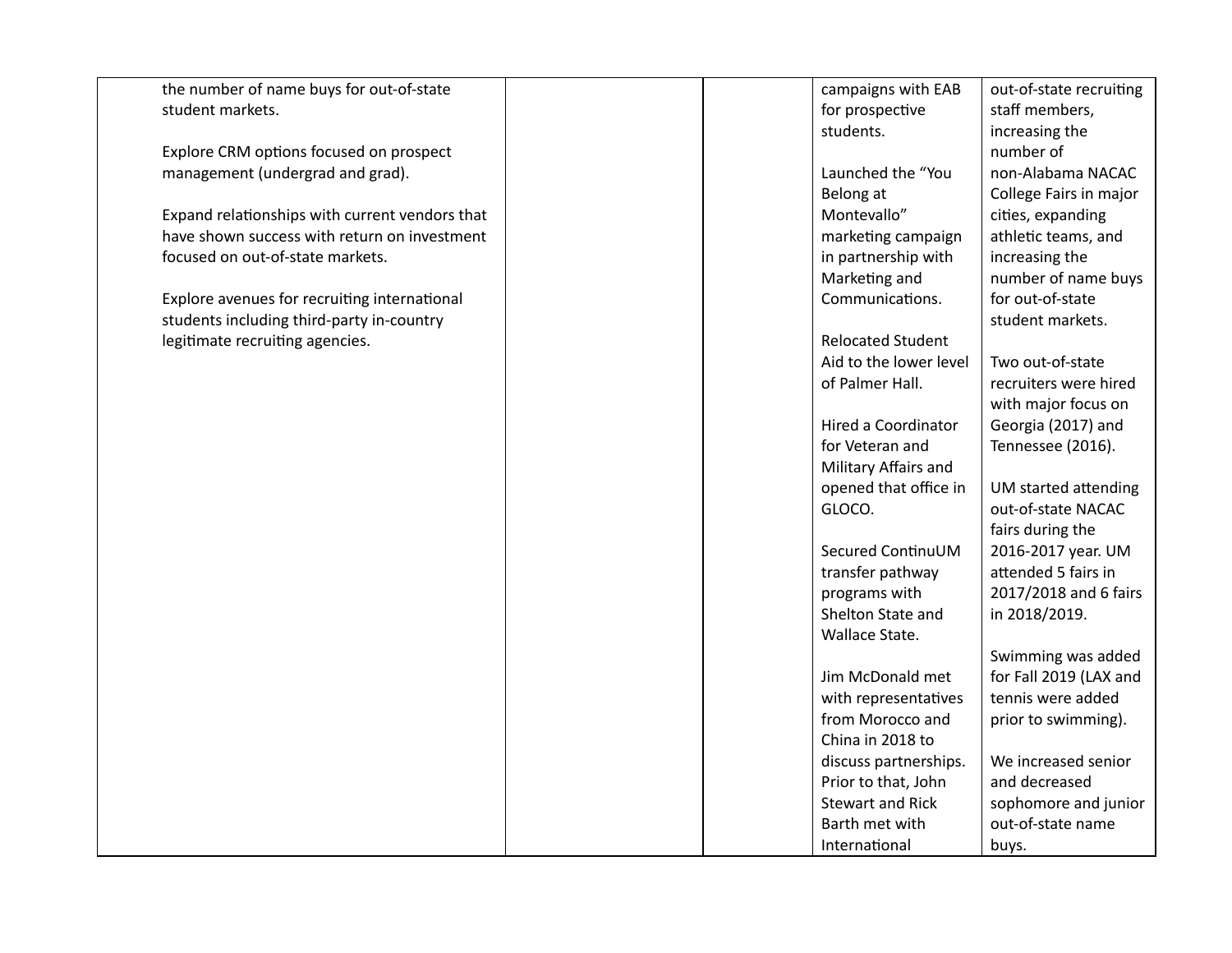| the number of name buys for out-of-state       | campaigns with EAB       | out-of-state recruiting |
|------------------------------------------------|--------------------------|-------------------------|
| student markets.                               | for prospective          | staff members,          |
|                                                | students.                | increasing the          |
| Explore CRM options focused on prospect        |                          | number of               |
| management (undergrad and grad).               | Launched the "You        | non-Alabama NACAC       |
|                                                | Belong at                | College Fairs in major  |
| Expand relationships with current vendors that | Montevallo"              | cities, expanding       |
| have shown success with return on investment   | marketing campaign       | athletic teams, and     |
| focused on out-of-state markets.               | in partnership with      | increasing the          |
|                                                | Marketing and            | number of name buys     |
| Explore avenues for recruiting international   | Communications.          | for out-of-state        |
| students including third-party in-country      |                          | student markets.        |
| legitimate recruiting agencies.                | <b>Relocated Student</b> |                         |
|                                                | Aid to the lower level   | Two out-of-state        |
|                                                | of Palmer Hall.          | recruiters were hired   |
|                                                |                          | with major focus on     |
|                                                | Hired a Coordinator      | Georgia (2017) and      |
|                                                | for Veteran and          | Tennessee (2016).       |
|                                                | Military Affairs and     |                         |
|                                                | opened that office in    | UM started attending    |
|                                                | GLOCO.                   | out-of-state NACAC      |
|                                                |                          | fairs during the        |
|                                                | Secured ContinuUM        | 2016-2017 year. UM      |
|                                                | transfer pathway         | attended 5 fairs in     |
|                                                | programs with            | 2017/2018 and 6 fairs   |
|                                                | Shelton State and        | in 2018/2019.           |
|                                                | Wallace State.           |                         |
|                                                |                          | Swimming was added      |
|                                                | Jim McDonald met         | for Fall 2019 (LAX and  |
|                                                | with representatives     | tennis were added       |
|                                                | from Morocco and         | prior to swimming).     |
|                                                | China in 2018 to         |                         |
|                                                | discuss partnerships.    | We increased senior     |
|                                                | Prior to that, John      | and decreased           |
|                                                | <b>Stewart and Rick</b>  | sophomore and junior    |
|                                                | Barth met with           | out-of-state name       |
|                                                | International            | buys.                   |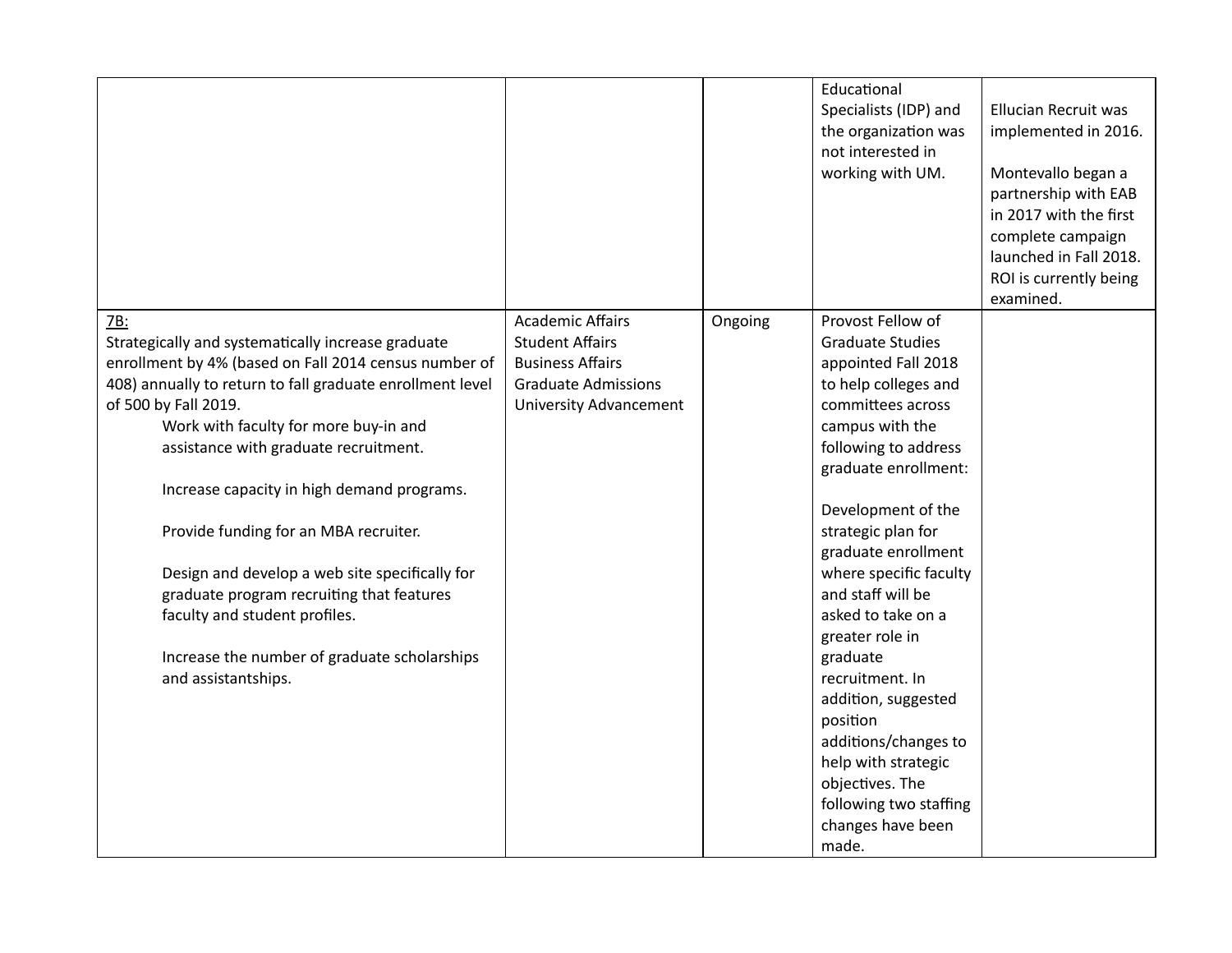|                                                           | <b>Academic Affairs</b>       |         | Educational<br>Specialists (IDP) and<br>the organization was<br>not interested in<br>working with UM.<br>Provost Fellow of | <b>Ellucian Recruit was</b><br>implemented in 2016.<br>Montevallo began a<br>partnership with EAB<br>in 2017 with the first<br>complete campaign<br>launched in Fall 2018.<br>ROI is currently being<br>examined. |
|-----------------------------------------------------------|-------------------------------|---------|----------------------------------------------------------------------------------------------------------------------------|-------------------------------------------------------------------------------------------------------------------------------------------------------------------------------------------------------------------|
| 7B:<br>Strategically and systematically increase graduate | <b>Student Affairs</b>        | Ongoing | <b>Graduate Studies</b>                                                                                                    |                                                                                                                                                                                                                   |
| enrollment by 4% (based on Fall 2014 census number of     | <b>Business Affairs</b>       |         | appointed Fall 2018                                                                                                        |                                                                                                                                                                                                                   |
| 408) annually to return to fall graduate enrollment level | <b>Graduate Admissions</b>    |         | to help colleges and                                                                                                       |                                                                                                                                                                                                                   |
| of 500 by Fall 2019.                                      | <b>University Advancement</b> |         | committees across                                                                                                          |                                                                                                                                                                                                                   |
| Work with faculty for more buy-in and                     |                               |         | campus with the                                                                                                            |                                                                                                                                                                                                                   |
| assistance with graduate recruitment.                     |                               |         | following to address                                                                                                       |                                                                                                                                                                                                                   |
|                                                           |                               |         | graduate enrollment:                                                                                                       |                                                                                                                                                                                                                   |
| Increase capacity in high demand programs.                |                               |         | Development of the                                                                                                         |                                                                                                                                                                                                                   |
| Provide funding for an MBA recruiter.                     |                               |         | strategic plan for                                                                                                         |                                                                                                                                                                                                                   |
|                                                           |                               |         | graduate enrollment                                                                                                        |                                                                                                                                                                                                                   |
| Design and develop a web site specifically for            |                               |         | where specific faculty                                                                                                     |                                                                                                                                                                                                                   |
| graduate program recruiting that features                 |                               |         | and staff will be                                                                                                          |                                                                                                                                                                                                                   |
| faculty and student profiles.                             |                               |         | asked to take on a                                                                                                         |                                                                                                                                                                                                                   |
|                                                           |                               |         | greater role in                                                                                                            |                                                                                                                                                                                                                   |
| Increase the number of graduate scholarships              |                               |         | graduate                                                                                                                   |                                                                                                                                                                                                                   |
| and assistantships.                                       |                               |         | recruitment. In                                                                                                            |                                                                                                                                                                                                                   |
|                                                           |                               |         | addition, suggested                                                                                                        |                                                                                                                                                                                                                   |
|                                                           |                               |         | position                                                                                                                   |                                                                                                                                                                                                                   |
|                                                           |                               |         | additions/changes to<br>help with strategic                                                                                |                                                                                                                                                                                                                   |
|                                                           |                               |         | objectives. The                                                                                                            |                                                                                                                                                                                                                   |
|                                                           |                               |         | following two staffing                                                                                                     |                                                                                                                                                                                                                   |
|                                                           |                               |         | changes have been                                                                                                          |                                                                                                                                                                                                                   |
|                                                           |                               |         | made.                                                                                                                      |                                                                                                                                                                                                                   |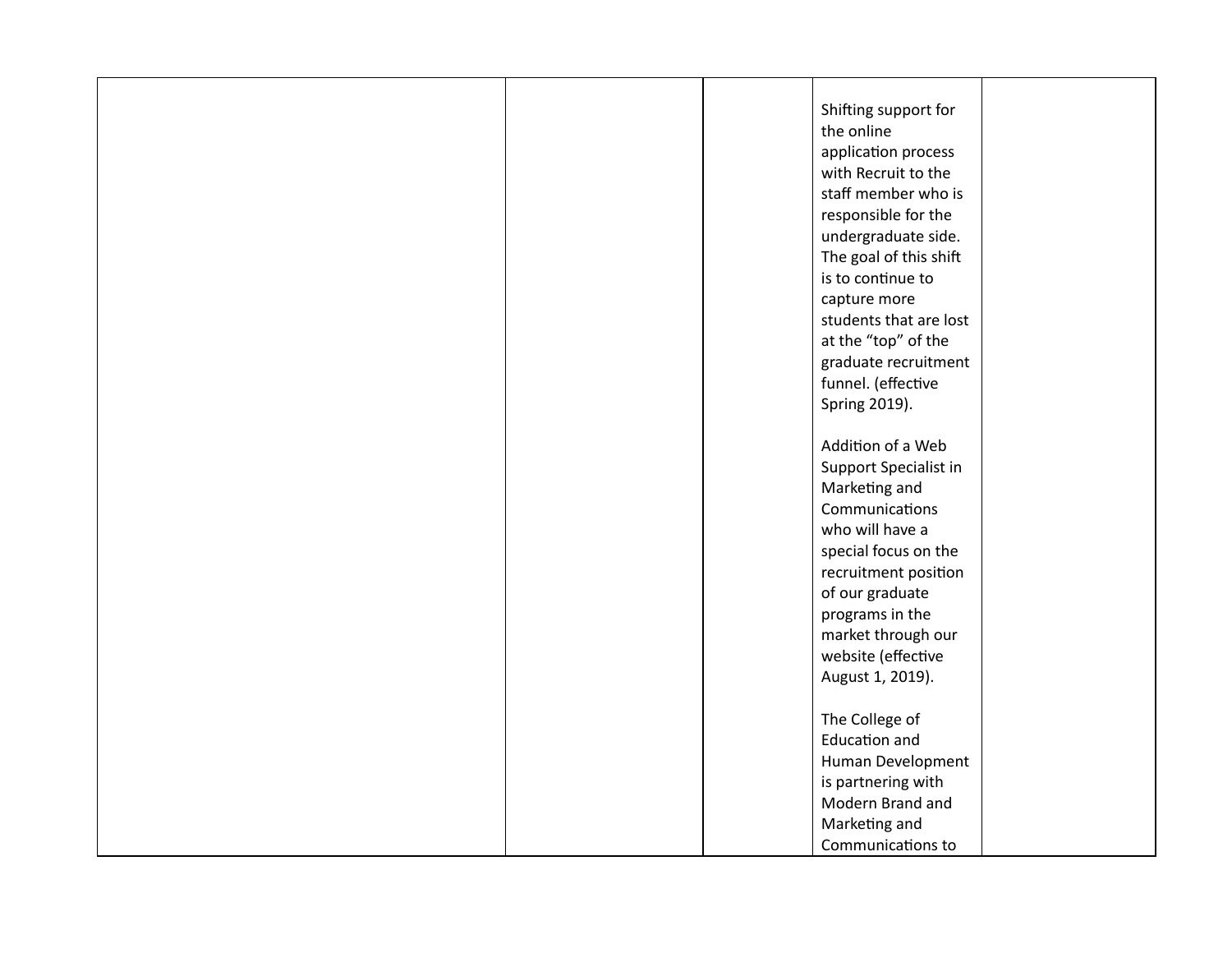|  | Shifting support for   |  |
|--|------------------------|--|
|  | the online             |  |
|  | application process    |  |
|  | with Recruit to the    |  |
|  | staff member who is    |  |
|  | responsible for the    |  |
|  | undergraduate side.    |  |
|  | The goal of this shift |  |
|  | is to continue to      |  |
|  | capture more           |  |
|  | students that are lost |  |
|  | at the "top" of the    |  |
|  | graduate recruitment   |  |
|  | funnel. (effective     |  |
|  | Spring 2019).          |  |
|  |                        |  |
|  | Addition of a Web      |  |
|  | Support Specialist in  |  |
|  | Marketing and          |  |
|  | Communications         |  |
|  | who will have a        |  |
|  | special focus on the   |  |
|  | recruitment position   |  |
|  | of our graduate        |  |
|  | programs in the        |  |
|  | market through our     |  |
|  | website (effective     |  |
|  | August 1, 2019).       |  |
|  |                        |  |
|  | The College of         |  |
|  | <b>Education and</b>   |  |
|  | Human Development      |  |
|  | is partnering with     |  |
|  | Modern Brand and       |  |
|  | Marketing and          |  |
|  | Communications to      |  |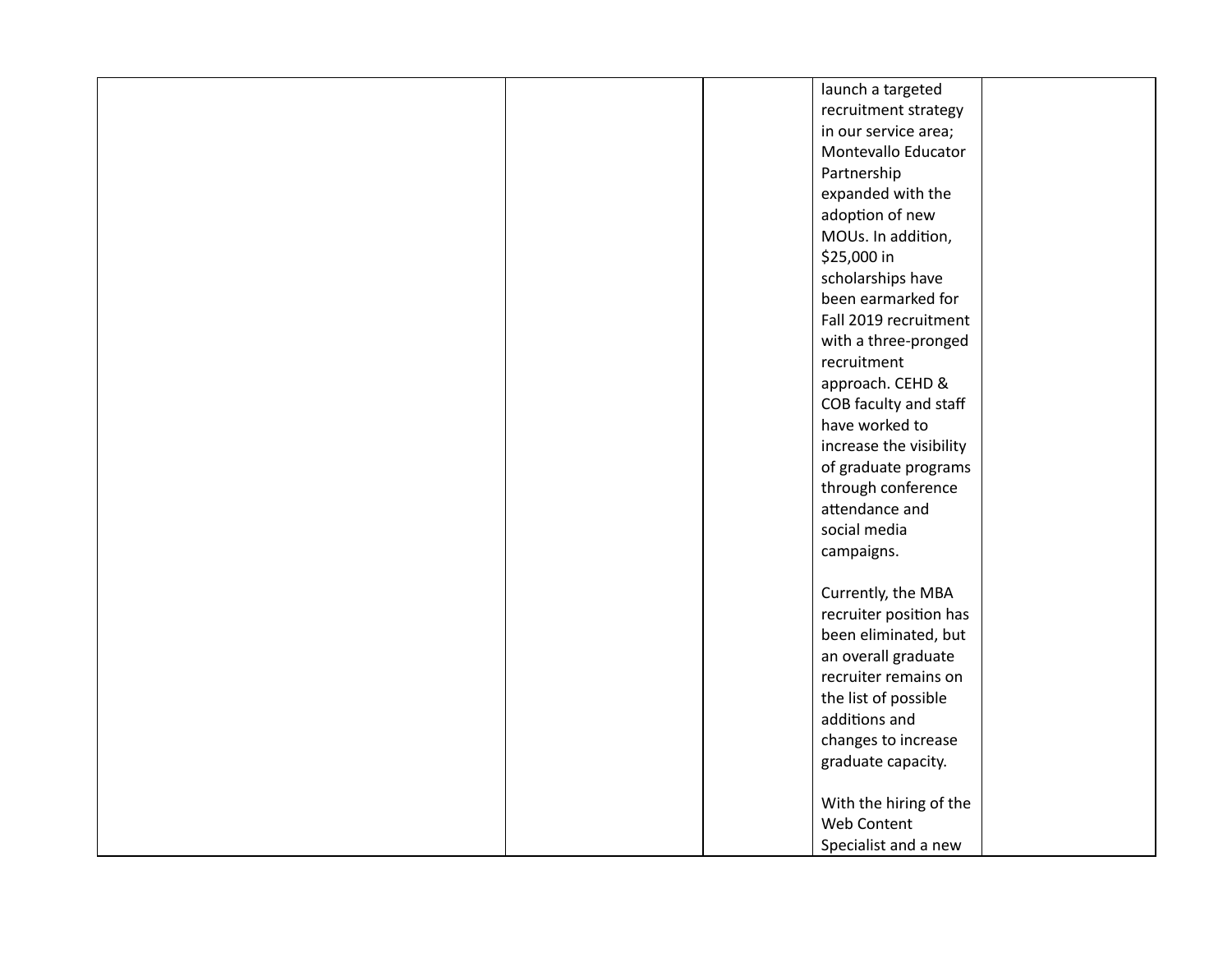|  | launch a targeted       |  |
|--|-------------------------|--|
|  | recruitment strategy    |  |
|  | in our service area;    |  |
|  | Montevallo Educator     |  |
|  | Partnership             |  |
|  | expanded with the       |  |
|  | adoption of new         |  |
|  | MOUs. In addition,      |  |
|  | \$25,000 in             |  |
|  | scholarships have       |  |
|  | been earmarked for      |  |
|  | Fall 2019 recruitment   |  |
|  | with a three-pronged    |  |
|  | recruitment             |  |
|  | approach. CEHD &        |  |
|  | COB faculty and staff   |  |
|  | have worked to          |  |
|  | increase the visibility |  |
|  | of graduate programs    |  |
|  | through conference      |  |
|  | attendance and          |  |
|  | social media            |  |
|  | campaigns.              |  |
|  |                         |  |
|  | Currently, the MBA      |  |
|  | recruiter position has  |  |
|  | been eliminated, but    |  |
|  | an overall graduate     |  |
|  | recruiter remains on    |  |
|  | the list of possible    |  |
|  | additions and           |  |
|  | changes to increase     |  |
|  | graduate capacity.      |  |
|  |                         |  |
|  | With the hiring of the  |  |
|  | Web Content             |  |
|  | Specialist and a new    |  |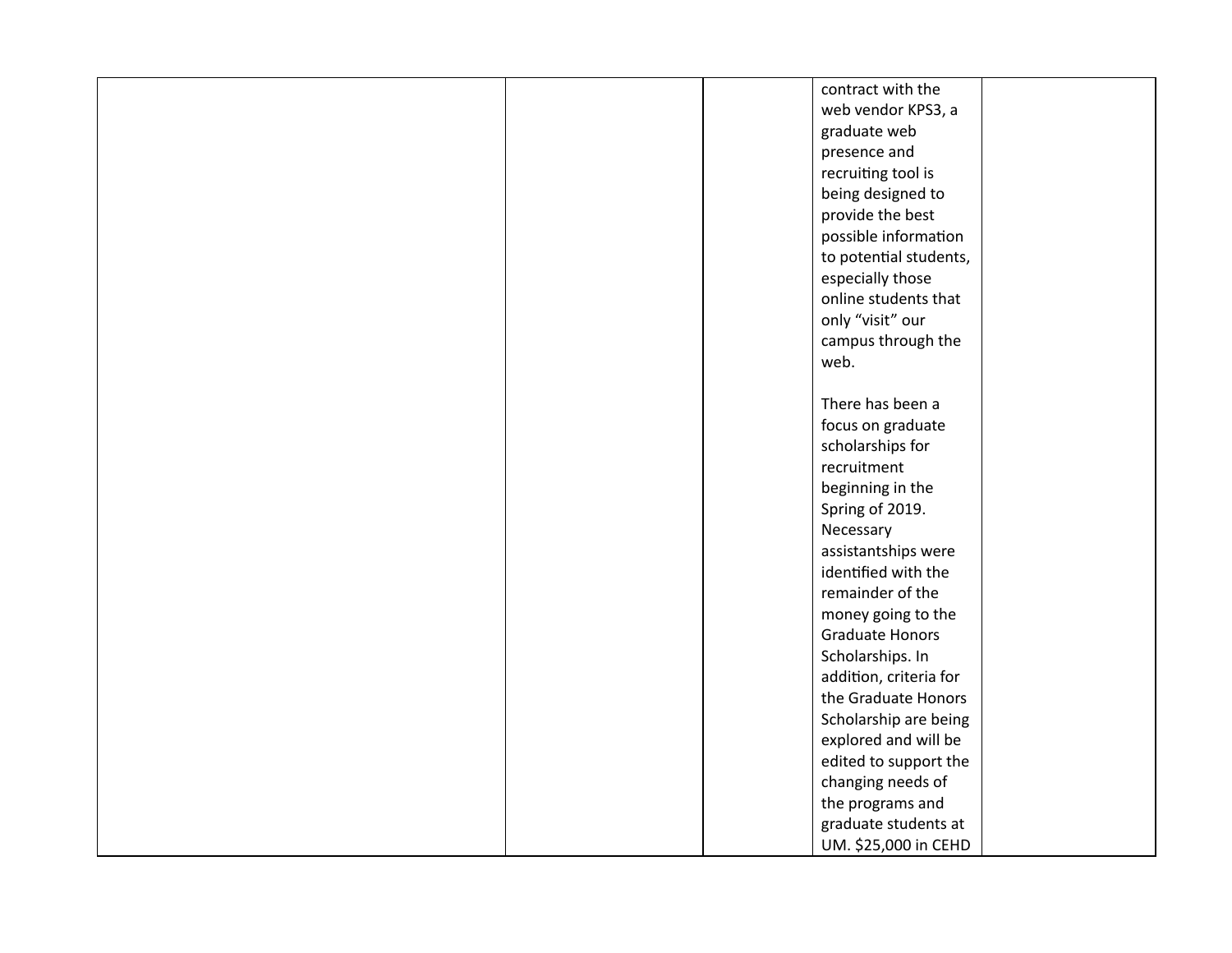|  | contract with the      |  |
|--|------------------------|--|
|  | web vendor KPS3, a     |  |
|  | graduate web           |  |
|  | presence and           |  |
|  | recruiting tool is     |  |
|  | being designed to      |  |
|  | provide the best       |  |
|  | possible information   |  |
|  | to potential students, |  |
|  | especially those       |  |
|  | online students that   |  |
|  | only "visit" our       |  |
|  | campus through the     |  |
|  | web.                   |  |
|  |                        |  |
|  | There has been a       |  |
|  | focus on graduate      |  |
|  | scholarships for       |  |
|  | recruitment            |  |
|  | beginning in the       |  |
|  | Spring of 2019.        |  |
|  | Necessary              |  |
|  | assistantships were    |  |
|  | identified with the    |  |
|  | remainder of the       |  |
|  | money going to the     |  |
|  | <b>Graduate Honors</b> |  |
|  | Scholarships. In       |  |
|  | addition, criteria for |  |
|  | the Graduate Honors    |  |
|  | Scholarship are being  |  |
|  | explored and will be   |  |
|  | edited to support the  |  |
|  | changing needs of      |  |
|  | the programs and       |  |
|  | graduate students at   |  |
|  | UM. \$25,000 in CEHD   |  |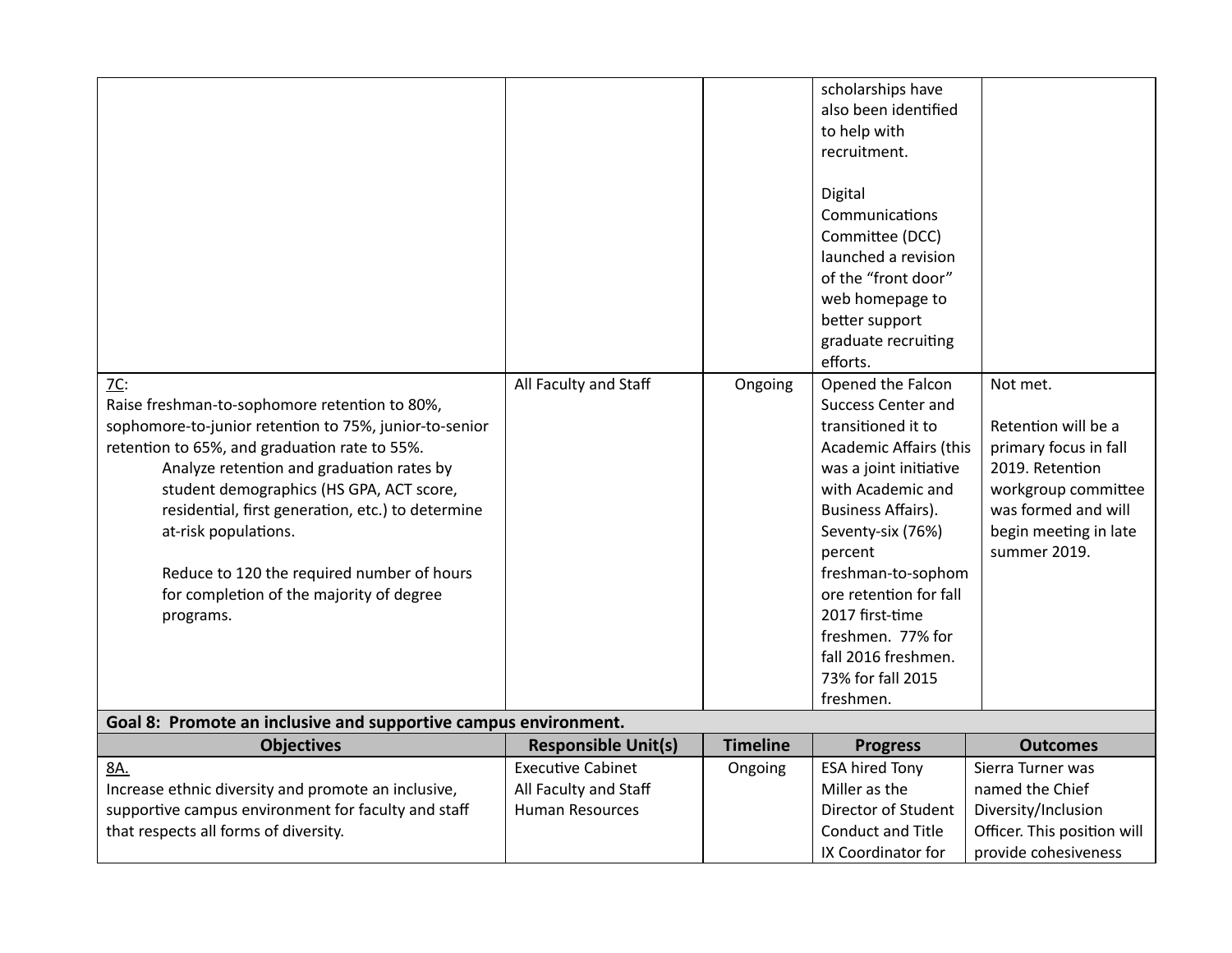| $7C$ :<br>Raise freshman-to-sophomore retention to 80%,<br>sophomore-to-junior retention to 75%, junior-to-senior<br>retention to 65%, and graduation rate to 55%.<br>Analyze retention and graduation rates by<br>student demographics (HS GPA, ACT score,<br>residential, first generation, etc.) to determine<br>at-risk populations.<br>Reduce to 120 the required number of hours<br>for completion of the majority of degree<br>programs. | All Faculty and Staff                                                       | Ongoing         | scholarships have<br>also been identified<br>to help with<br>recruitment.<br>Digital<br>Communications<br>Committee (DCC)<br>launched a revision<br>of the "front door"<br>web homepage to<br>better support<br>graduate recruiting<br>efforts.<br>Opened the Falcon<br><b>Success Center and</b><br>transitioned it to<br><b>Academic Affairs (this</b><br>was a joint initiative<br>with Academic and<br>Business Affairs).<br>Seventy-six (76%)<br>percent<br>freshman-to-sophom<br>ore retention for fall<br>2017 first-time<br>freshmen. 77% for<br>fall 2016 freshmen.<br>73% for fall 2015<br>freshmen. | Not met.<br>Retention will be a<br>primary focus in fall<br>2019. Retention<br>workgroup committee<br>was formed and will<br>begin meeting in late<br>summer 2019. |
|-------------------------------------------------------------------------------------------------------------------------------------------------------------------------------------------------------------------------------------------------------------------------------------------------------------------------------------------------------------------------------------------------------------------------------------------------|-----------------------------------------------------------------------------|-----------------|----------------------------------------------------------------------------------------------------------------------------------------------------------------------------------------------------------------------------------------------------------------------------------------------------------------------------------------------------------------------------------------------------------------------------------------------------------------------------------------------------------------------------------------------------------------------------------------------------------------|--------------------------------------------------------------------------------------------------------------------------------------------------------------------|
| Goal 8: Promote an inclusive and supportive campus environment.                                                                                                                                                                                                                                                                                                                                                                                 |                                                                             |                 |                                                                                                                                                                                                                                                                                                                                                                                                                                                                                                                                                                                                                |                                                                                                                                                                    |
| <b>Objectives</b>                                                                                                                                                                                                                                                                                                                                                                                                                               | <b>Responsible Unit(s)</b>                                                  | <b>Timeline</b> | <b>Progress</b>                                                                                                                                                                                                                                                                                                                                                                                                                                                                                                                                                                                                | <b>Outcomes</b>                                                                                                                                                    |
| 8A.<br>Increase ethnic diversity and promote an inclusive,<br>supportive campus environment for faculty and staff<br>that respects all forms of diversity.                                                                                                                                                                                                                                                                                      | <b>Executive Cabinet</b><br>All Faculty and Staff<br><b>Human Resources</b> | Ongoing         | <b>ESA hired Tony</b><br>Miller as the<br>Director of Student<br><b>Conduct and Title</b><br>IX Coordinator for                                                                                                                                                                                                                                                                                                                                                                                                                                                                                                | Sierra Turner was<br>named the Chief<br>Diversity/Inclusion<br>Officer. This position will<br>provide cohesiveness                                                 |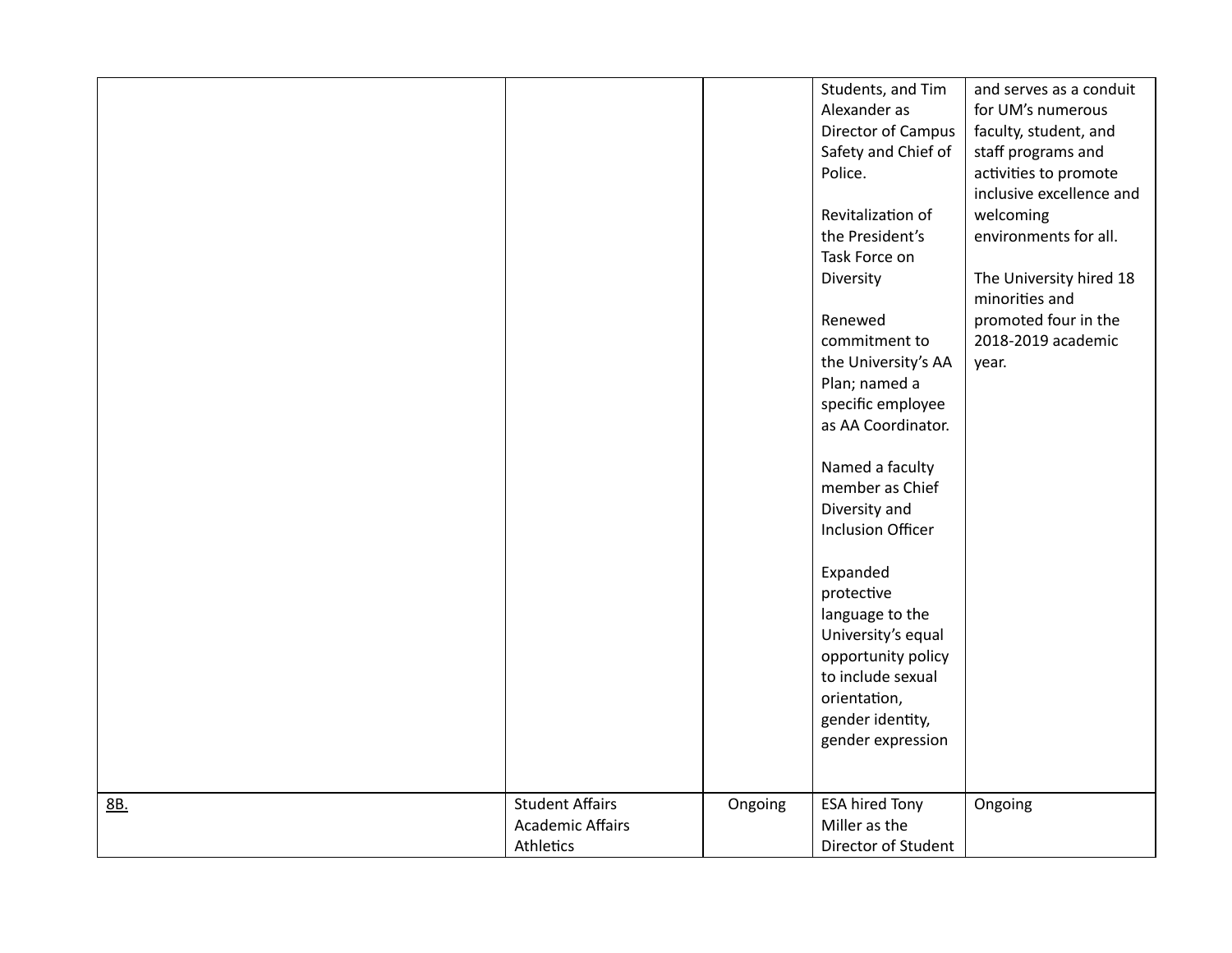| orientation,<br>gender identity,<br>gender expression<br><b>Student Affairs</b><br>Ongoing<br><b>ESA hired Tony</b><br>8B.<br>Ongoing |  | Director of Campus<br>Safety and Chief of<br>Police.<br>Revitalization of<br>the President's<br>Task Force on<br>Diversity<br>Renewed<br>commitment to<br>the University's AA<br>Plan; named a<br>specific employee<br>as AA Coordinator.<br>Named a faculty<br>member as Chief<br>Diversity and<br><b>Inclusion Officer</b><br>Expanded<br>protective<br>language to the<br>University's equal<br>opportunity policy<br>to include sexual | faculty, student, and<br>staff programs and<br>activities to promote<br>inclusive excellence and<br>welcoming<br>environments for all.<br>The University hired 18<br>minorities and<br>promoted four in the<br>2018-2019 academic<br>year. |
|---------------------------------------------------------------------------------------------------------------------------------------|--|--------------------------------------------------------------------------------------------------------------------------------------------------------------------------------------------------------------------------------------------------------------------------------------------------------------------------------------------------------------------------------------------------------------------------------------------|--------------------------------------------------------------------------------------------------------------------------------------------------------------------------------------------------------------------------------------------|
| <b>Academic Affairs</b><br>Miller as the<br>Director of Student<br>Athletics                                                          |  |                                                                                                                                                                                                                                                                                                                                                                                                                                            |                                                                                                                                                                                                                                            |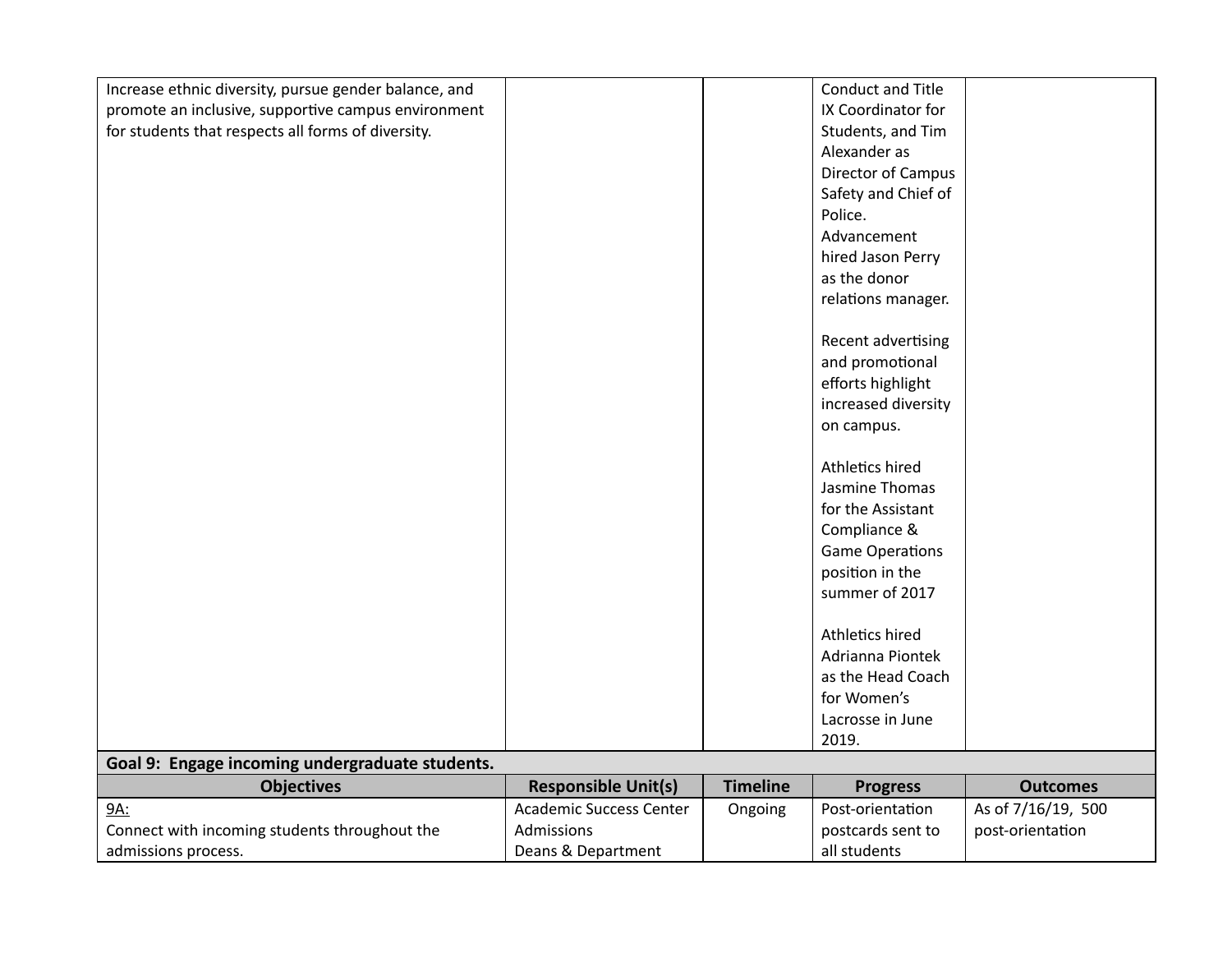| Increase ethnic diversity, pursue gender balance, and |                                |                 | Conduct and Title      |                    |
|-------------------------------------------------------|--------------------------------|-----------------|------------------------|--------------------|
| promote an inclusive, supportive campus environment   |                                |                 | IX Coordinator for     |                    |
| for students that respects all forms of diversity.    |                                |                 | Students, and Tim      |                    |
|                                                       |                                |                 | Alexander as           |                    |
|                                                       |                                |                 |                        |                    |
|                                                       |                                |                 | Director of Campus     |                    |
|                                                       |                                |                 | Safety and Chief of    |                    |
|                                                       |                                |                 | Police.                |                    |
|                                                       |                                |                 | Advancement            |                    |
|                                                       |                                |                 | hired Jason Perry      |                    |
|                                                       |                                |                 | as the donor           |                    |
|                                                       |                                |                 | relations manager.     |                    |
|                                                       |                                |                 |                        |                    |
|                                                       |                                |                 | Recent advertising     |                    |
|                                                       |                                |                 | and promotional        |                    |
|                                                       |                                |                 | efforts highlight      |                    |
|                                                       |                                |                 | increased diversity    |                    |
|                                                       |                                |                 | on campus.             |                    |
|                                                       |                                |                 |                        |                    |
|                                                       |                                |                 | Athletics hired        |                    |
|                                                       |                                |                 | Jasmine Thomas         |                    |
|                                                       |                                |                 | for the Assistant      |                    |
|                                                       |                                |                 | Compliance &           |                    |
|                                                       |                                |                 | <b>Game Operations</b> |                    |
|                                                       |                                |                 | position in the        |                    |
|                                                       |                                |                 | summer of 2017         |                    |
|                                                       |                                |                 |                        |                    |
|                                                       |                                |                 | Athletics hired        |                    |
|                                                       |                                |                 | Adrianna Piontek       |                    |
|                                                       |                                |                 | as the Head Coach      |                    |
|                                                       |                                |                 | for Women's            |                    |
|                                                       |                                |                 | Lacrosse in June       |                    |
|                                                       |                                |                 | 2019.                  |                    |
| Goal 9: Engage incoming undergraduate students.       |                                |                 |                        |                    |
| <b>Objectives</b>                                     | <b>Responsible Unit(s)</b>     | <b>Timeline</b> | <b>Progress</b>        | <b>Outcomes</b>    |
| 9A:                                                   | <b>Academic Success Center</b> |                 | Post-orientation       | As of 7/16/19, 500 |
|                                                       | Admissions                     | Ongoing         |                        |                    |
| Connect with incoming students throughout the         |                                |                 | postcards sent to      | post-orientation   |
| admissions process.                                   | Deans & Department             |                 | all students           |                    |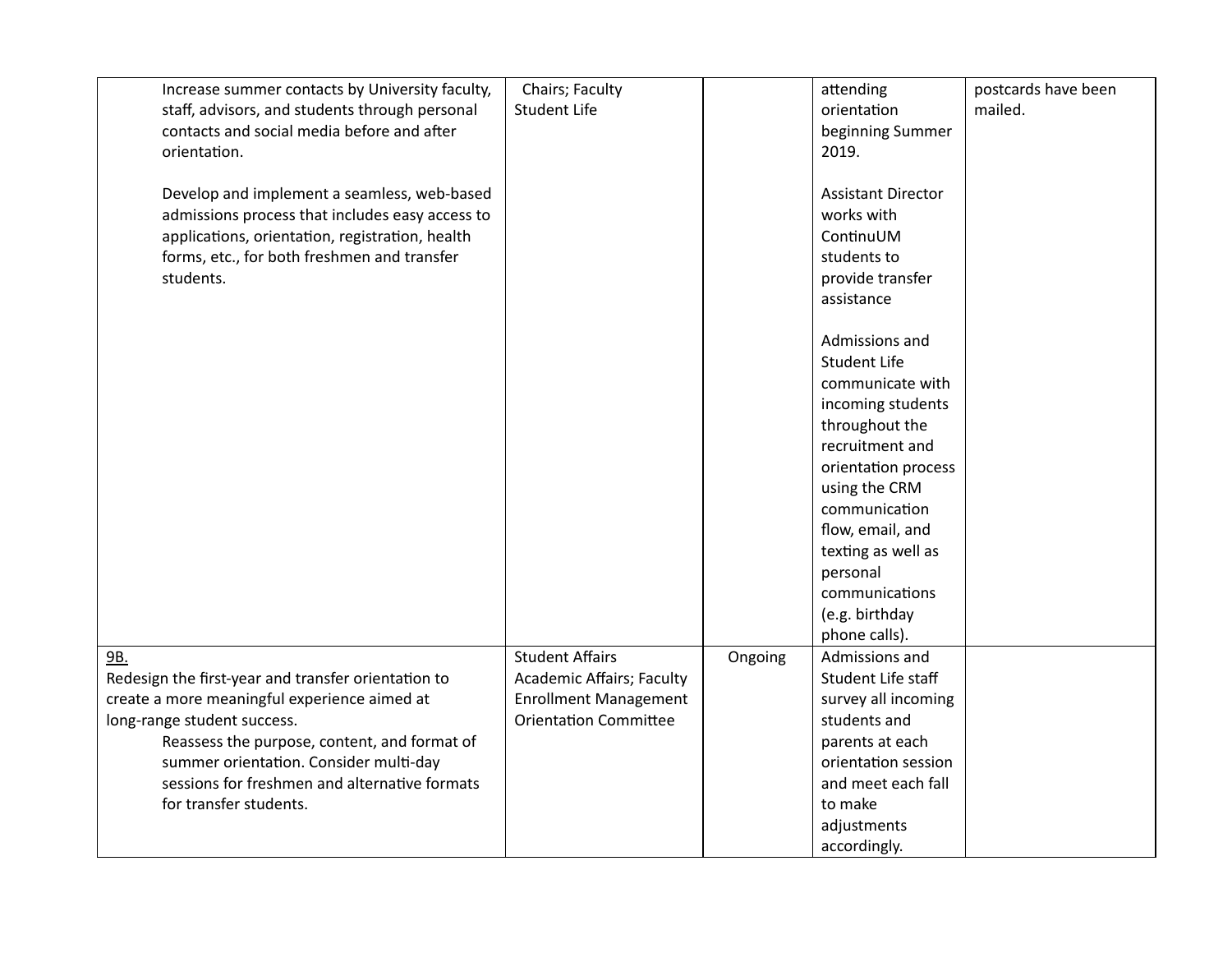| Increase summer contacts by University faculty,     | Chairs; Faculty                  |         | attending                 | postcards have been |
|-----------------------------------------------------|----------------------------------|---------|---------------------------|---------------------|
| staff, advisors, and students through personal      | <b>Student Life</b>              |         | orientation               | mailed.             |
| contacts and social media before and after          |                                  |         | beginning Summer          |                     |
| orientation.                                        |                                  |         | 2019.                     |                     |
|                                                     |                                  |         |                           |                     |
| Develop and implement a seamless, web-based         |                                  |         | <b>Assistant Director</b> |                     |
| admissions process that includes easy access to     |                                  |         | works with                |                     |
| applications, orientation, registration, health     |                                  |         | ContinuUM                 |                     |
| forms, etc., for both freshmen and transfer         |                                  |         | students to               |                     |
| students.                                           |                                  |         | provide transfer          |                     |
|                                                     |                                  |         | assistance                |                     |
|                                                     |                                  |         |                           |                     |
|                                                     |                                  |         | Admissions and            |                     |
|                                                     |                                  |         | <b>Student Life</b>       |                     |
|                                                     |                                  |         | communicate with          |                     |
|                                                     |                                  |         | incoming students         |                     |
|                                                     |                                  |         | throughout the            |                     |
|                                                     |                                  |         | recruitment and           |                     |
|                                                     |                                  |         | orientation process       |                     |
|                                                     |                                  |         | using the CRM             |                     |
|                                                     |                                  |         | communication             |                     |
|                                                     |                                  |         | flow, email, and          |                     |
|                                                     |                                  |         | texting as well as        |                     |
|                                                     |                                  |         | personal                  |                     |
|                                                     |                                  |         | communications            |                     |
|                                                     |                                  |         |                           |                     |
|                                                     |                                  |         | (e.g. birthday            |                     |
|                                                     |                                  |         | phone calls).             |                     |
| 9B.                                                 | <b>Student Affairs</b>           | Ongoing | Admissions and            |                     |
| Redesign the first-year and transfer orientation to | <b>Academic Affairs; Faculty</b> |         | Student Life staff        |                     |
| create a more meaningful experience aimed at        | <b>Enrollment Management</b>     |         | survey all incoming       |                     |
| long-range student success.                         | <b>Orientation Committee</b>     |         | students and              |                     |
| Reassess the purpose, content, and format of        |                                  |         | parents at each           |                     |
| summer orientation. Consider multi-day              |                                  |         | orientation session       |                     |
| sessions for freshmen and alternative formats       |                                  |         | and meet each fall        |                     |
| for transfer students.                              |                                  |         | to make                   |                     |
|                                                     |                                  |         | adjustments               |                     |
|                                                     |                                  |         | accordingly.              |                     |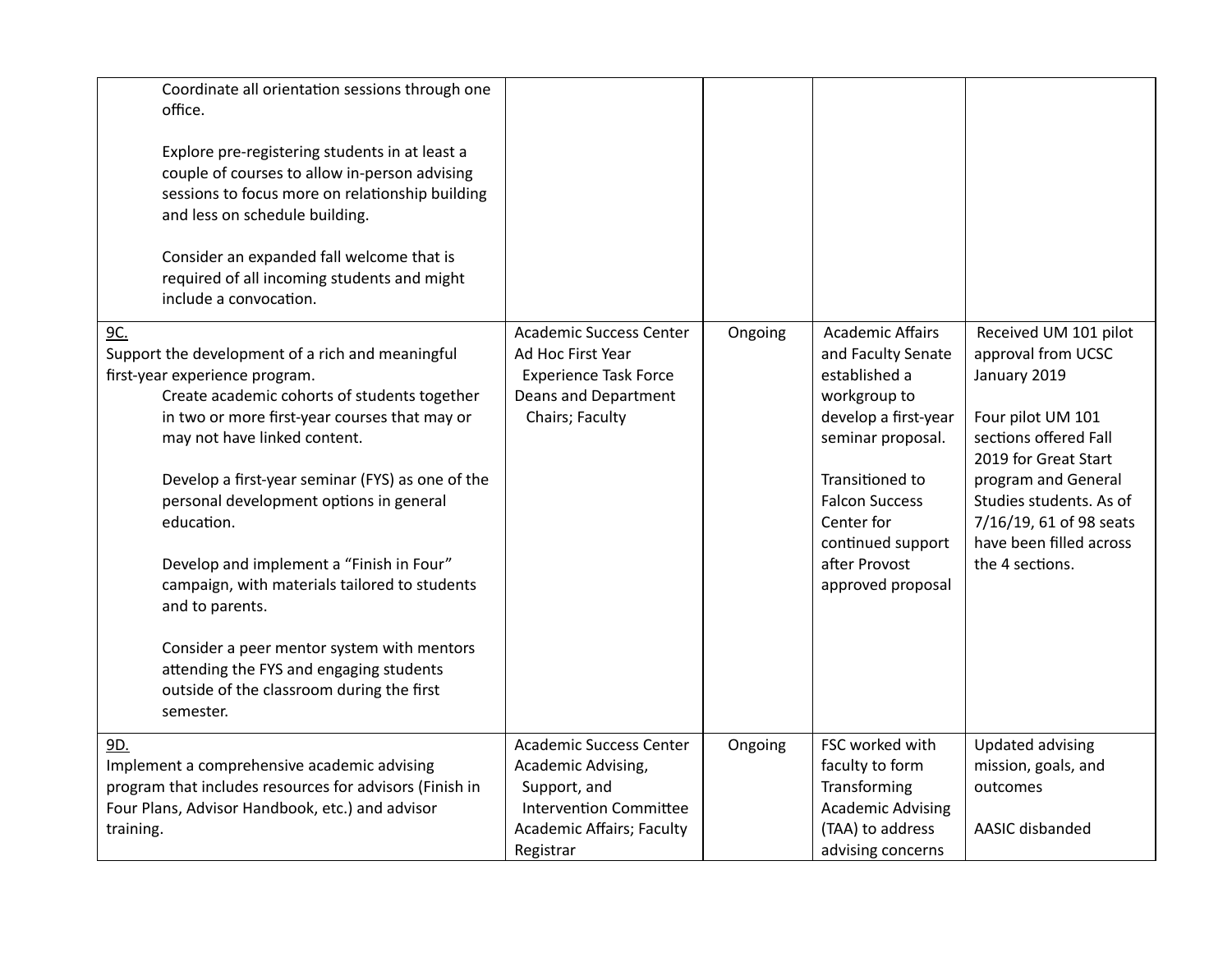| Coordinate all orientation sessions through one<br>office.<br>Explore pre-registering students in at least a<br>couple of courses to allow in-person advising<br>sessions to focus more on relationship building<br>and less on schedule building.<br>Consider an expanded fall welcome that is<br>required of all incoming students and might<br>include a convocation.                                                                                                                                                                                                                                   |                                                                                                                                                        |         |                                                                                                                                                                                                                                                  |                                                                                                                                                                                                                                                              |
|------------------------------------------------------------------------------------------------------------------------------------------------------------------------------------------------------------------------------------------------------------------------------------------------------------------------------------------------------------------------------------------------------------------------------------------------------------------------------------------------------------------------------------------------------------------------------------------------------------|--------------------------------------------------------------------------------------------------------------------------------------------------------|---------|--------------------------------------------------------------------------------------------------------------------------------------------------------------------------------------------------------------------------------------------------|--------------------------------------------------------------------------------------------------------------------------------------------------------------------------------------------------------------------------------------------------------------|
| 9C.<br>Support the development of a rich and meaningful<br>first-year experience program.<br>Create academic cohorts of students together<br>in two or more first-year courses that may or<br>may not have linked content.<br>Develop a first-year seminar (FYS) as one of the<br>personal development options in general<br>education.<br>Develop and implement a "Finish in Four"<br>campaign, with materials tailored to students<br>and to parents.<br>Consider a peer mentor system with mentors<br>attending the FYS and engaging students<br>outside of the classroom during the first<br>semester. | <b>Academic Success Center</b><br>Ad Hoc First Year<br><b>Experience Task Force</b><br>Deans and Department<br>Chairs; Faculty                         | Ongoing | <b>Academic Affairs</b><br>and Faculty Senate<br>established a<br>workgroup to<br>develop a first-year<br>seminar proposal.<br>Transitioned to<br><b>Falcon Success</b><br>Center for<br>continued support<br>after Provost<br>approved proposal | Received UM 101 pilot<br>approval from UCSC<br>January 2019<br>Four pilot UM 101<br>sections offered Fall<br>2019 for Great Start<br>program and General<br>Studies students. As of<br>7/16/19, 61 of 98 seats<br>have been filled across<br>the 4 sections. |
| 9D.<br>Implement a comprehensive academic advising<br>program that includes resources for advisors (Finish in<br>Four Plans, Advisor Handbook, etc.) and advisor<br>training.                                                                                                                                                                                                                                                                                                                                                                                                                              | <b>Academic Success Center</b><br>Academic Advising,<br>Support, and<br><b>Intervention Committee</b><br><b>Academic Affairs; Faculty</b><br>Registrar | Ongoing | FSC worked with<br>faculty to form<br>Transforming<br><b>Academic Advising</b><br>(TAA) to address<br>advising concerns                                                                                                                          | <b>Updated advising</b><br>mission, goals, and<br>outcomes<br>AASIC disbanded                                                                                                                                                                                |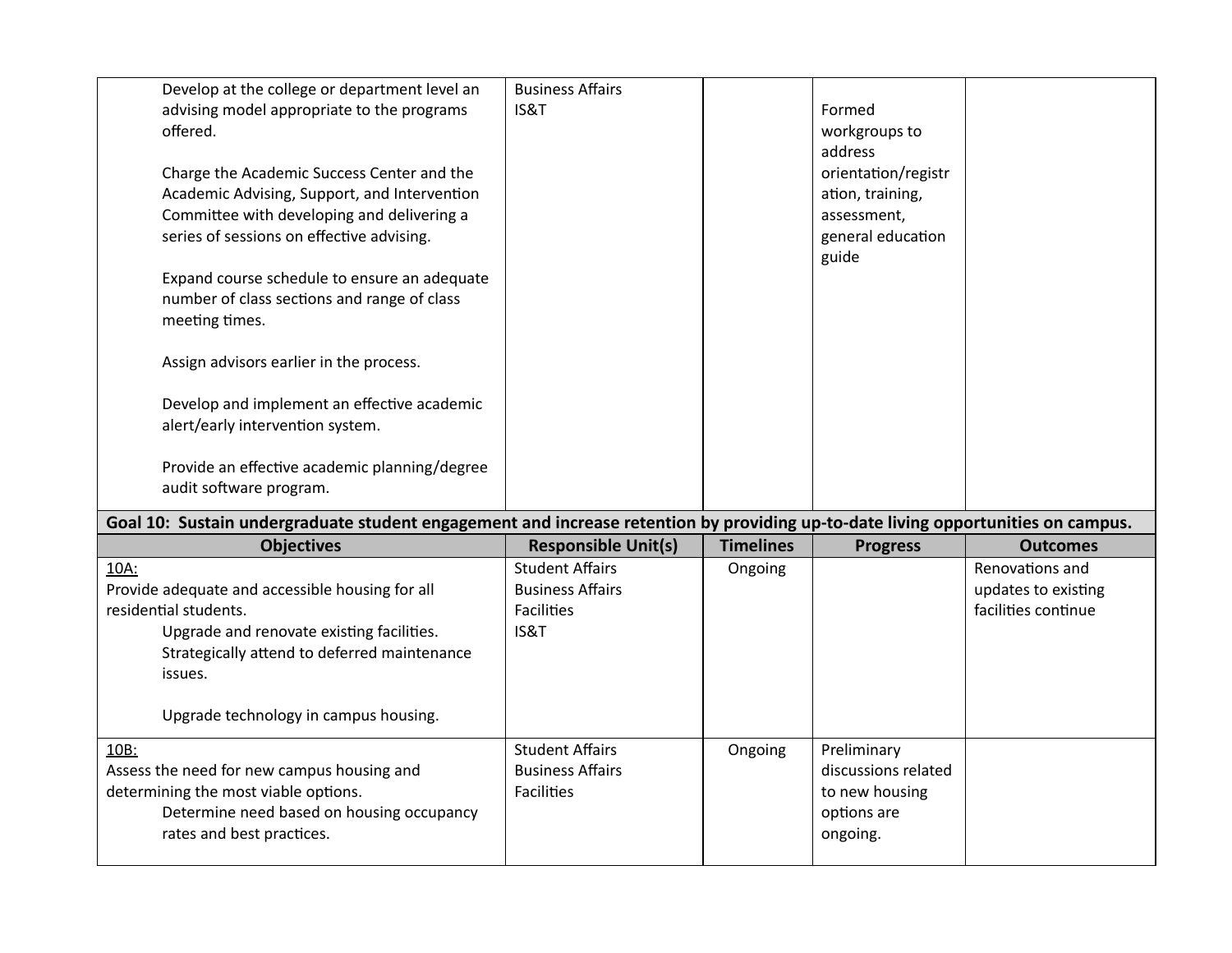|      | Develop at the college or department level an<br>advising model appropriate to the programs<br>offered.                                                                                                                                                                                                | <b>Business Affairs</b><br>IS&T                                                                              |                             | Formed<br>workgroups to<br>address                                                   |                                                               |
|------|--------------------------------------------------------------------------------------------------------------------------------------------------------------------------------------------------------------------------------------------------------------------------------------------------------|--------------------------------------------------------------------------------------------------------------|-----------------------------|--------------------------------------------------------------------------------------|---------------------------------------------------------------|
|      | Charge the Academic Success Center and the<br>Academic Advising, Support, and Intervention<br>Committee with developing and delivering a<br>series of sessions on effective advising.<br>Expand course schedule to ensure an adequate<br>number of class sections and range of class<br>meeting times. |                                                                                                              |                             | orientation/registr<br>ation, training,<br>assessment,<br>general education<br>guide |                                                               |
|      | Assign advisors earlier in the process.<br>Develop and implement an effective academic<br>alert/early intervention system.                                                                                                                                                                             |                                                                                                              |                             |                                                                                      |                                                               |
|      | Provide an effective academic planning/degree                                                                                                                                                                                                                                                          |                                                                                                              |                             |                                                                                      |                                                               |
|      | audit software program.                                                                                                                                                                                                                                                                                |                                                                                                              |                             |                                                                                      |                                                               |
|      | Goal 10: Sustain undergraduate student engagement and increase retention by providing up-to-date living opportunities on campus.                                                                                                                                                                       |                                                                                                              |                             |                                                                                      | <b>Outcomes</b>                                               |
| 10A: | <b>Objectives</b><br>Provide adequate and accessible housing for all<br>residential students.<br>Upgrade and renovate existing facilities.<br>Strategically attend to deferred maintenance<br>issues.                                                                                                  | <b>Responsible Unit(s)</b><br><b>Student Affairs</b><br><b>Business Affairs</b><br><b>Facilities</b><br>IS&T | <b>Timelines</b><br>Ongoing | <b>Progress</b>                                                                      | Renovations and<br>updates to existing<br>facilities continue |
|      | Upgrade technology in campus housing.                                                                                                                                                                                                                                                                  |                                                                                                              |                             |                                                                                      |                                                               |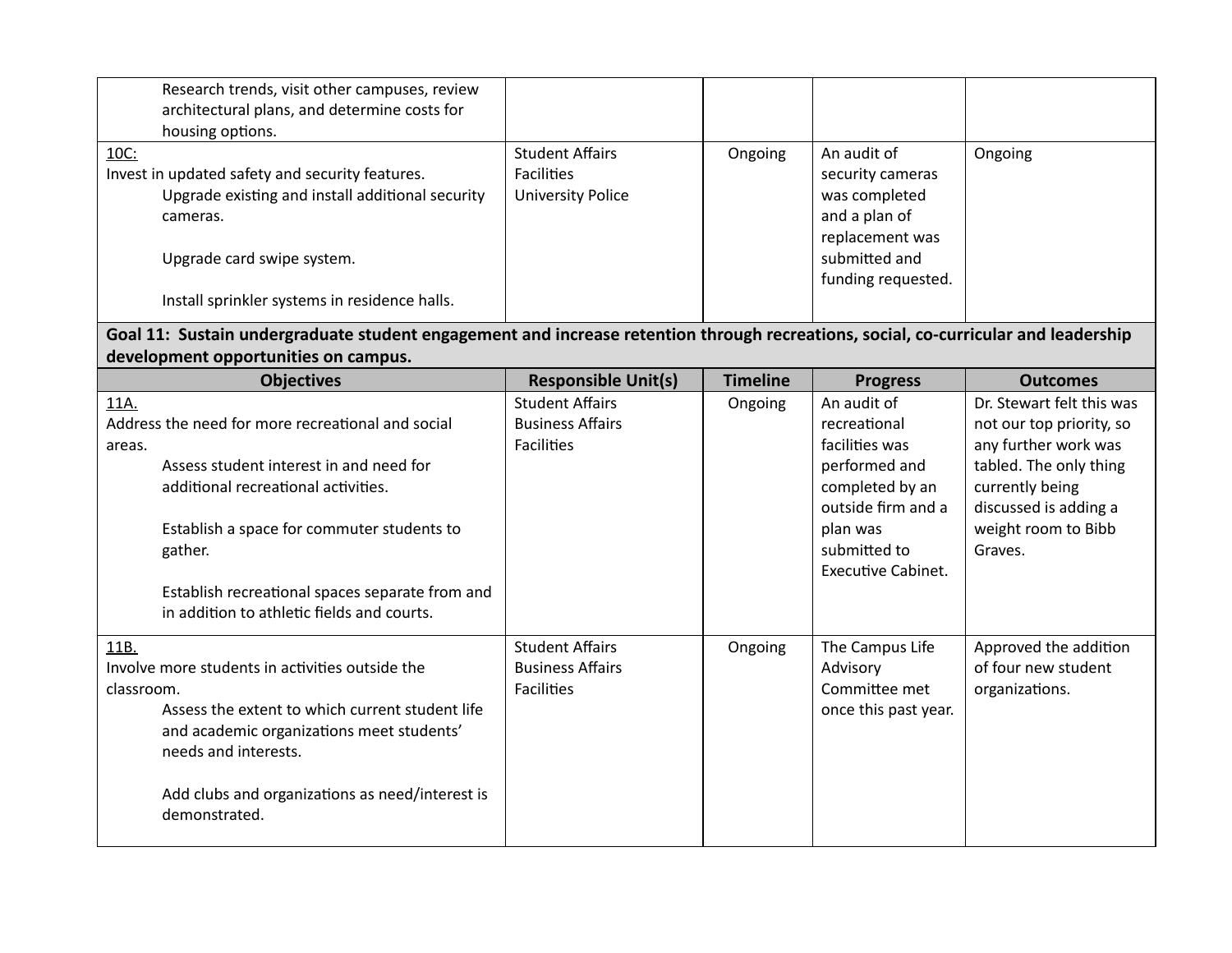| Research trends, visit other campuses, review                                                                                      |                            |                 |                           |                           |  |  |
|------------------------------------------------------------------------------------------------------------------------------------|----------------------------|-----------------|---------------------------|---------------------------|--|--|
| architectural plans, and determine costs for                                                                                       |                            |                 |                           |                           |  |  |
| housing options.                                                                                                                   |                            |                 |                           |                           |  |  |
| 10C:                                                                                                                               | <b>Student Affairs</b>     | Ongoing         | An audit of               | Ongoing                   |  |  |
| Invest in updated safety and security features.                                                                                    | <b>Facilities</b>          |                 | security cameras          |                           |  |  |
| Upgrade existing and install additional security                                                                                   | <b>University Police</b>   |                 | was completed             |                           |  |  |
| cameras.                                                                                                                           |                            |                 | and a plan of             |                           |  |  |
|                                                                                                                                    |                            |                 | replacement was           |                           |  |  |
| Upgrade card swipe system.                                                                                                         |                            |                 | submitted and             |                           |  |  |
|                                                                                                                                    |                            |                 | funding requested.        |                           |  |  |
| Install sprinkler systems in residence halls.                                                                                      |                            |                 |                           |                           |  |  |
| Goal 11: Sustain undergraduate student engagement and increase retention through recreations, social, co-curricular and leadership |                            |                 |                           |                           |  |  |
| development opportunities on campus.                                                                                               |                            |                 |                           |                           |  |  |
| <b>Objectives</b>                                                                                                                  | <b>Responsible Unit(s)</b> | <b>Timeline</b> | <b>Progress</b>           | <b>Outcomes</b>           |  |  |
| 11A.                                                                                                                               | <b>Student Affairs</b>     | Ongoing         | An audit of               | Dr. Stewart felt this was |  |  |
| Address the need for more recreational and social                                                                                  | <b>Business Affairs</b>    |                 | recreational              | not our top priority, so  |  |  |
| areas.                                                                                                                             | <b>Facilities</b>          |                 | facilities was            | any further work was      |  |  |
| Assess student interest in and need for                                                                                            |                            |                 | performed and             | tabled. The only thing    |  |  |
| additional recreational activities.                                                                                                |                            |                 | completed by an           | currently being           |  |  |
|                                                                                                                                    |                            |                 | outside firm and a        | discussed is adding a     |  |  |
| Establish a space for commuter students to                                                                                         |                            |                 | plan was                  | weight room to Bibb       |  |  |
| gather.                                                                                                                            |                            |                 | submitted to              | Graves.                   |  |  |
|                                                                                                                                    |                            |                 | <b>Executive Cabinet.</b> |                           |  |  |
| Establish recreational spaces separate from and                                                                                    |                            |                 |                           |                           |  |  |
| in addition to athletic fields and courts.                                                                                         |                            |                 |                           |                           |  |  |
| 11B.                                                                                                                               | <b>Student Affairs</b>     | Ongoing         | The Campus Life           | Approved the addition     |  |  |
| Involve more students in activities outside the                                                                                    | <b>Business Affairs</b>    |                 | Advisory                  | of four new student       |  |  |
| classroom.                                                                                                                         | <b>Facilities</b>          |                 | Committee met             | organizations.            |  |  |
| Assess the extent to which current student life                                                                                    |                            |                 |                           |                           |  |  |
|                                                                                                                                    |                            |                 | once this past year.      |                           |  |  |
| and academic organizations meet students'                                                                                          |                            |                 |                           |                           |  |  |
| needs and interests.                                                                                                               |                            |                 |                           |                           |  |  |
|                                                                                                                                    |                            |                 |                           |                           |  |  |
| Add clubs and organizations as need/interest is                                                                                    |                            |                 |                           |                           |  |  |
| demonstrated.                                                                                                                      |                            |                 |                           |                           |  |  |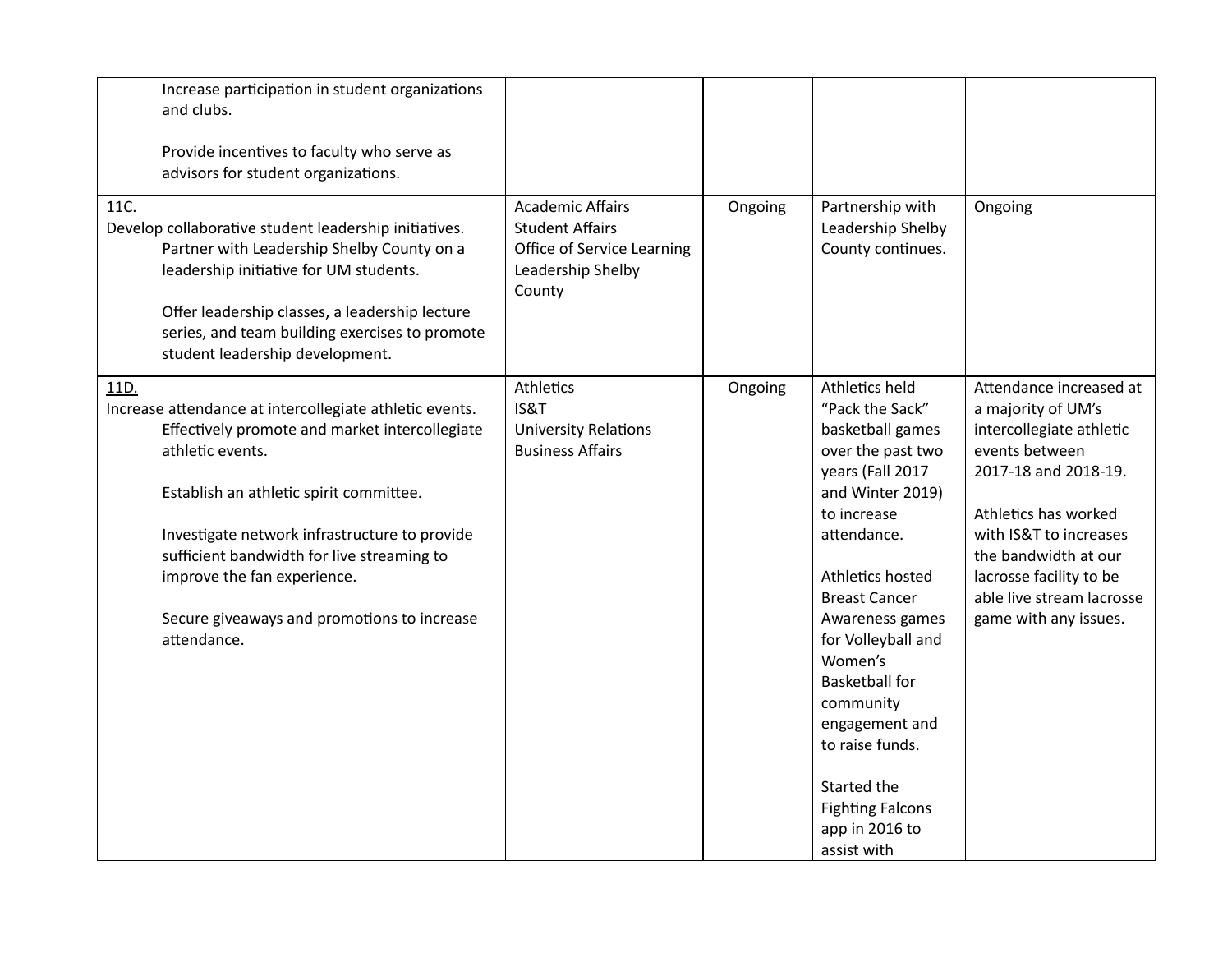| Increase participation in student organizations<br>and clubs.<br>Provide incentives to faculty who serve as<br>advisors for student organizations.                                                                                                                                                                                                                           |                                                                                                                |         |                                                                                                                                                                                                                                                                                                                                                                                                        |                                                                                                                                                                                                                                                                                |
|------------------------------------------------------------------------------------------------------------------------------------------------------------------------------------------------------------------------------------------------------------------------------------------------------------------------------------------------------------------------------|----------------------------------------------------------------------------------------------------------------|---------|--------------------------------------------------------------------------------------------------------------------------------------------------------------------------------------------------------------------------------------------------------------------------------------------------------------------------------------------------------------------------------------------------------|--------------------------------------------------------------------------------------------------------------------------------------------------------------------------------------------------------------------------------------------------------------------------------|
| 11C.<br>Develop collaborative student leadership initiatives.<br>Partner with Leadership Shelby County on a<br>leadership initiative for UM students.<br>Offer leadership classes, a leadership lecture<br>series, and team building exercises to promote<br>student leadership development.                                                                                 | <b>Academic Affairs</b><br><b>Student Affairs</b><br>Office of Service Learning<br>Leadership Shelby<br>County | Ongoing | Partnership with<br>Leadership Shelby<br>County continues.                                                                                                                                                                                                                                                                                                                                             | Ongoing                                                                                                                                                                                                                                                                        |
| 11D.<br>Increase attendance at intercollegiate athletic events.<br>Effectively promote and market intercollegiate<br>athletic events.<br>Establish an athletic spirit committee.<br>Investigate network infrastructure to provide<br>sufficient bandwidth for live streaming to<br>improve the fan experience.<br>Secure giveaways and promotions to increase<br>attendance. | Athletics<br>IS&T<br><b>University Relations</b><br><b>Business Affairs</b>                                    | Ongoing | Athletics held<br>"Pack the Sack"<br>basketball games<br>over the past two<br>years (Fall 2017<br>and Winter 2019)<br>to increase<br>attendance.<br>Athletics hosted<br><b>Breast Cancer</b><br>Awareness games<br>for Volleyball and<br>Women's<br><b>Basketball for</b><br>community<br>engagement and<br>to raise funds.<br>Started the<br><b>Fighting Falcons</b><br>app in 2016 to<br>assist with | Attendance increased at<br>a majority of UM's<br>intercollegiate athletic<br>events between<br>2017-18 and 2018-19.<br>Athletics has worked<br>with IS&T to increases<br>the bandwidth at our<br>lacrosse facility to be<br>able live stream lacrosse<br>game with any issues. |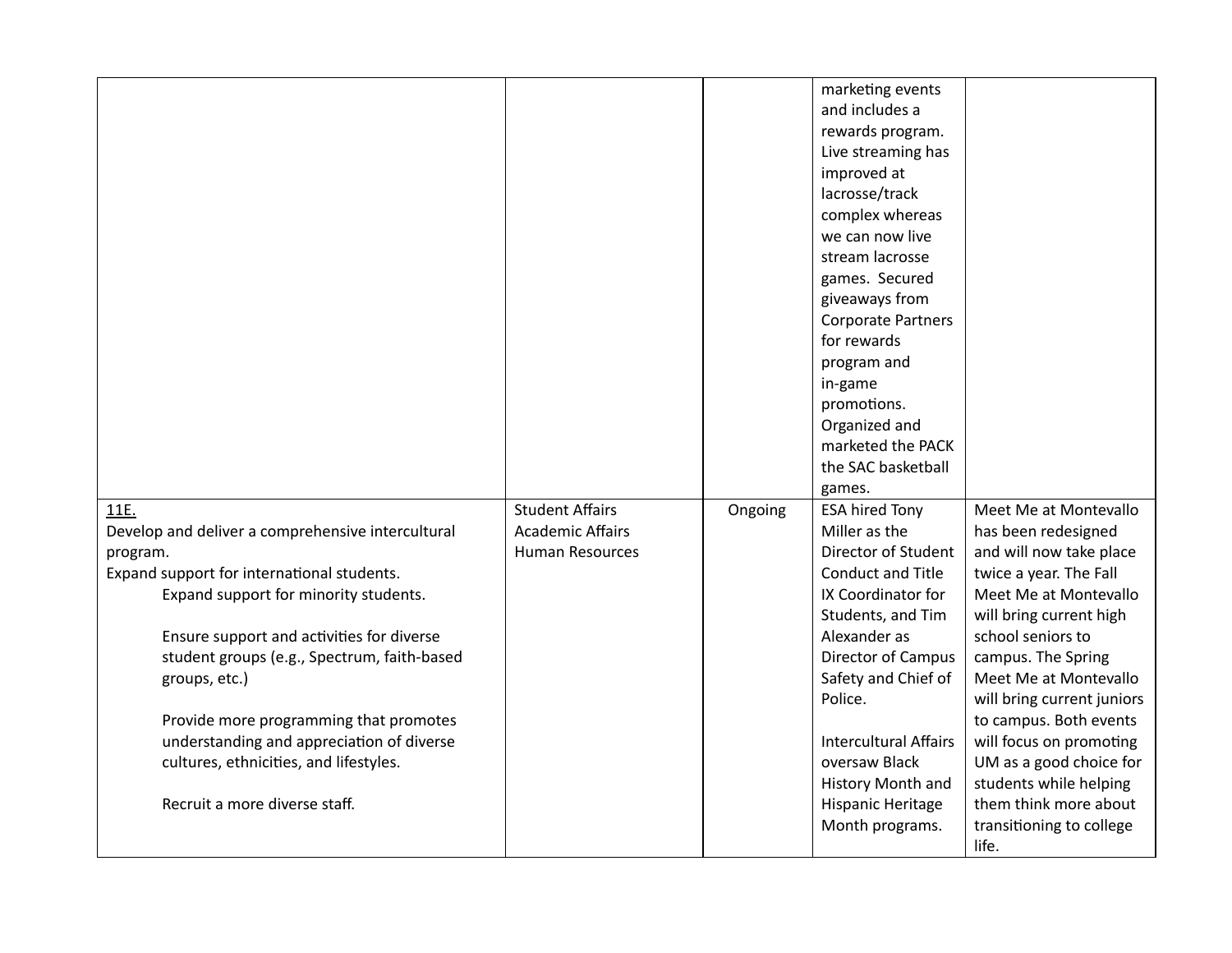|                                                   |                         |         | marketing events<br>and includes a<br>rewards program. |                                                 |
|---------------------------------------------------|-------------------------|---------|--------------------------------------------------------|-------------------------------------------------|
|                                                   |                         |         | Live streaming has                                     |                                                 |
|                                                   |                         |         | improved at                                            |                                                 |
|                                                   |                         |         | lacrosse/track                                         |                                                 |
|                                                   |                         |         | complex whereas                                        |                                                 |
|                                                   |                         |         | we can now live                                        |                                                 |
|                                                   |                         |         | stream lacrosse                                        |                                                 |
|                                                   |                         |         | games. Secured                                         |                                                 |
|                                                   |                         |         | giveaways from                                         |                                                 |
|                                                   |                         |         | <b>Corporate Partners</b>                              |                                                 |
|                                                   |                         |         | for rewards                                            |                                                 |
|                                                   |                         |         | program and                                            |                                                 |
|                                                   |                         |         | in-game                                                |                                                 |
|                                                   |                         |         | promotions.                                            |                                                 |
|                                                   |                         |         | Organized and                                          |                                                 |
|                                                   |                         |         | marketed the PACK                                      |                                                 |
|                                                   |                         |         | the SAC basketball                                     |                                                 |
|                                                   |                         |         | games.                                                 |                                                 |
| 11E.                                              | <b>Student Affairs</b>  | Ongoing | <b>ESA hired Tony</b>                                  | Meet Me at Montevallo                           |
| Develop and deliver a comprehensive intercultural | <b>Academic Affairs</b> |         | Miller as the                                          | has been redesigned                             |
| program.                                          | <b>Human Resources</b>  |         | Director of Student                                    | and will now take place                         |
| Expand support for international students.        |                         |         | <b>Conduct and Title</b>                               | twice a year. The Fall                          |
| Expand support for minority students.             |                         |         | IX Coordinator for                                     | Meet Me at Montevallo                           |
|                                                   |                         |         | Students, and Tim                                      | will bring current high                         |
| Ensure support and activities for diverse         |                         |         | Alexander as                                           | school seniors to                               |
| student groups (e.g., Spectrum, faith-based       |                         |         | Director of Campus                                     | campus. The Spring                              |
| groups, etc.)                                     |                         |         | Safety and Chief of                                    | Meet Me at Montevallo                           |
|                                                   |                         |         | Police.                                                | will bring current juniors                      |
| Provide more programming that promotes            |                         |         |                                                        | to campus. Both events                          |
| understanding and appreciation of diverse         |                         |         | Intercultural Affairs                                  | will focus on promoting                         |
| cultures, ethnicities, and lifestyles.            |                         |         | oversaw Black                                          | UM as a good choice for                         |
| Recruit a more diverse staff.                     |                         |         | History Month and                                      | students while helping<br>them think more about |
|                                                   |                         |         | Hispanic Heritage                                      |                                                 |
|                                                   |                         |         | Month programs.                                        | transitioning to college<br>life.               |
|                                                   |                         |         |                                                        |                                                 |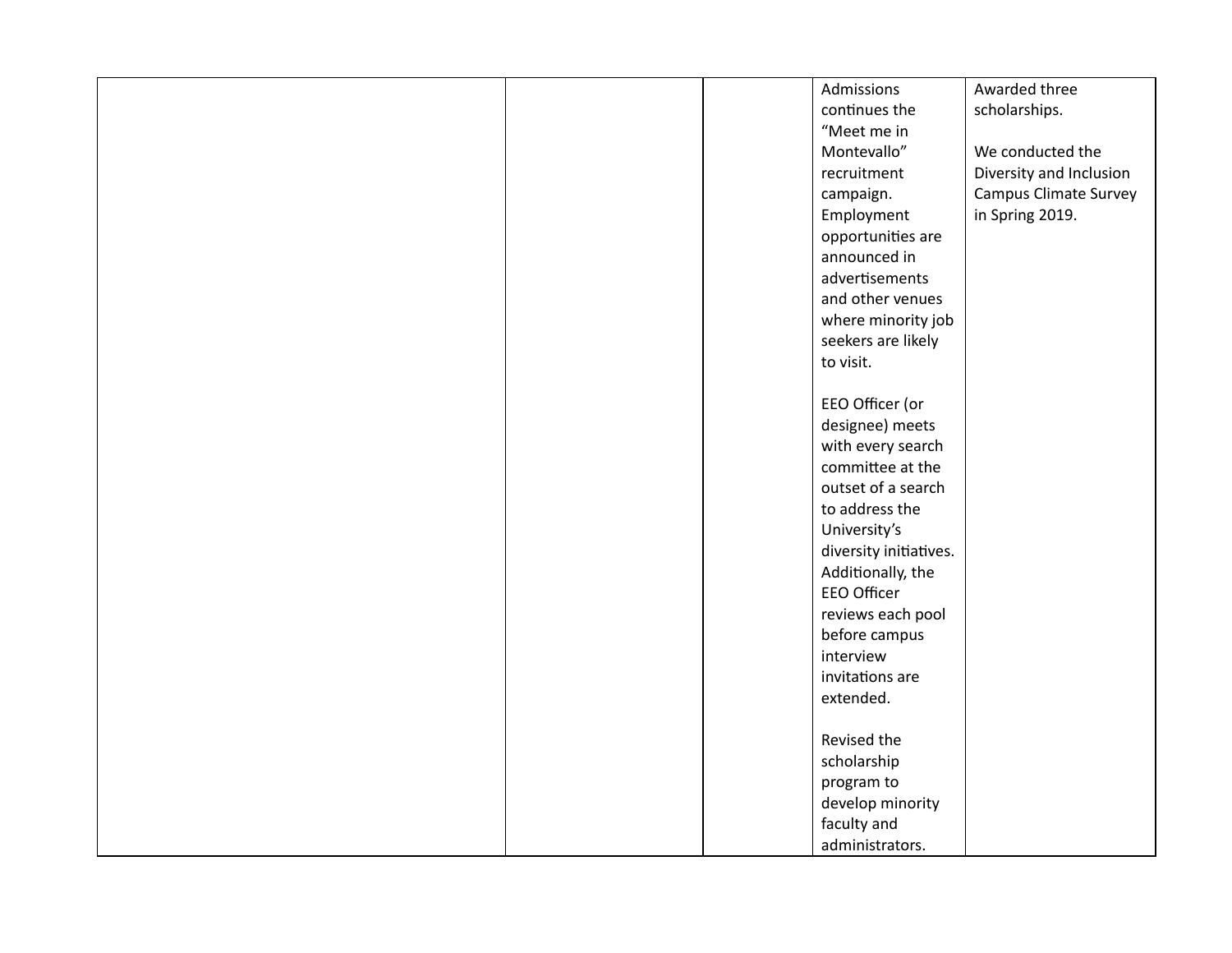|  | Admissions             | Awarded three           |
|--|------------------------|-------------------------|
|  | continues the          | scholarships.           |
|  | "Meet me in            |                         |
|  | Montevallo"            | We conducted the        |
|  | recruitment            | Diversity and Inclusion |
|  | campaign.              | Campus Climate Survey   |
|  | Employment             | in Spring 2019.         |
|  | opportunities are      |                         |
|  | announced in           |                         |
|  | advertisements         |                         |
|  | and other venues       |                         |
|  | where minority job     |                         |
|  | seekers are likely     |                         |
|  | to visit.              |                         |
|  |                        |                         |
|  | EEO Officer (or        |                         |
|  | designee) meets        |                         |
|  | with every search      |                         |
|  | committee at the       |                         |
|  | outset of a search     |                         |
|  | to address the         |                         |
|  | University's           |                         |
|  | diversity initiatives. |                         |
|  | Additionally, the      |                         |
|  | EEO Officer            |                         |
|  | reviews each pool      |                         |
|  | before campus          |                         |
|  | interview              |                         |
|  | invitations are        |                         |
|  | extended.              |                         |
|  |                        |                         |
|  | Revised the            |                         |
|  | scholarship            |                         |
|  | program to             |                         |
|  | develop minority       |                         |
|  | faculty and            |                         |
|  | administrators.        |                         |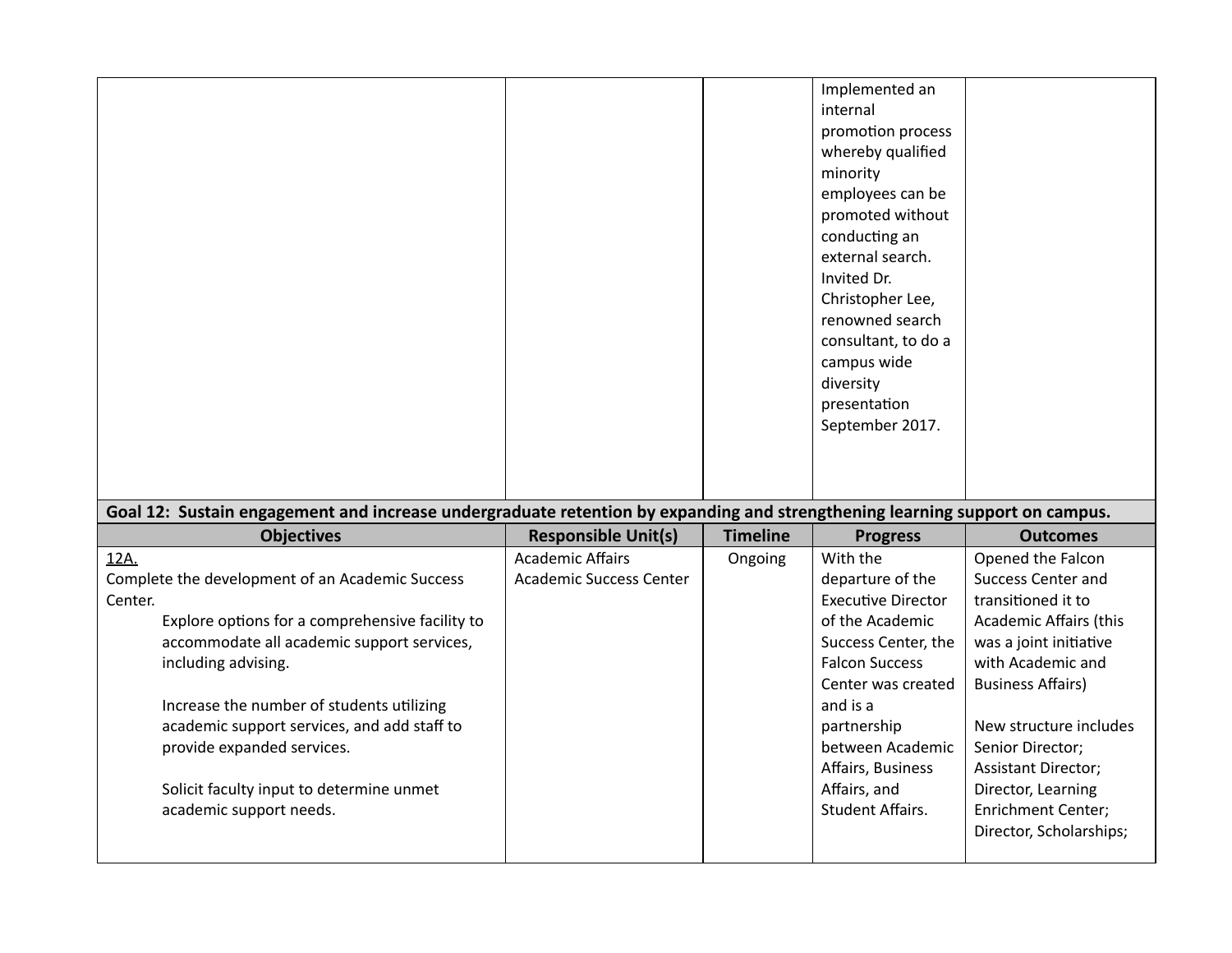|                                                                                                                                                  |                                |                 | Implemented an<br>internal<br>promotion process<br>whereby qualified<br>minority<br>employees can be<br>promoted without<br>conducting an<br>external search.<br>Invited Dr.<br>Christopher Lee,<br>renowned search<br>consultant, to do a<br>campus wide<br>diversity<br>presentation<br>September 2017. |                            |
|--------------------------------------------------------------------------------------------------------------------------------------------------|--------------------------------|-----------------|-----------------------------------------------------------------------------------------------------------------------------------------------------------------------------------------------------------------------------------------------------------------------------------------------------------|----------------------------|
| Goal 12: Sustain engagement and increase undergraduate retention by expanding and strengthening learning support on campus.<br><b>Objectives</b> | <b>Responsible Unit(s)</b>     | <b>Timeline</b> | <b>Progress</b>                                                                                                                                                                                                                                                                                           | <b>Outcomes</b>            |
| 12A.                                                                                                                                             | <b>Academic Affairs</b>        |                 | With the                                                                                                                                                                                                                                                                                                  | Opened the Falcon          |
| Complete the development of an Academic Success                                                                                                  | <b>Academic Success Center</b> | Ongoing         | departure of the                                                                                                                                                                                                                                                                                          | <b>Success Center and</b>  |
| Center.                                                                                                                                          |                                |                 | <b>Executive Director</b>                                                                                                                                                                                                                                                                                 | transitioned it to         |
| Explore options for a comprehensive facility to                                                                                                  |                                |                 | of the Academic                                                                                                                                                                                                                                                                                           | Academic Affairs (this     |
| accommodate all academic support services,                                                                                                       |                                |                 | Success Center, the                                                                                                                                                                                                                                                                                       | was a joint initiative     |
| including advising.                                                                                                                              |                                |                 | <b>Falcon Success</b>                                                                                                                                                                                                                                                                                     | with Academic and          |
|                                                                                                                                                  |                                |                 | Center was created                                                                                                                                                                                                                                                                                        | <b>Business Affairs)</b>   |
| Increase the number of students utilizing                                                                                                        |                                |                 | and is a                                                                                                                                                                                                                                                                                                  |                            |
| academic support services, and add staff to                                                                                                      |                                |                 | partnership                                                                                                                                                                                                                                                                                               | New structure includes     |
| provide expanded services.                                                                                                                       |                                |                 | between Academic                                                                                                                                                                                                                                                                                          | Senior Director;           |
|                                                                                                                                                  |                                |                 | Affairs, Business                                                                                                                                                                                                                                                                                         | <b>Assistant Director;</b> |
| Solicit faculty input to determine unmet                                                                                                         |                                |                 | Affairs, and                                                                                                                                                                                                                                                                                              | Director, Learning         |
| academic support needs.                                                                                                                          |                                |                 | <b>Student Affairs.</b>                                                                                                                                                                                                                                                                                   | <b>Enrichment Center;</b>  |
|                                                                                                                                                  |                                |                 |                                                                                                                                                                                                                                                                                                           | Director, Scholarships;    |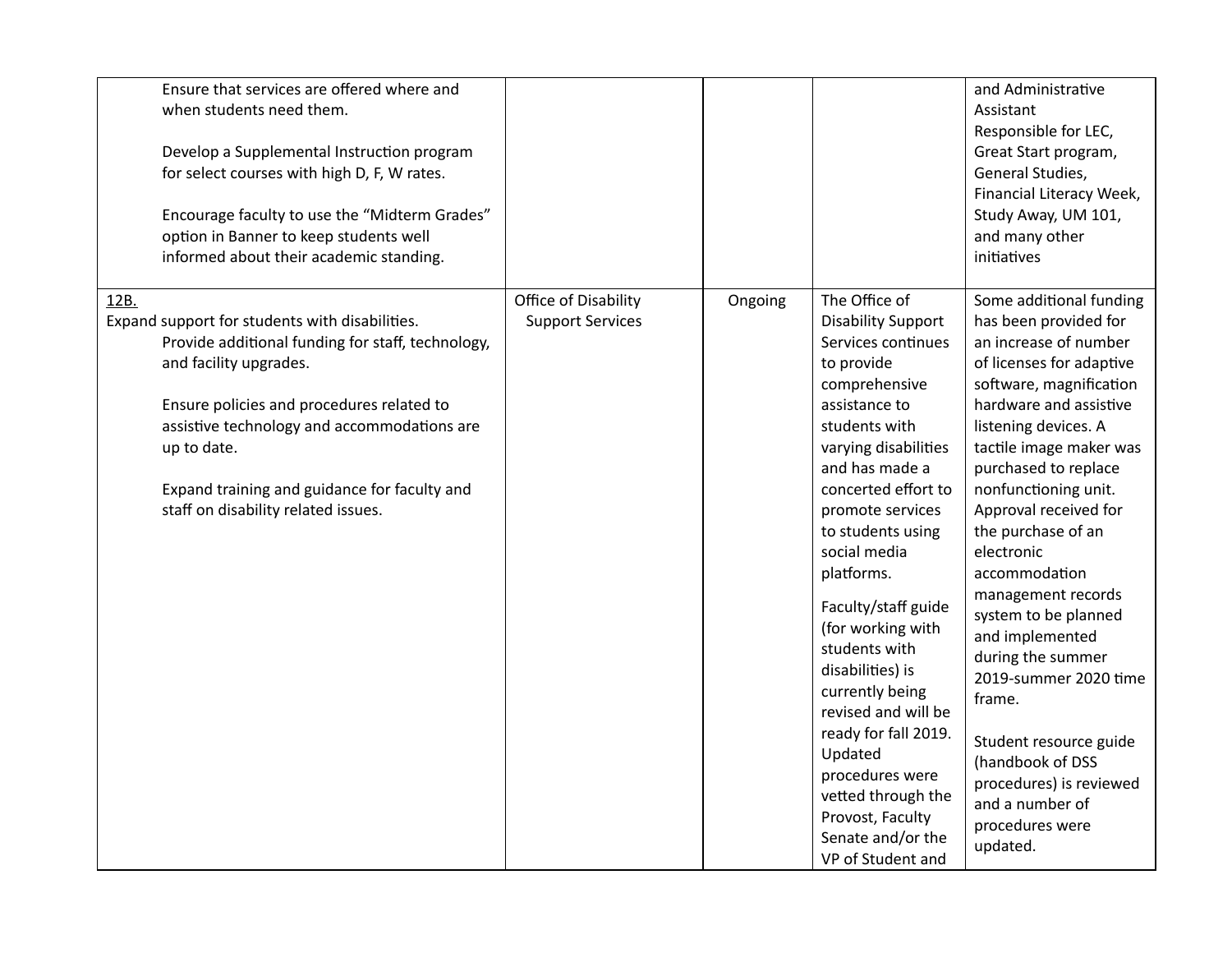| Ensure that services are offered where and<br>when students need them.<br>Develop a Supplemental Instruction program<br>for select courses with high D, F, W rates.<br>Encourage faculty to use the "Midterm Grades"<br>option in Banner to keep students well<br>informed about their academic standing.                               |                                                 |         |                                                                                                                                                                                                                                                                                                                                                                                                                                                                                                                                                | and Administrative<br>Assistant<br>Responsible for LEC,<br>Great Start program,<br>General Studies,<br>Financial Literacy Week,<br>Study Away, UM 101,<br>and many other<br>initiatives                                                                                                                                                                                                                                                                                                                                                                                                         |
|-----------------------------------------------------------------------------------------------------------------------------------------------------------------------------------------------------------------------------------------------------------------------------------------------------------------------------------------|-------------------------------------------------|---------|------------------------------------------------------------------------------------------------------------------------------------------------------------------------------------------------------------------------------------------------------------------------------------------------------------------------------------------------------------------------------------------------------------------------------------------------------------------------------------------------------------------------------------------------|-------------------------------------------------------------------------------------------------------------------------------------------------------------------------------------------------------------------------------------------------------------------------------------------------------------------------------------------------------------------------------------------------------------------------------------------------------------------------------------------------------------------------------------------------------------------------------------------------|
| 12B.<br>Expand support for students with disabilities.<br>Provide additional funding for staff, technology,<br>and facility upgrades.<br>Ensure policies and procedures related to<br>assistive technology and accommodations are<br>up to date.<br>Expand training and guidance for faculty and<br>staff on disability related issues. | Office of Disability<br><b>Support Services</b> | Ongoing | The Office of<br><b>Disability Support</b><br>Services continues<br>to provide<br>comprehensive<br>assistance to<br>students with<br>varying disabilities<br>and has made a<br>concerted effort to<br>promote services<br>to students using<br>social media<br>platforms.<br>Faculty/staff guide<br>(for working with<br>students with<br>disabilities) is<br>currently being<br>revised and will be<br>ready for fall 2019.<br>Updated<br>procedures were<br>vetted through the<br>Provost, Faculty<br>Senate and/or the<br>VP of Student and | Some additional funding<br>has been provided for<br>an increase of number<br>of licenses for adaptive<br>software, magnification<br>hardware and assistive<br>listening devices. A<br>tactile image maker was<br>purchased to replace<br>nonfunctioning unit.<br>Approval received for<br>the purchase of an<br>electronic<br>accommodation<br>management records<br>system to be planned<br>and implemented<br>during the summer<br>2019-summer 2020 time<br>frame.<br>Student resource guide<br>(handbook of DSS<br>procedures) is reviewed<br>and a number of<br>procedures were<br>updated. |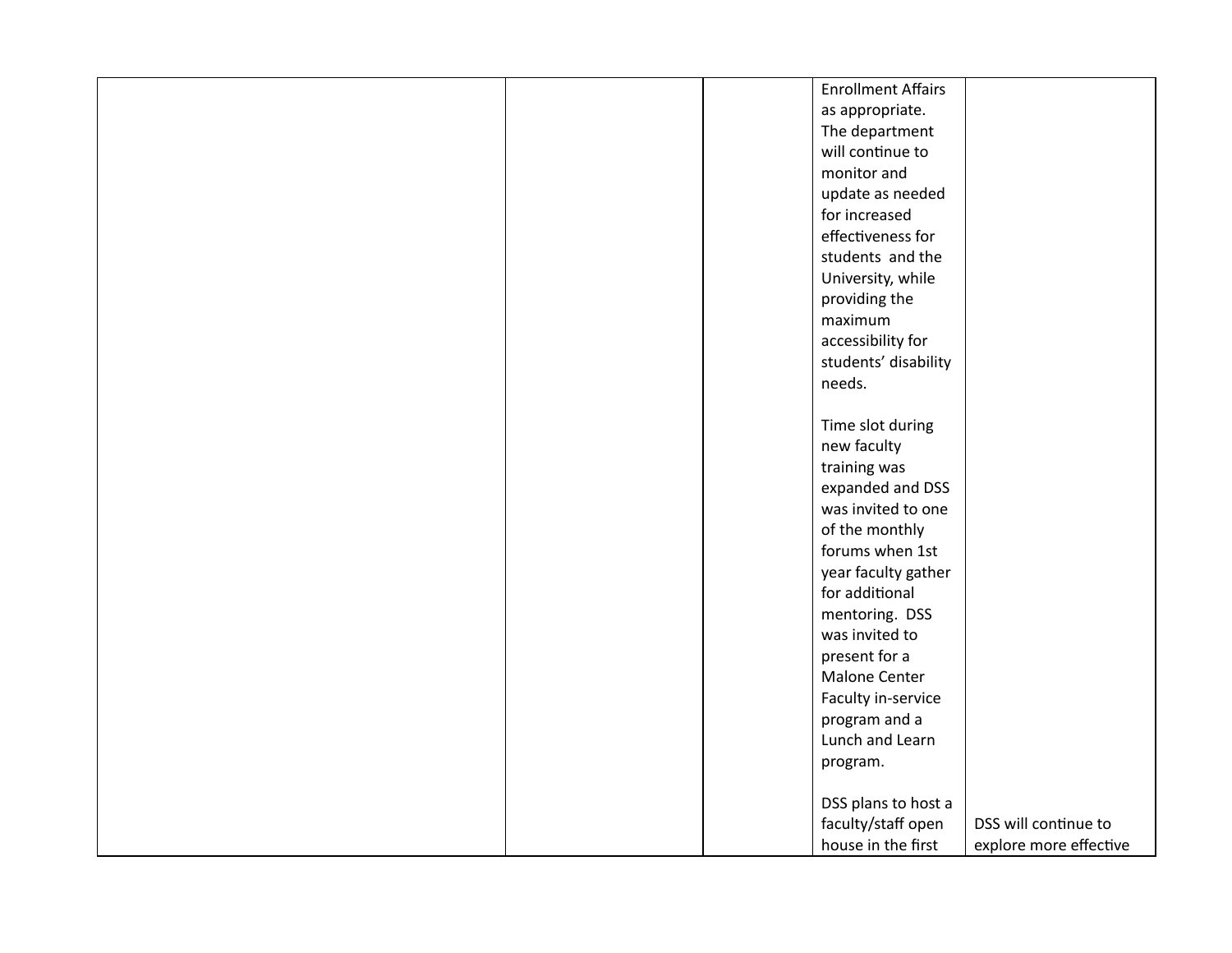|  | <b>Enrollment Affairs</b> |                        |
|--|---------------------------|------------------------|
|  | as appropriate.           |                        |
|  | The department            |                        |
|  | will continue to          |                        |
|  | monitor and               |                        |
|  | update as needed          |                        |
|  | for increased             |                        |
|  | effectiveness for         |                        |
|  | students and the          |                        |
|  | University, while         |                        |
|  | providing the             |                        |
|  | maximum                   |                        |
|  | accessibility for         |                        |
|  | students' disability      |                        |
|  | needs.                    |                        |
|  |                           |                        |
|  | Time slot during          |                        |
|  | new faculty               |                        |
|  | training was              |                        |
|  | expanded and DSS          |                        |
|  | was invited to one        |                        |
|  | of the monthly            |                        |
|  | forums when 1st           |                        |
|  | year faculty gather       |                        |
|  | for additional            |                        |
|  | mentoring. DSS            |                        |
|  | was invited to            |                        |
|  | present for a             |                        |
|  | Malone Center             |                        |
|  | Faculty in-service        |                        |
|  | program and a             |                        |
|  | Lunch and Learn           |                        |
|  | program.                  |                        |
|  |                           |                        |
|  | DSS plans to host a       |                        |
|  | faculty/staff open        | DSS will continue to   |
|  | house in the first        | explore more effective |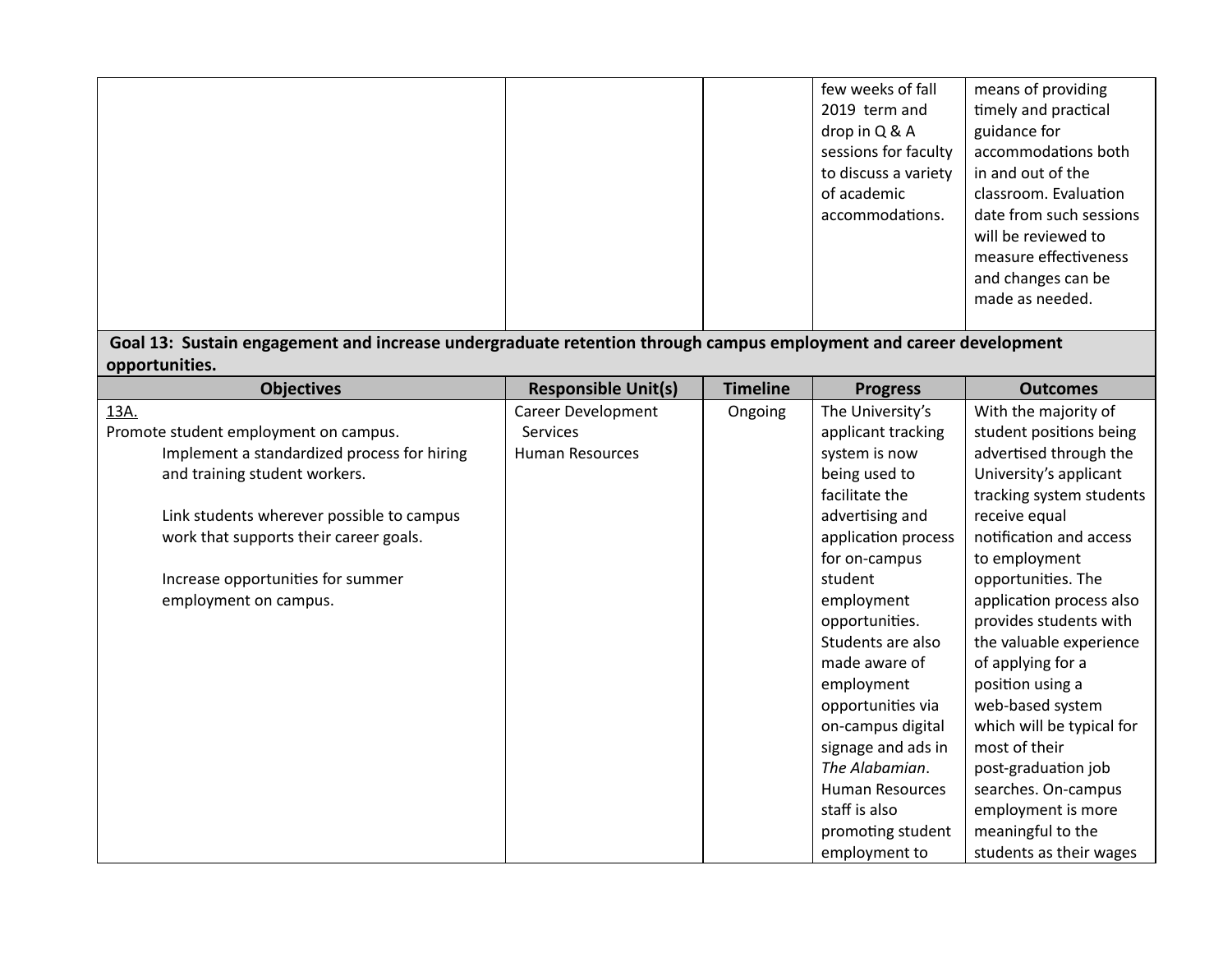|  | few weeks of fall<br>2019 term and<br>drop in Q & A<br>sessions for faculty<br>to discuss a variety<br>of academic<br>accommodations. | means of providing<br>timely and practical<br>guidance for<br>accommodations both<br>in and out of the<br>classroom. Evaluation<br>date from such sessions<br>will be reviewed to<br>measure effectiveness<br>and changes can be<br>made as needed. |
|--|---------------------------------------------------------------------------------------------------------------------------------------|-----------------------------------------------------------------------------------------------------------------------------------------------------------------------------------------------------------------------------------------------------|
|--|---------------------------------------------------------------------------------------------------------------------------------------|-----------------------------------------------------------------------------------------------------------------------------------------------------------------------------------------------------------------------------------------------------|

**Goal 13: Sustain engagement and increase undergraduate retention through campus employment and career development opportunities.**

| <b>Objectives</b>                           | <b>Responsible Unit(s)</b> | <b>Timeline</b> | <b>Progress</b>        | <b>Outcomes</b>           |
|---------------------------------------------|----------------------------|-----------------|------------------------|---------------------------|
| 13A.                                        | <b>Career Development</b>  | Ongoing         | The University's       | With the majority of      |
| Promote student employment on campus.       | <b>Services</b>            |                 | applicant tracking     | student positions being   |
| Implement a standardized process for hiring | Human Resources            |                 | system is now          | advertised through the    |
| and training student workers.               |                            |                 | being used to          | University's applicant    |
|                                             |                            |                 | facilitate the         | tracking system students  |
| Link students wherever possible to campus   |                            |                 | advertising and        | receive equal             |
| work that supports their career goals.      |                            |                 | application process    | notification and access   |
|                                             |                            |                 | for on-campus          | to employment             |
| Increase opportunities for summer           |                            |                 | student                | opportunities. The        |
| employment on campus.                       |                            |                 | employment             | application process also  |
|                                             |                            |                 | opportunities.         | provides students with    |
|                                             |                            |                 | Students are also      | the valuable experience   |
|                                             |                            |                 | made aware of          | of applying for a         |
|                                             |                            |                 | employment             | position using a          |
|                                             |                            |                 | opportunities via      | web-based system          |
|                                             |                            |                 | on-campus digital      | which will be typical for |
|                                             |                            |                 | signage and ads in     | most of their             |
|                                             |                            |                 | The Alabamian.         | post-graduation job       |
|                                             |                            |                 | <b>Human Resources</b> | searches. On-campus       |
|                                             |                            |                 | staff is also          | employment is more        |
|                                             |                            |                 | promoting student      | meaningful to the         |
|                                             |                            |                 | employment to          | students as their wages   |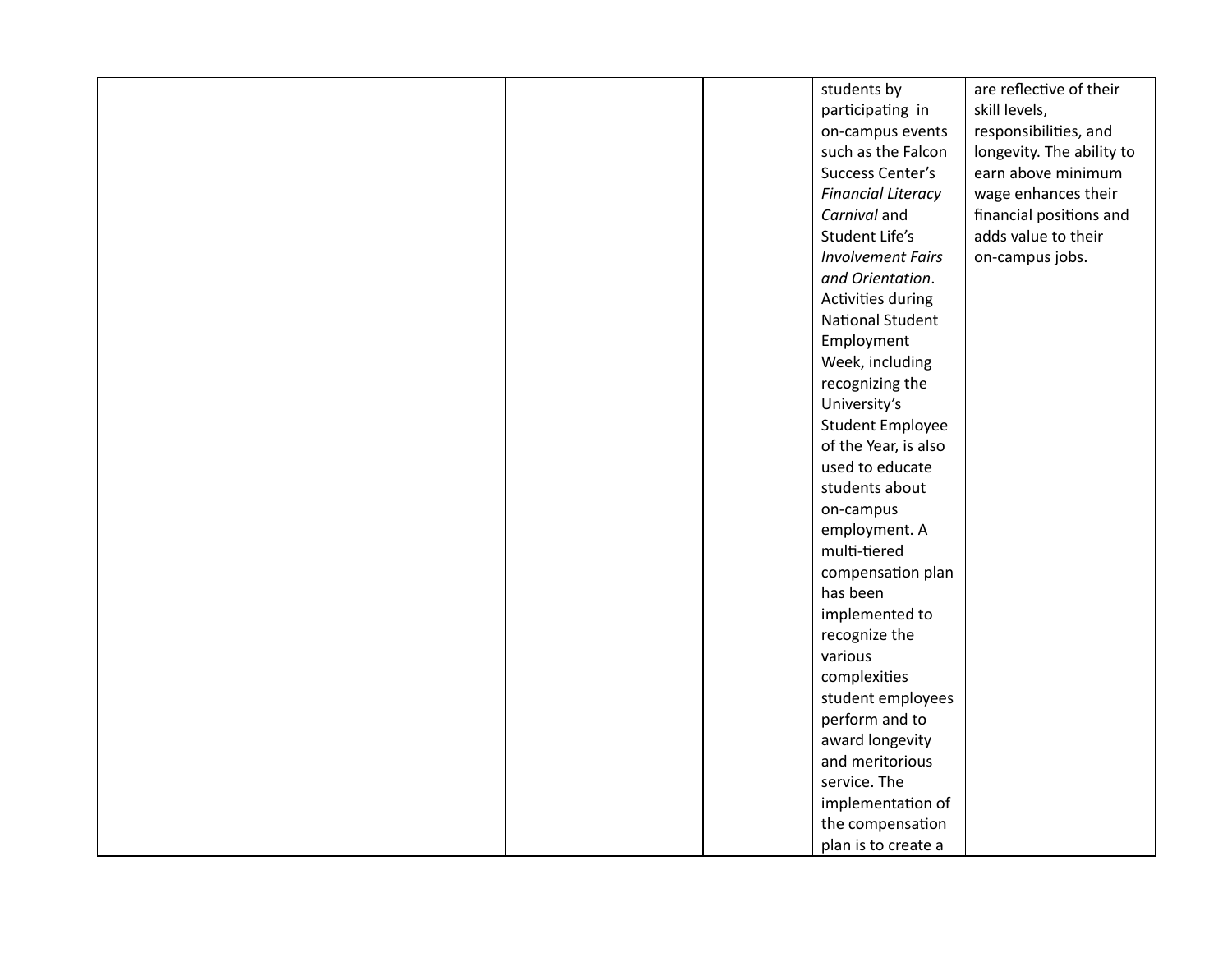|  | students by               | are reflective of their   |
|--|---------------------------|---------------------------|
|  | participating in          | skill levels,             |
|  | on-campus events          | responsibilities, and     |
|  | such as the Falcon        | longevity. The ability to |
|  | Success Center's          | earn above minimum        |
|  | <b>Financial Literacy</b> | wage enhances their       |
|  | Carnival and              | financial positions and   |
|  | Student Life's            | adds value to their       |
|  | <b>Involvement Fairs</b>  | on-campus jobs.           |
|  | and Orientation.          |                           |
|  | Activities during         |                           |
|  | <b>National Student</b>   |                           |
|  | Employment                |                           |
|  | Week, including           |                           |
|  | recognizing the           |                           |
|  | University's              |                           |
|  | <b>Student Employee</b>   |                           |
|  | of the Year, is also      |                           |
|  | used to educate           |                           |
|  | students about            |                           |
|  | on-campus                 |                           |
|  | employment. A             |                           |
|  | multi-tiered              |                           |
|  | compensation plan         |                           |
|  | has been                  |                           |
|  | implemented to            |                           |
|  | recognize the             |                           |
|  | various                   |                           |
|  | complexities              |                           |
|  | student employees         |                           |
|  | perform and to            |                           |
|  | award longevity           |                           |
|  | and meritorious           |                           |
|  | service. The              |                           |
|  | implementation of         |                           |
|  | the compensation          |                           |
|  | plan is to create a       |                           |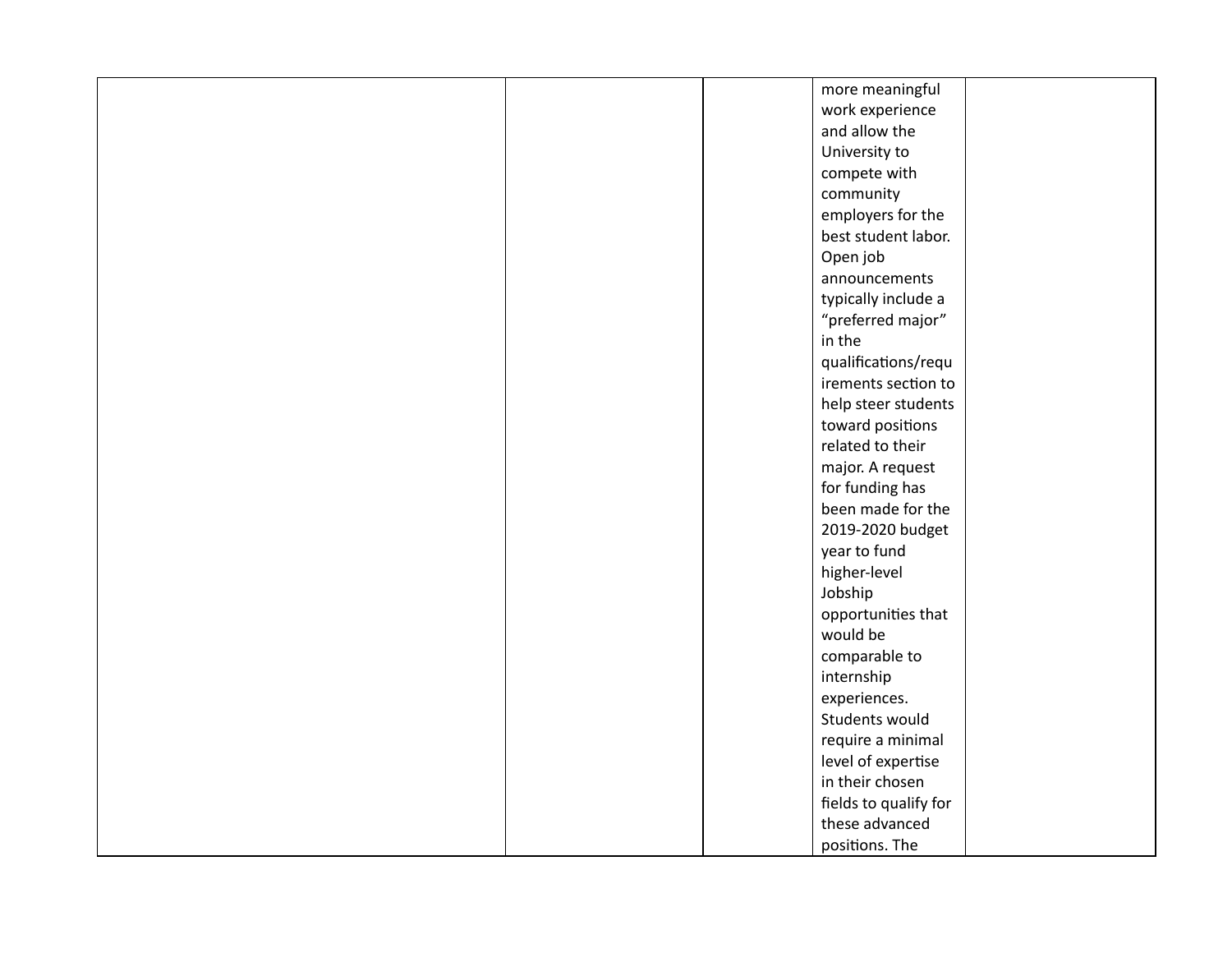|  | more meaningful       |  |
|--|-----------------------|--|
|  | work experience       |  |
|  | and allow the         |  |
|  | University to         |  |
|  | compete with          |  |
|  | community             |  |
|  | employers for the     |  |
|  | best student labor.   |  |
|  | Open job              |  |
|  | announcements         |  |
|  | typically include a   |  |
|  | "preferred major"     |  |
|  | in the                |  |
|  | qualifications/requ   |  |
|  | irements section to   |  |
|  | help steer students   |  |
|  | toward positions      |  |
|  | related to their      |  |
|  | major. A request      |  |
|  | for funding has       |  |
|  | been made for the     |  |
|  | 2019-2020 budget      |  |
|  | year to fund          |  |
|  | higher-level          |  |
|  | Jobship               |  |
|  | opportunities that    |  |
|  | would be              |  |
|  | comparable to         |  |
|  | internship            |  |
|  | experiences.          |  |
|  | Students would        |  |
|  | require a minimal     |  |
|  | level of expertise    |  |
|  | in their chosen       |  |
|  | fields to qualify for |  |
|  | these advanced        |  |
|  | positions. The        |  |
|  |                       |  |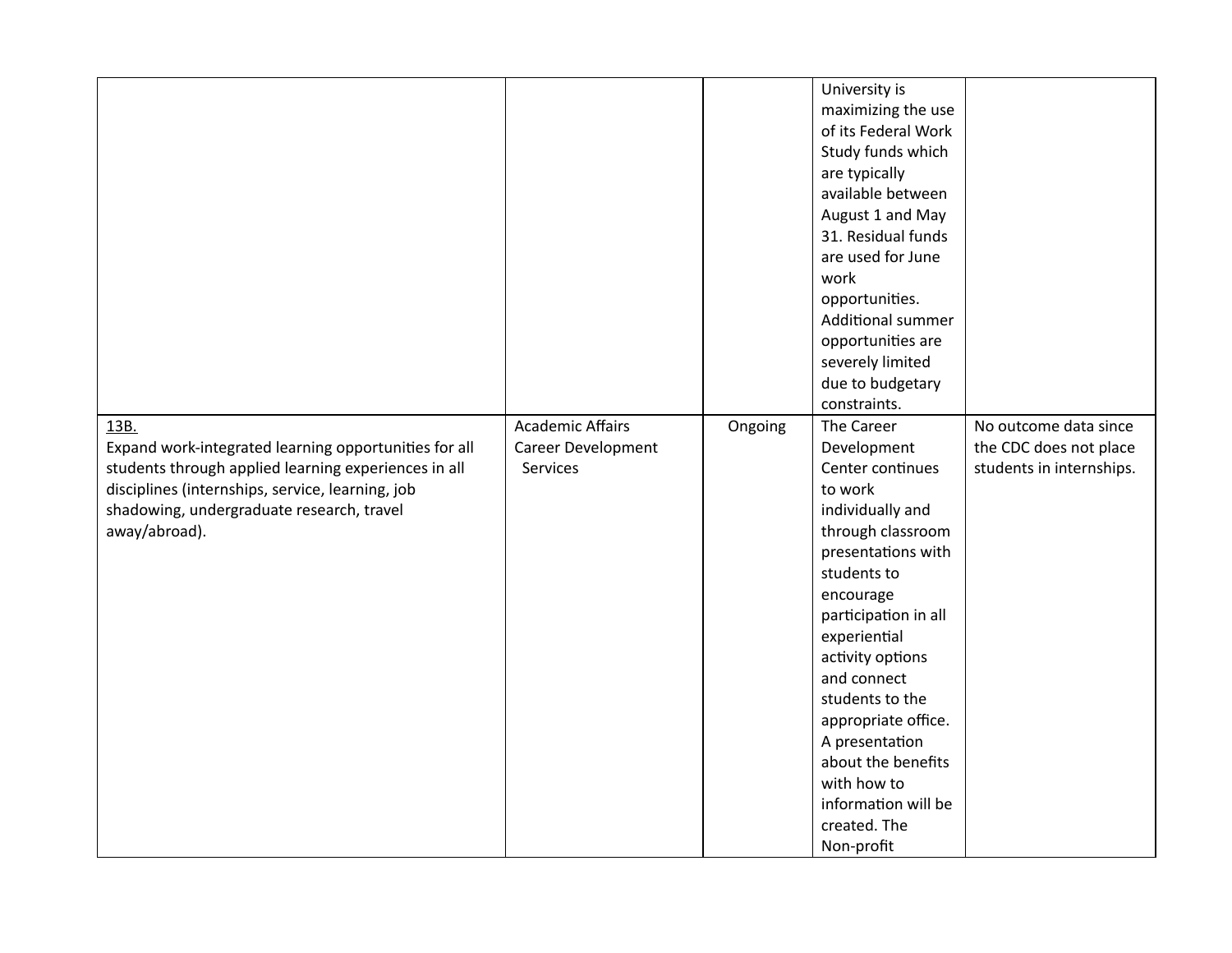|                                                                                                                                                                                                                                         |                                                           |         | University is<br>maximizing the use<br>of its Federal Work<br>Study funds which<br>are typically<br>available between<br>August 1 and May<br>31. Residual funds<br>are used for June<br>work<br>opportunities.<br><b>Additional summer</b><br>opportunities are<br>severely limited<br>due to budgetary<br>constraints. |                                                                             |
|-----------------------------------------------------------------------------------------------------------------------------------------------------------------------------------------------------------------------------------------|-----------------------------------------------------------|---------|-------------------------------------------------------------------------------------------------------------------------------------------------------------------------------------------------------------------------------------------------------------------------------------------------------------------------|-----------------------------------------------------------------------------|
| 13B.<br>Expand work-integrated learning opportunities for all<br>students through applied learning experiences in all<br>disciplines (internships, service, learning, job<br>shadowing, undergraduate research, travel<br>away/abroad). | <b>Academic Affairs</b><br>Career Development<br>Services | Ongoing | The Career<br>Development<br>Center continues<br>to work<br>individually and<br>through classroom<br>presentations with<br>students to<br>encourage                                                                                                                                                                     | No outcome data since<br>the CDC does not place<br>students in internships. |
|                                                                                                                                                                                                                                         |                                                           |         | participation in all<br>experiential<br>activity options<br>and connect<br>students to the<br>appropriate office.<br>A presentation<br>about the benefits<br>with how to<br>information will be<br>created. The<br>Non-profit                                                                                           |                                                                             |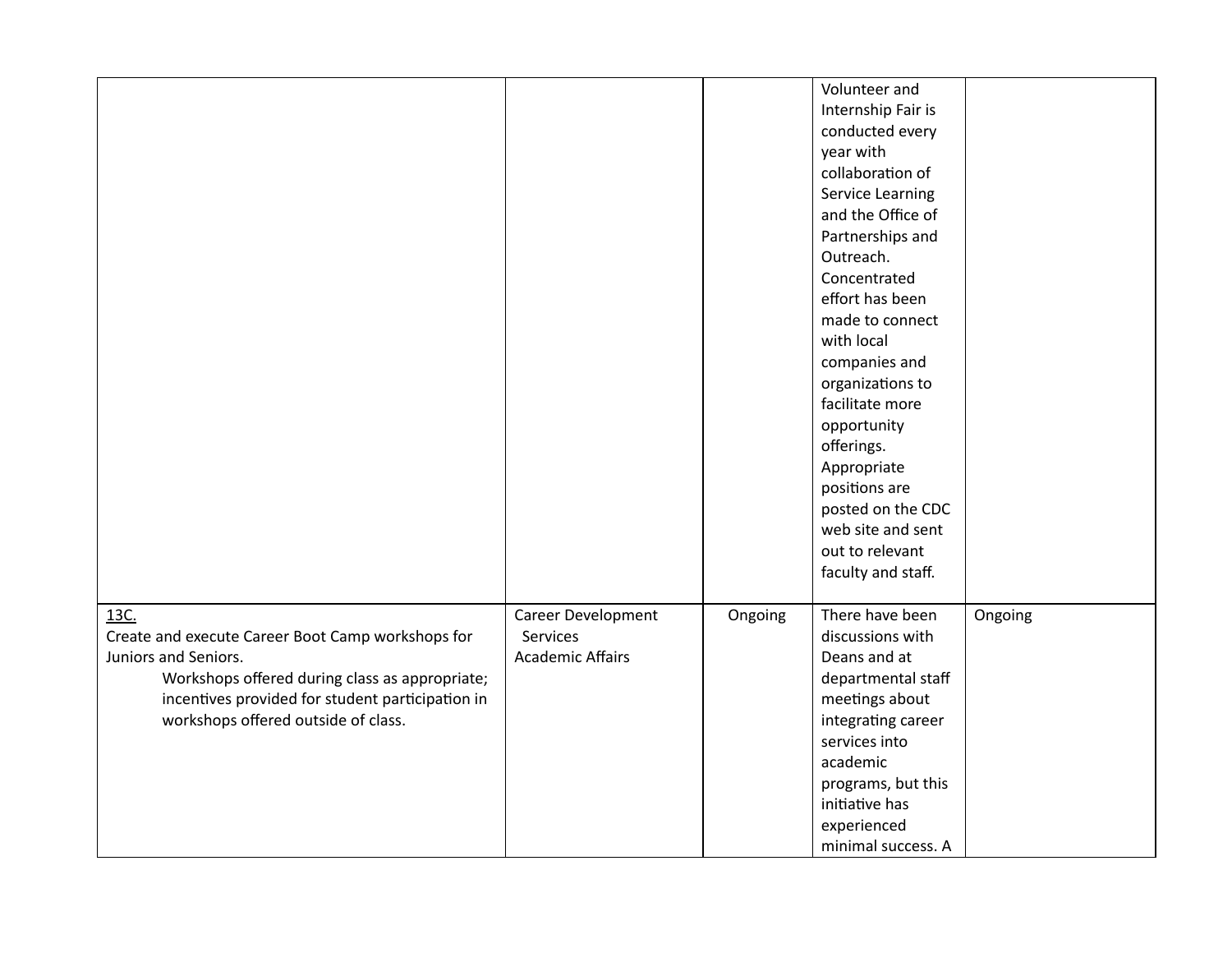|                                                   |                         |         | Volunteer and      |         |
|---------------------------------------------------|-------------------------|---------|--------------------|---------|
|                                                   |                         |         | Internship Fair is |         |
|                                                   |                         |         | conducted every    |         |
|                                                   |                         |         | year with          |         |
|                                                   |                         |         | collaboration of   |         |
|                                                   |                         |         | Service Learning   |         |
|                                                   |                         |         | and the Office of  |         |
|                                                   |                         |         | Partnerships and   |         |
|                                                   |                         |         | Outreach.          |         |
|                                                   |                         |         | Concentrated       |         |
|                                                   |                         |         | effort has been    |         |
|                                                   |                         |         | made to connect    |         |
|                                                   |                         |         | with local         |         |
|                                                   |                         |         | companies and      |         |
|                                                   |                         |         | organizations to   |         |
|                                                   |                         |         | facilitate more    |         |
|                                                   |                         |         | opportunity        |         |
|                                                   |                         |         | offerings.         |         |
|                                                   |                         |         | Appropriate        |         |
|                                                   |                         |         | positions are      |         |
|                                                   |                         |         | posted on the CDC  |         |
|                                                   |                         |         | web site and sent  |         |
|                                                   |                         |         | out to relevant    |         |
|                                                   |                         |         | faculty and staff. |         |
|                                                   |                         |         |                    |         |
| 13C.                                              | Career Development      | Ongoing | There have been    | Ongoing |
| Create and execute Career Boot Camp workshops for | Services                |         | discussions with   |         |
| Juniors and Seniors.                              | <b>Academic Affairs</b> |         | Deans and at       |         |
| Workshops offered during class as appropriate;    |                         |         | departmental staff |         |
| incentives provided for student participation in  |                         |         | meetings about     |         |
| workshops offered outside of class.               |                         |         | integrating career |         |
|                                                   |                         |         | services into      |         |
|                                                   |                         |         | academic           |         |
|                                                   |                         |         | programs, but this |         |
|                                                   |                         |         | initiative has     |         |
|                                                   |                         |         | experienced        |         |
|                                                   |                         |         | minimal success. A |         |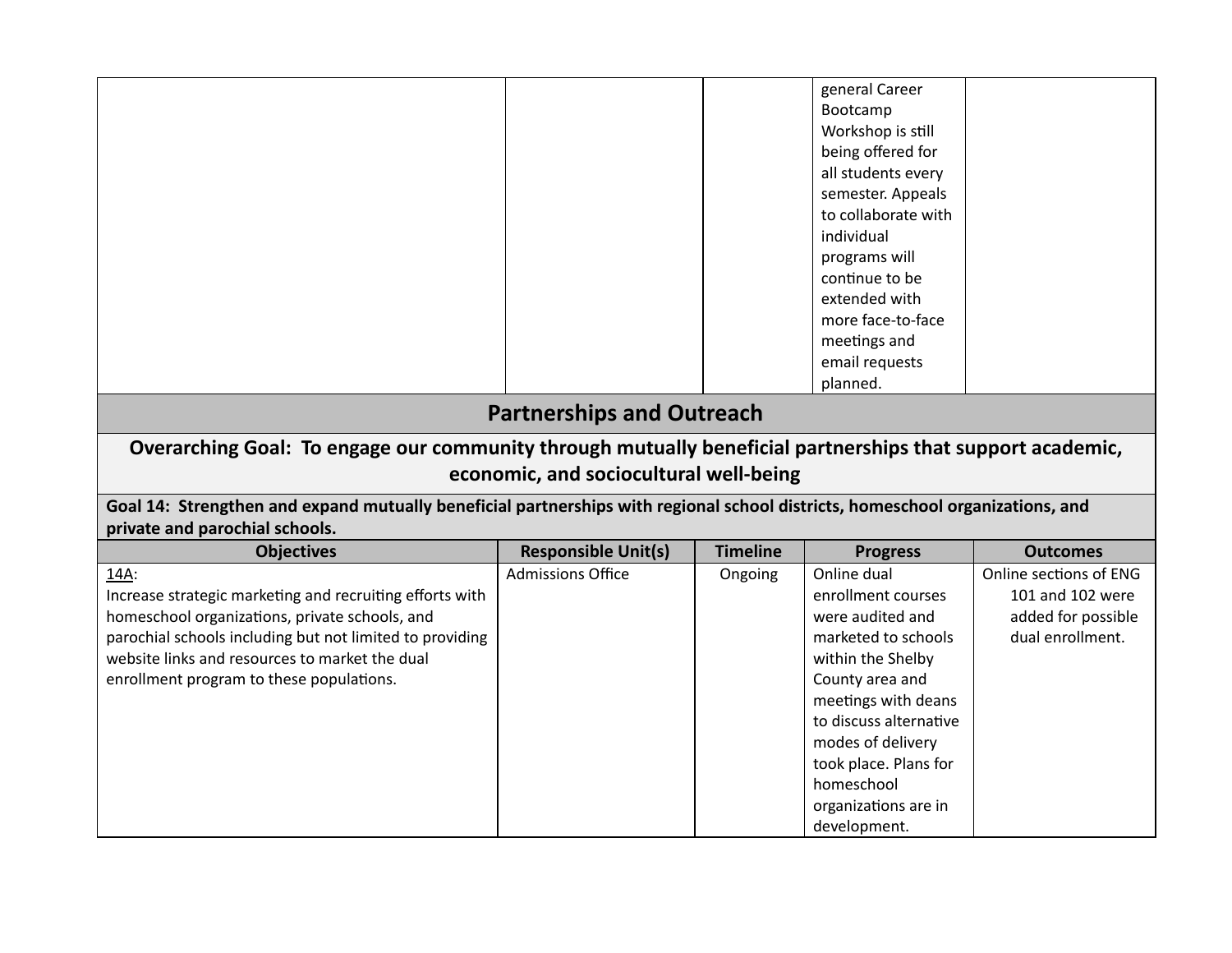|                                                                                                                                                                 |                                        |                 | general Career<br>Bootcamp<br>Workshop is still<br>being offered for<br>all students every<br>semester. Appeals<br>to collaborate with<br>individual<br>programs will<br>continue to be<br>extended with |                        |  |
|-----------------------------------------------------------------------------------------------------------------------------------------------------------------|----------------------------------------|-----------------|----------------------------------------------------------------------------------------------------------------------------------------------------------------------------------------------------------|------------------------|--|
|                                                                                                                                                                 |                                        |                 | more face-to-face                                                                                                                                                                                        |                        |  |
|                                                                                                                                                                 |                                        |                 | meetings and                                                                                                                                                                                             |                        |  |
|                                                                                                                                                                 |                                        |                 | email requests                                                                                                                                                                                           |                        |  |
|                                                                                                                                                                 |                                        |                 | planned.                                                                                                                                                                                                 |                        |  |
| <b>Partnerships and Outreach</b>                                                                                                                                |                                        |                 |                                                                                                                                                                                                          |                        |  |
| Overarching Goal: To engage our community through mutually beneficial partnerships that support academic,                                                       |                                        |                 |                                                                                                                                                                                                          |                        |  |
|                                                                                                                                                                 | economic, and sociocultural well-being |                 |                                                                                                                                                                                                          |                        |  |
| Goal 14: Strengthen and expand mutually beneficial partnerships with regional school districts, homeschool organizations, and<br>private and parochial schools. |                                        |                 |                                                                                                                                                                                                          |                        |  |
| <b>Objectives</b>                                                                                                                                               | <b>Responsible Unit(s)</b>             | <b>Timeline</b> | <b>Progress</b>                                                                                                                                                                                          | <b>Outcomes</b>        |  |
| 14A:                                                                                                                                                            | <b>Admissions Office</b>               | Ongoing         | Online dual                                                                                                                                                                                              | Online sections of ENG |  |
| Increase strategic marketing and recruiting efforts with                                                                                                        |                                        |                 | enrollment courses                                                                                                                                                                                       | 101 and 102 were       |  |
| homeschool organizations, private schools, and                                                                                                                  |                                        |                 | were audited and                                                                                                                                                                                         | added for possible     |  |
| parochial schools including but not limited to providing<br>website links and resources to market the dual                                                      |                                        |                 | marketed to schools                                                                                                                                                                                      | dual enrollment.       |  |
| enrollment program to these populations.                                                                                                                        |                                        |                 | within the Shelby<br>County area and                                                                                                                                                                     |                        |  |
|                                                                                                                                                                 |                                        |                 | meetings with deans                                                                                                                                                                                      |                        |  |
|                                                                                                                                                                 |                                        |                 | to discuss alternative                                                                                                                                                                                   |                        |  |
|                                                                                                                                                                 |                                        |                 | modes of delivery                                                                                                                                                                                        |                        |  |
|                                                                                                                                                                 |                                        |                 | took place. Plans for                                                                                                                                                                                    |                        |  |
|                                                                                                                                                                 |                                        |                 | homeschool                                                                                                                                                                                               |                        |  |
|                                                                                                                                                                 |                                        |                 | organizations are in                                                                                                                                                                                     |                        |  |
|                                                                                                                                                                 |                                        |                 | development.                                                                                                                                                                                             |                        |  |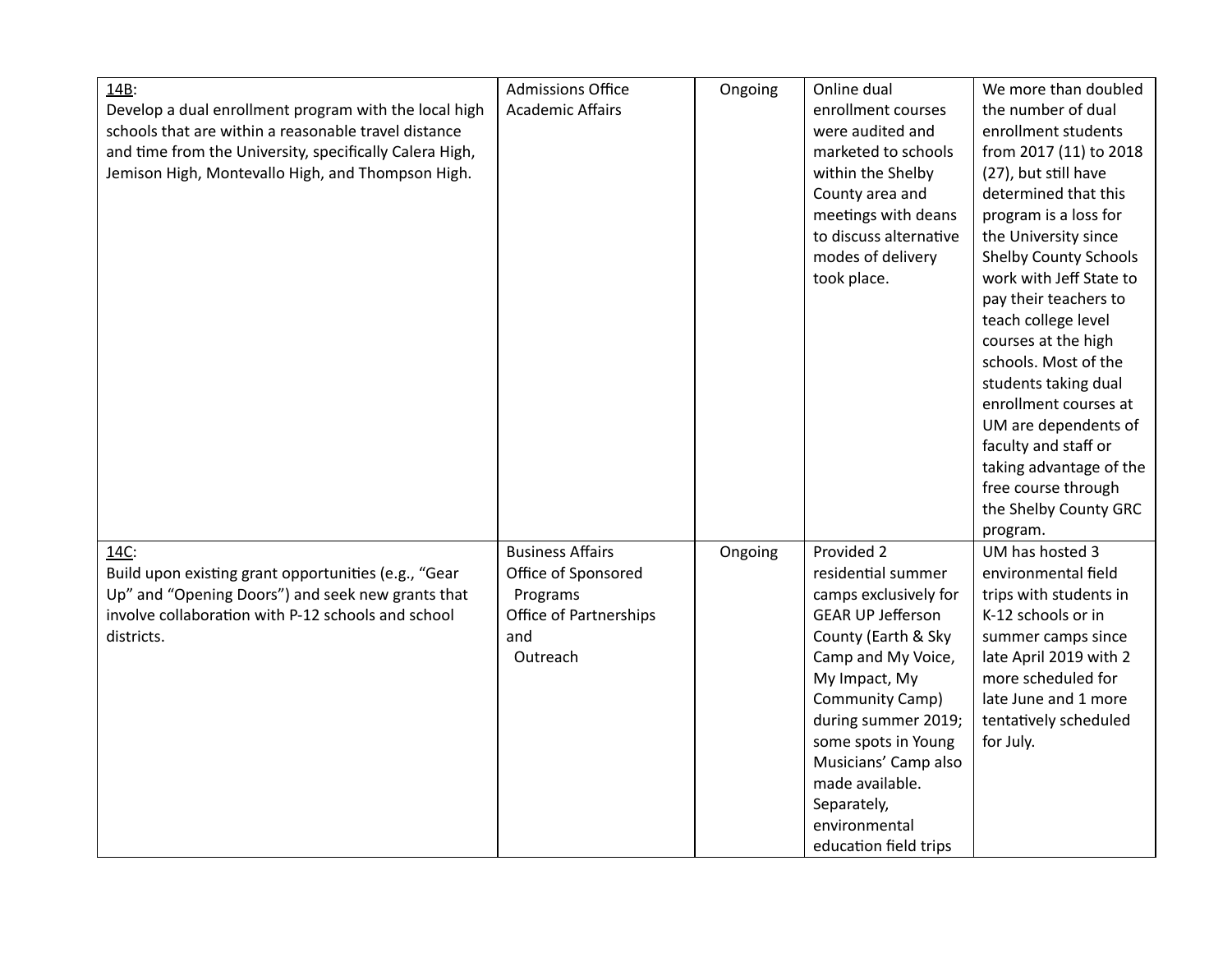| 14B:                                                    | <b>Admissions Office</b> | Ongoing | Online dual              | We more than doubled         |
|---------------------------------------------------------|--------------------------|---------|--------------------------|------------------------------|
| Develop a dual enrollment program with the local high   | <b>Academic Affairs</b>  |         | enrollment courses       | the number of dual           |
| schools that are within a reasonable travel distance    |                          |         | were audited and         | enrollment students          |
| and time from the University, specifically Calera High, |                          |         | marketed to schools      | from 2017 (11) to 2018       |
| Jemison High, Montevallo High, and Thompson High.       |                          |         | within the Shelby        | (27), but still have         |
|                                                         |                          |         | County area and          | determined that this         |
|                                                         |                          |         | meetings with deans      | program is a loss for        |
|                                                         |                          |         | to discuss alternative   | the University since         |
|                                                         |                          |         | modes of delivery        | <b>Shelby County Schools</b> |
|                                                         |                          |         | took place.              | work with Jeff State to      |
|                                                         |                          |         |                          | pay their teachers to        |
|                                                         |                          |         |                          | teach college level          |
|                                                         |                          |         |                          | courses at the high          |
|                                                         |                          |         |                          | schools. Most of the         |
|                                                         |                          |         |                          | students taking dual         |
|                                                         |                          |         |                          | enrollment courses at        |
|                                                         |                          |         |                          | UM are dependents of         |
|                                                         |                          |         |                          | faculty and staff or         |
|                                                         |                          |         |                          | taking advantage of the      |
|                                                         |                          |         |                          | free course through          |
|                                                         |                          |         |                          | the Shelby County GRC        |
|                                                         |                          |         |                          | program.                     |
| 14C:                                                    | <b>Business Affairs</b>  | Ongoing | Provided 2               | UM has hosted 3              |
| Build upon existing grant opportunities (e.g., "Gear    | Office of Sponsored      |         | residential summer       | environmental field          |
| Up" and "Opening Doors") and seek new grants that       | Programs                 |         | camps exclusively for    | trips with students in       |
| involve collaboration with P-12 schools and school      | Office of Partnerships   |         | <b>GEAR UP Jefferson</b> | K-12 schools or in           |
| districts.                                              | and                      |         | County (Earth & Sky      | summer camps since           |
|                                                         | Outreach                 |         | Camp and My Voice,       | late April 2019 with 2       |
|                                                         |                          |         | My Impact, My            | more scheduled for           |
|                                                         |                          |         | Community Camp)          | late June and 1 more         |
|                                                         |                          |         | during summer 2019;      | tentatively scheduled        |
|                                                         |                          |         | some spots in Young      | for July.                    |
|                                                         |                          |         | Musicians' Camp also     |                              |
|                                                         |                          |         | made available.          |                              |
|                                                         |                          |         | Separately,              |                              |
|                                                         |                          |         | environmental            |                              |
|                                                         |                          |         | education field trips    |                              |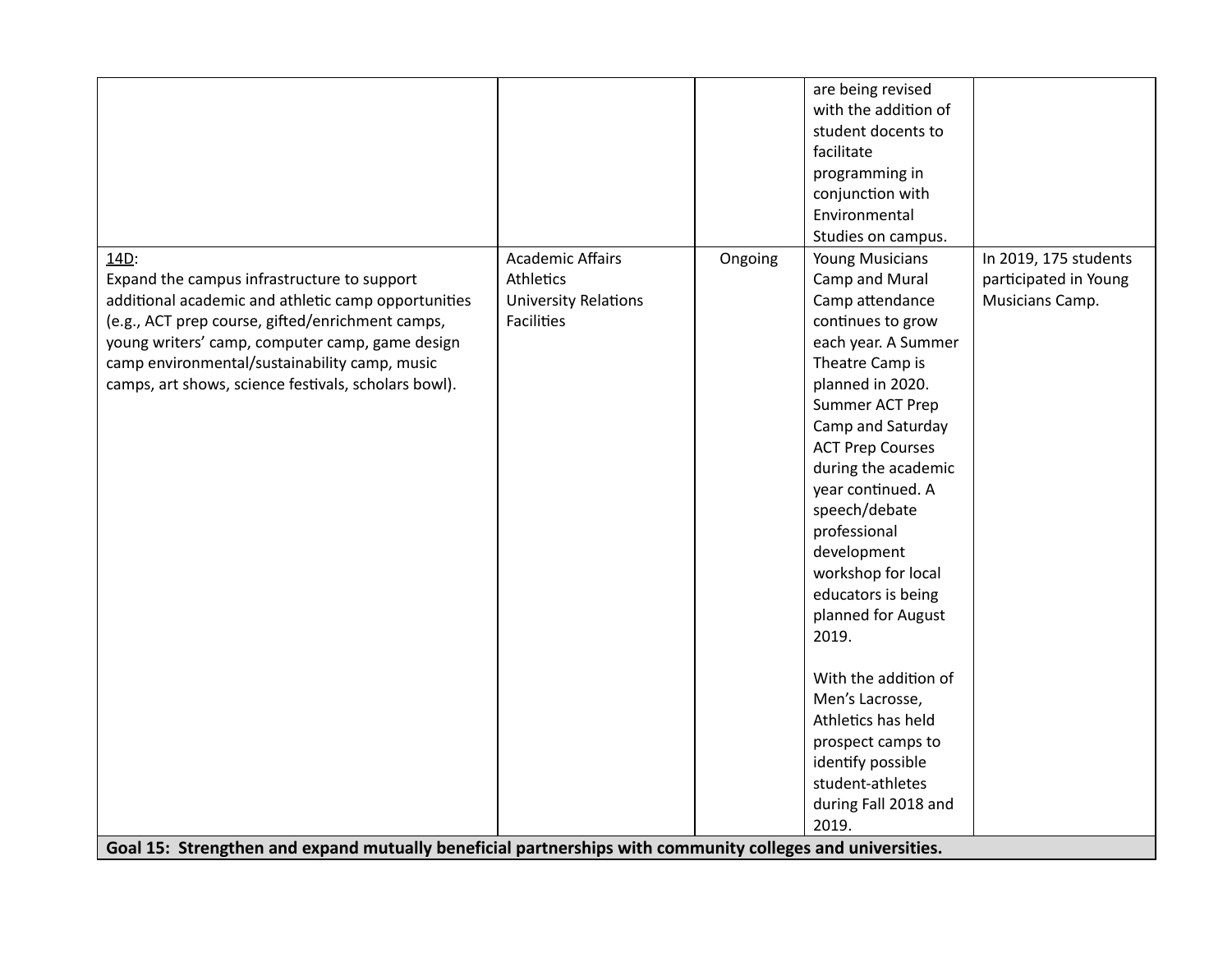|                                                                                                           |                             |         | are being revised       |                       |
|-----------------------------------------------------------------------------------------------------------|-----------------------------|---------|-------------------------|-----------------------|
|                                                                                                           |                             |         | with the addition of    |                       |
|                                                                                                           |                             |         |                         |                       |
|                                                                                                           |                             |         | student docents to      |                       |
|                                                                                                           |                             |         | facilitate              |                       |
|                                                                                                           |                             |         | programming in          |                       |
|                                                                                                           |                             |         | conjunction with        |                       |
|                                                                                                           |                             |         | Environmental           |                       |
|                                                                                                           |                             |         | Studies on campus.      |                       |
| 14D:                                                                                                      | <b>Academic Affairs</b>     | Ongoing | <b>Young Musicians</b>  | In 2019, 175 students |
| Expand the campus infrastructure to support                                                               | Athletics                   |         | Camp and Mural          | participated in Young |
| additional academic and athletic camp opportunities                                                       | <b>University Relations</b> |         | Camp attendance         | Musicians Camp.       |
| (e.g., ACT prep course, gifted/enrichment camps,                                                          | <b>Facilities</b>           |         | continues to grow       |                       |
| young writers' camp, computer camp, game design                                                           |                             |         | each year. A Summer     |                       |
| camp environmental/sustainability camp, music                                                             |                             |         | Theatre Camp is         |                       |
| camps, art shows, science festivals, scholars bowl).                                                      |                             |         | planned in 2020.        |                       |
|                                                                                                           |                             |         | Summer ACT Prep         |                       |
|                                                                                                           |                             |         | Camp and Saturday       |                       |
|                                                                                                           |                             |         | <b>ACT Prep Courses</b> |                       |
|                                                                                                           |                             |         | during the academic     |                       |
|                                                                                                           |                             |         | year continued. A       |                       |
|                                                                                                           |                             |         | speech/debate           |                       |
|                                                                                                           |                             |         | professional            |                       |
|                                                                                                           |                             |         | development             |                       |
|                                                                                                           |                             |         | workshop for local      |                       |
|                                                                                                           |                             |         | educators is being      |                       |
|                                                                                                           |                             |         | planned for August      |                       |
|                                                                                                           |                             |         | 2019.                   |                       |
|                                                                                                           |                             |         |                         |                       |
|                                                                                                           |                             |         | With the addition of    |                       |
|                                                                                                           |                             |         | Men's Lacrosse,         |                       |
|                                                                                                           |                             |         | Athletics has held      |                       |
|                                                                                                           |                             |         | prospect camps to       |                       |
|                                                                                                           |                             |         | identify possible       |                       |
|                                                                                                           |                             |         | student-athletes        |                       |
|                                                                                                           |                             |         | during Fall 2018 and    |                       |
|                                                                                                           |                             |         | 2019.                   |                       |
| Goal 15: Strengthen and expand mutually beneficial partnerships with community colleges and universities. |                             |         |                         |                       |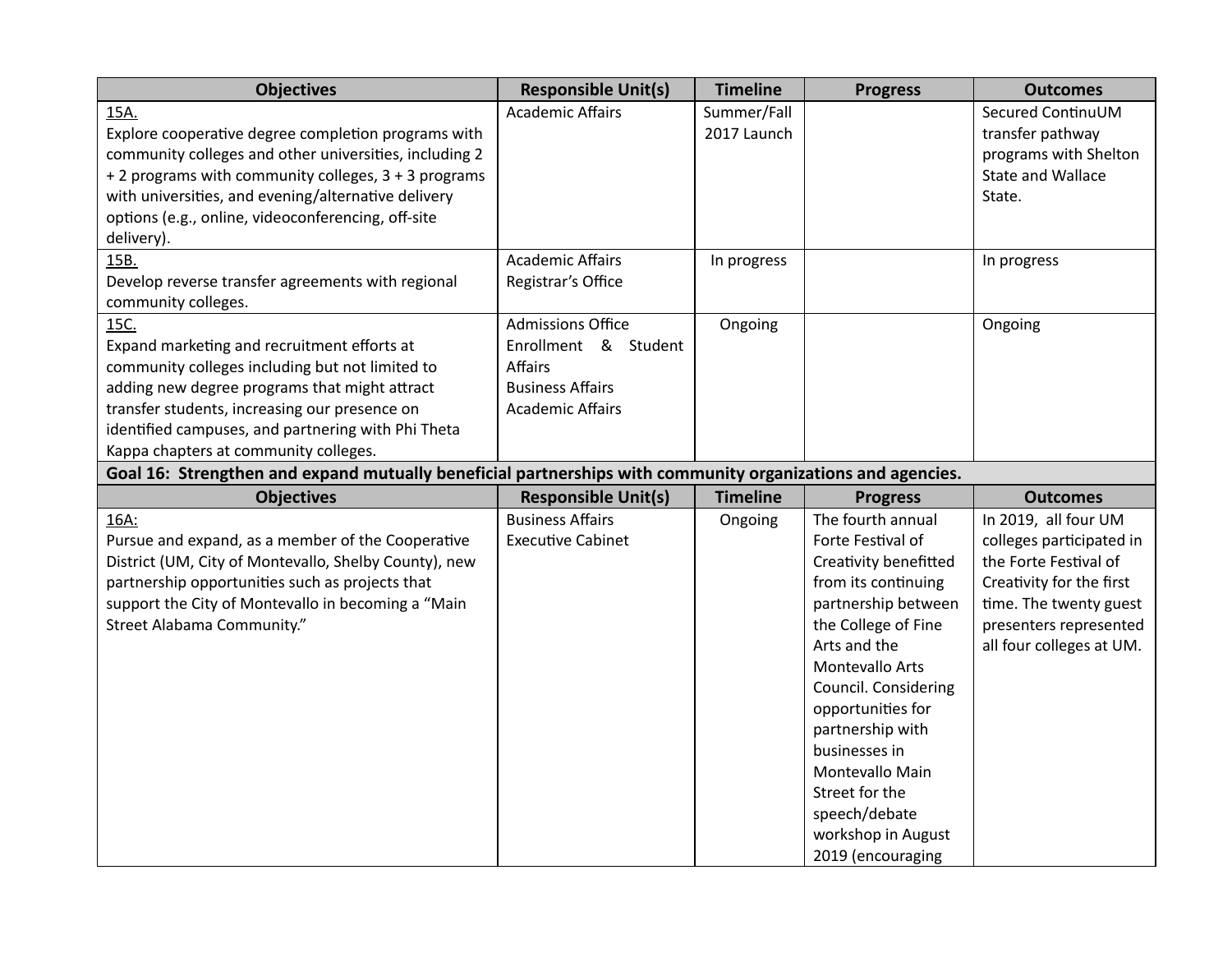| <b>Objectives</b>                                                                                          | <b>Responsible Unit(s)</b> | <b>Timeline</b> | <b>Progress</b>       | <b>Outcomes</b>          |
|------------------------------------------------------------------------------------------------------------|----------------------------|-----------------|-----------------------|--------------------------|
| 15A.                                                                                                       | <b>Academic Affairs</b>    | Summer/Fall     |                       | Secured ContinuUM        |
| Explore cooperative degree completion programs with                                                        |                            | 2017 Launch     |                       | transfer pathway         |
| community colleges and other universities, including 2                                                     |                            |                 |                       | programs with Shelton    |
| + 2 programs with community colleges, 3 + 3 programs                                                       |                            |                 |                       | State and Wallace        |
| with universities, and evening/alternative delivery                                                        |                            |                 |                       | State.                   |
| options (e.g., online, videoconferencing, off-site                                                         |                            |                 |                       |                          |
| delivery).                                                                                                 |                            |                 |                       |                          |
| 15B.                                                                                                       | <b>Academic Affairs</b>    | In progress     |                       | In progress              |
| Develop reverse transfer agreements with regional                                                          | Registrar's Office         |                 |                       |                          |
| community colleges.                                                                                        |                            |                 |                       |                          |
| 15C.                                                                                                       | <b>Admissions Office</b>   | Ongoing         |                       | Ongoing                  |
| Expand marketing and recruitment efforts at                                                                | Enrollment & Student       |                 |                       |                          |
| community colleges including but not limited to                                                            | <b>Affairs</b>             |                 |                       |                          |
| adding new degree programs that might attract                                                              | <b>Business Affairs</b>    |                 |                       |                          |
| transfer students, increasing our presence on                                                              | <b>Academic Affairs</b>    |                 |                       |                          |
| identified campuses, and partnering with Phi Theta                                                         |                            |                 |                       |                          |
| Kappa chapters at community colleges.                                                                      |                            |                 |                       |                          |
| Goal 16: Strengthen and expand mutually beneficial partnerships with community organizations and agencies. |                            |                 |                       |                          |
| <b>Objectives</b>                                                                                          | <b>Responsible Unit(s)</b> | <b>Timeline</b> | <b>Progress</b>       | <b>Outcomes</b>          |
| 16A:                                                                                                       | <b>Business Affairs</b>    | Ongoing         | The fourth annual     | In 2019, all four UM     |
| Pursue and expand, as a member of the Cooperative                                                          | <b>Executive Cabinet</b>   |                 | Forte Festival of     | colleges participated in |
| District (UM, City of Montevallo, Shelby County), new                                                      |                            |                 | Creativity benefitted | the Forte Festival of    |
| partnership opportunities such as projects that                                                            |                            |                 | from its continuing   | Creativity for the first |
| support the City of Montevallo in becoming a "Main                                                         |                            |                 | partnership between   | time. The twenty guest   |
| Street Alabama Community."                                                                                 |                            |                 | the College of Fine   | presenters represented   |
|                                                                                                            |                            |                 | Arts and the          | all four colleges at UM. |
|                                                                                                            |                            |                 | Montevallo Arts       |                          |
|                                                                                                            |                            |                 | Council. Considering  |                          |
|                                                                                                            |                            |                 | opportunities for     |                          |
|                                                                                                            |                            |                 | partnership with      |                          |
|                                                                                                            |                            |                 | businesses in         |                          |
|                                                                                                            |                            |                 | Montevallo Main       |                          |
|                                                                                                            |                            |                 | Street for the        |                          |
|                                                                                                            |                            |                 | speech/debate         |                          |
|                                                                                                            |                            |                 | workshop in August    |                          |
|                                                                                                            |                            |                 | 2019 (encouraging     |                          |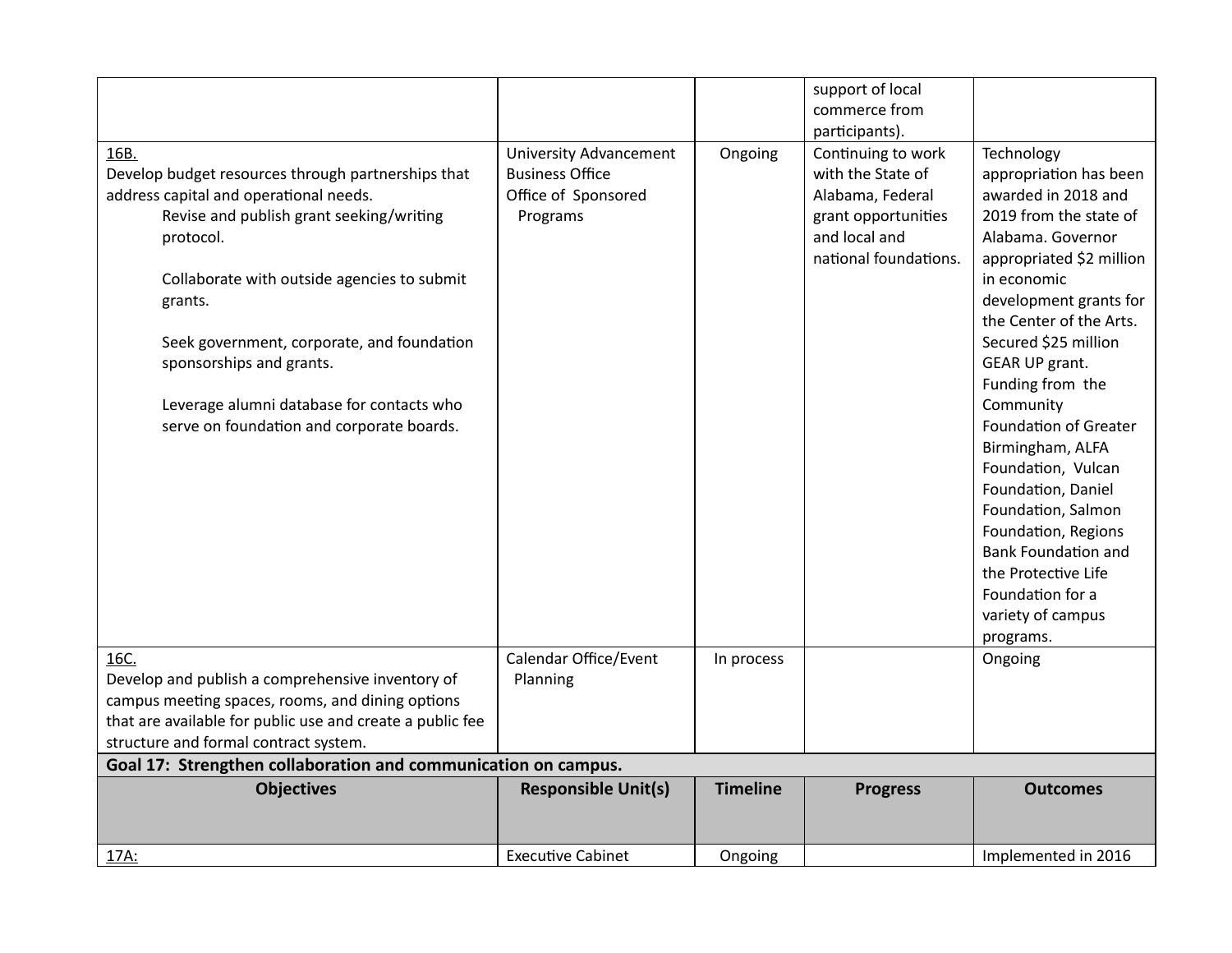|                                                                |                               |                 | support of local      |                              |
|----------------------------------------------------------------|-------------------------------|-----------------|-----------------------|------------------------------|
|                                                                |                               |                 | commerce from         |                              |
|                                                                |                               |                 | participants).        |                              |
| 16B.                                                           | <b>University Advancement</b> | Ongoing         | Continuing to work    | Technology                   |
| Develop budget resources through partnerships that             | <b>Business Office</b>        |                 | with the State of     | appropriation has been       |
| address capital and operational needs.                         | Office of Sponsored           |                 | Alabama, Federal      | awarded in 2018 and          |
| Revise and publish grant seeking/writing                       | Programs                      |                 | grant opportunities   | 2019 from the state of       |
| protocol.                                                      |                               |                 | and local and         | Alabama. Governor            |
|                                                                |                               |                 | national foundations. | appropriated \$2 million     |
| Collaborate with outside agencies to submit                    |                               |                 |                       | in economic                  |
| grants.                                                        |                               |                 |                       | development grants for       |
|                                                                |                               |                 |                       | the Center of the Arts.      |
| Seek government, corporate, and foundation                     |                               |                 |                       | Secured \$25 million         |
| sponsorships and grants.                                       |                               |                 |                       | GEAR UP grant.               |
|                                                                |                               |                 |                       | Funding from the             |
| Leverage alumni database for contacts who                      |                               |                 |                       | Community                    |
| serve on foundation and corporate boards.                      |                               |                 |                       | <b>Foundation of Greater</b> |
|                                                                |                               |                 |                       | Birmingham, ALFA             |
|                                                                |                               |                 |                       | Foundation, Vulcan           |
|                                                                |                               |                 |                       | Foundation, Daniel           |
|                                                                |                               |                 |                       | Foundation, Salmon           |
|                                                                |                               |                 |                       | Foundation, Regions          |
|                                                                |                               |                 |                       | <b>Bank Foundation and</b>   |
|                                                                |                               |                 |                       | the Protective Life          |
|                                                                |                               |                 |                       | Foundation for a             |
|                                                                |                               |                 |                       | variety of campus            |
|                                                                |                               |                 |                       | programs.                    |
| 16C.                                                           | Calendar Office/Event         | In process      |                       | Ongoing                      |
| Develop and publish a comprehensive inventory of               | Planning                      |                 |                       |                              |
| campus meeting spaces, rooms, and dining options               |                               |                 |                       |                              |
| that are available for public use and create a public fee      |                               |                 |                       |                              |
| structure and formal contract system.                          |                               |                 |                       |                              |
| Goal 17: Strengthen collaboration and communication on campus. |                               |                 |                       |                              |
| <b>Objectives</b>                                              | <b>Responsible Unit(s)</b>    | <b>Timeline</b> | <b>Progress</b>       | <b>Outcomes</b>              |
|                                                                |                               |                 |                       |                              |
|                                                                |                               |                 |                       |                              |
| 17A:                                                           | <b>Executive Cabinet</b>      | Ongoing         |                       | Implemented in 2016          |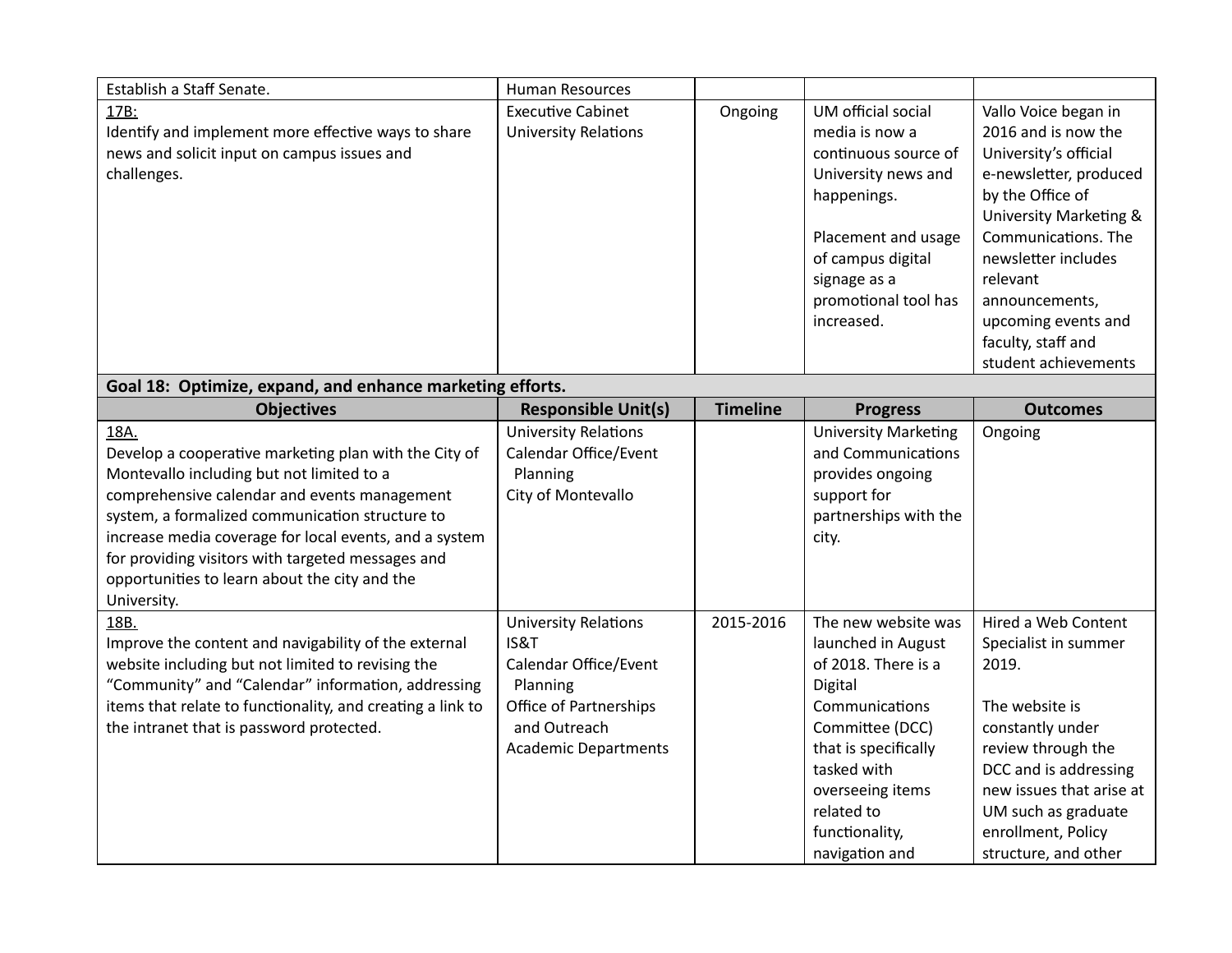| Establish a Staff Senate.                                                                                                                                                                                                                                                                                                                                                                    | Human Resources                                                                                                                                   |                 |                                                                                                                                                                                                                               |                                                                                                                                                                                                                                                                                                          |
|----------------------------------------------------------------------------------------------------------------------------------------------------------------------------------------------------------------------------------------------------------------------------------------------------------------------------------------------------------------------------------------------|---------------------------------------------------------------------------------------------------------------------------------------------------|-----------------|-------------------------------------------------------------------------------------------------------------------------------------------------------------------------------------------------------------------------------|----------------------------------------------------------------------------------------------------------------------------------------------------------------------------------------------------------------------------------------------------------------------------------------------------------|
| 17B:<br>Identify and implement more effective ways to share<br>news and solicit input on campus issues and<br>challenges.                                                                                                                                                                                                                                                                    | <b>Executive Cabinet</b><br><b>University Relations</b>                                                                                           | Ongoing         | UM official social<br>media is now a<br>continuous source of<br>University news and<br>happenings.<br>Placement and usage<br>of campus digital<br>signage as a<br>promotional tool has<br>increased.                          | Vallo Voice began in<br>2016 and is now the<br>University's official<br>e-newsletter, produced<br>by the Office of<br><b>University Marketing &amp;</b><br>Communications. The<br>newsletter includes<br>relevant<br>announcements,<br>upcoming events and<br>faculty, staff and<br>student achievements |
| Goal 18: Optimize, expand, and enhance marketing efforts.                                                                                                                                                                                                                                                                                                                                    |                                                                                                                                                   |                 |                                                                                                                                                                                                                               |                                                                                                                                                                                                                                                                                                          |
| <b>Objectives</b>                                                                                                                                                                                                                                                                                                                                                                            | <b>Responsible Unit(s)</b>                                                                                                                        | <b>Timeline</b> | <b>Progress</b>                                                                                                                                                                                                               | <b>Outcomes</b>                                                                                                                                                                                                                                                                                          |
| 18A.<br>Develop a cooperative marketing plan with the City of<br>Montevallo including but not limited to a<br>comprehensive calendar and events management<br>system, a formalized communication structure to<br>increase media coverage for local events, and a system<br>for providing visitors with targeted messages and<br>opportunities to learn about the city and the<br>University. | <b>University Relations</b><br>Calendar Office/Event<br>Planning<br>City of Montevallo                                                            |                 | <b>University Marketing</b><br>and Communications<br>provides ongoing<br>support for<br>partnerships with the<br>city.                                                                                                        | Ongoing                                                                                                                                                                                                                                                                                                  |
| 18B.<br>Improve the content and navigability of the external<br>website including but not limited to revising the<br>"Community" and "Calendar" information, addressing<br>items that relate to functionality, and creating a link to<br>the intranet that is password protected.                                                                                                            | <b>University Relations</b><br>IS&T<br>Calendar Office/Event<br>Planning<br>Office of Partnerships<br>and Outreach<br><b>Academic Departments</b> | 2015-2016       | The new website was<br>launched in August<br>of 2018. There is a<br>Digital<br>Communications<br>Committee (DCC)<br>that is specifically<br>tasked with<br>overseeing items<br>related to<br>functionality,<br>navigation and | Hired a Web Content<br>Specialist in summer<br>2019.<br>The website is<br>constantly under<br>review through the<br>DCC and is addressing<br>new issues that arise at<br>UM such as graduate<br>enrollment, Policy<br>structure, and other                                                               |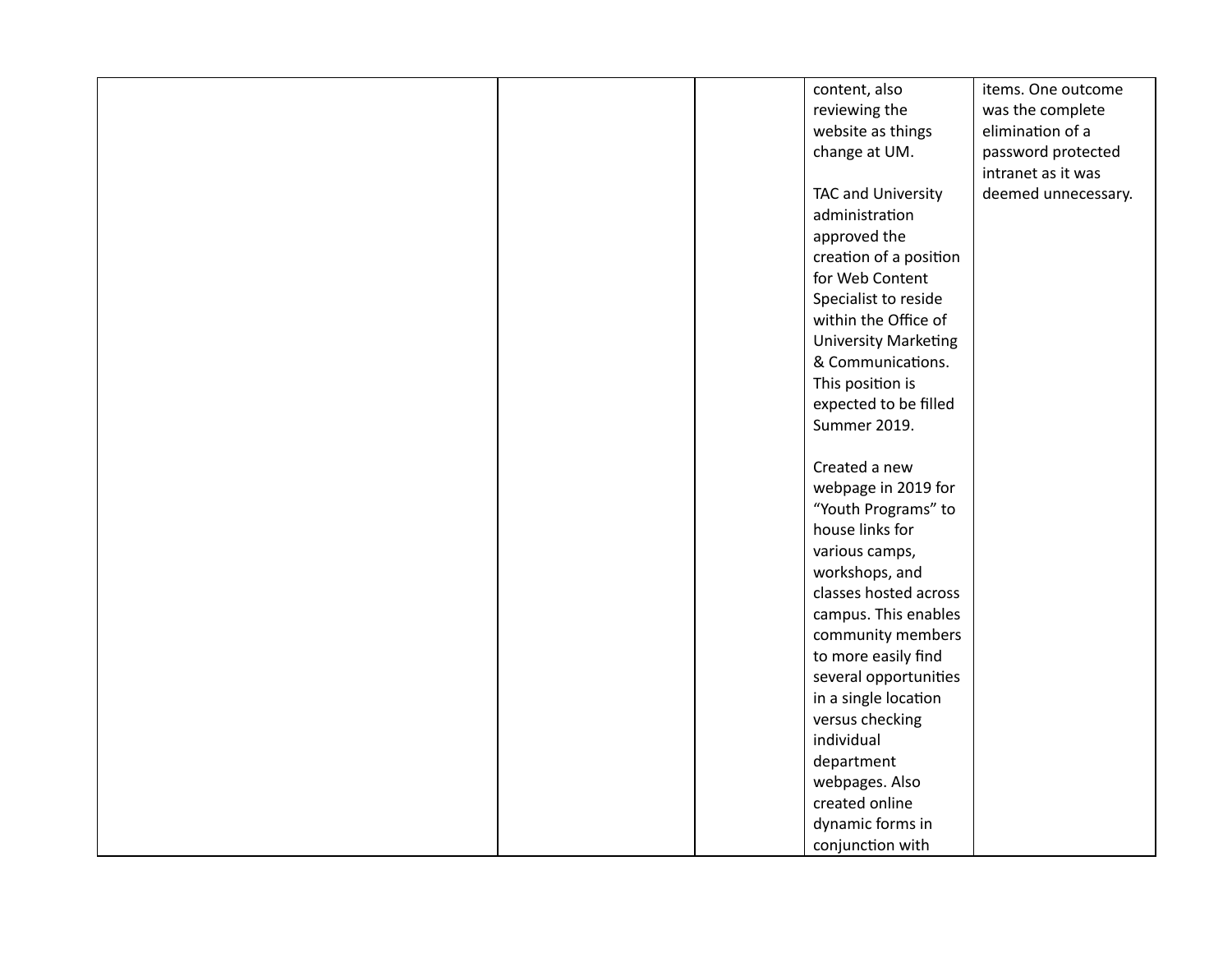|  | content, also               | items. One outcome  |
|--|-----------------------------|---------------------|
|  | reviewing the               | was the complete    |
|  | website as things           | elimination of a    |
|  | change at UM.               | password protected  |
|  |                             | intranet as it was  |
|  | TAC and University          | deemed unnecessary. |
|  | administration              |                     |
|  | approved the                |                     |
|  | creation of a position      |                     |
|  | for Web Content             |                     |
|  | Specialist to reside        |                     |
|  | within the Office of        |                     |
|  | <b>University Marketing</b> |                     |
|  | & Communications.           |                     |
|  | This position is            |                     |
|  | expected to be filled       |                     |
|  | Summer 2019.                |                     |
|  |                             |                     |
|  | Created a new               |                     |
|  | webpage in 2019 for         |                     |
|  | "Youth Programs" to         |                     |
|  | house links for             |                     |
|  | various camps,              |                     |
|  | workshops, and              |                     |
|  | classes hosted across       |                     |
|  | campus. This enables        |                     |
|  | community members           |                     |
|  | to more easily find         |                     |
|  | several opportunities       |                     |
|  | in a single location        |                     |
|  | versus checking             |                     |
|  | individual                  |                     |
|  | department                  |                     |
|  | webpages. Also              |                     |
|  | created online              |                     |
|  | dynamic forms in            |                     |
|  | conjunction with            |                     |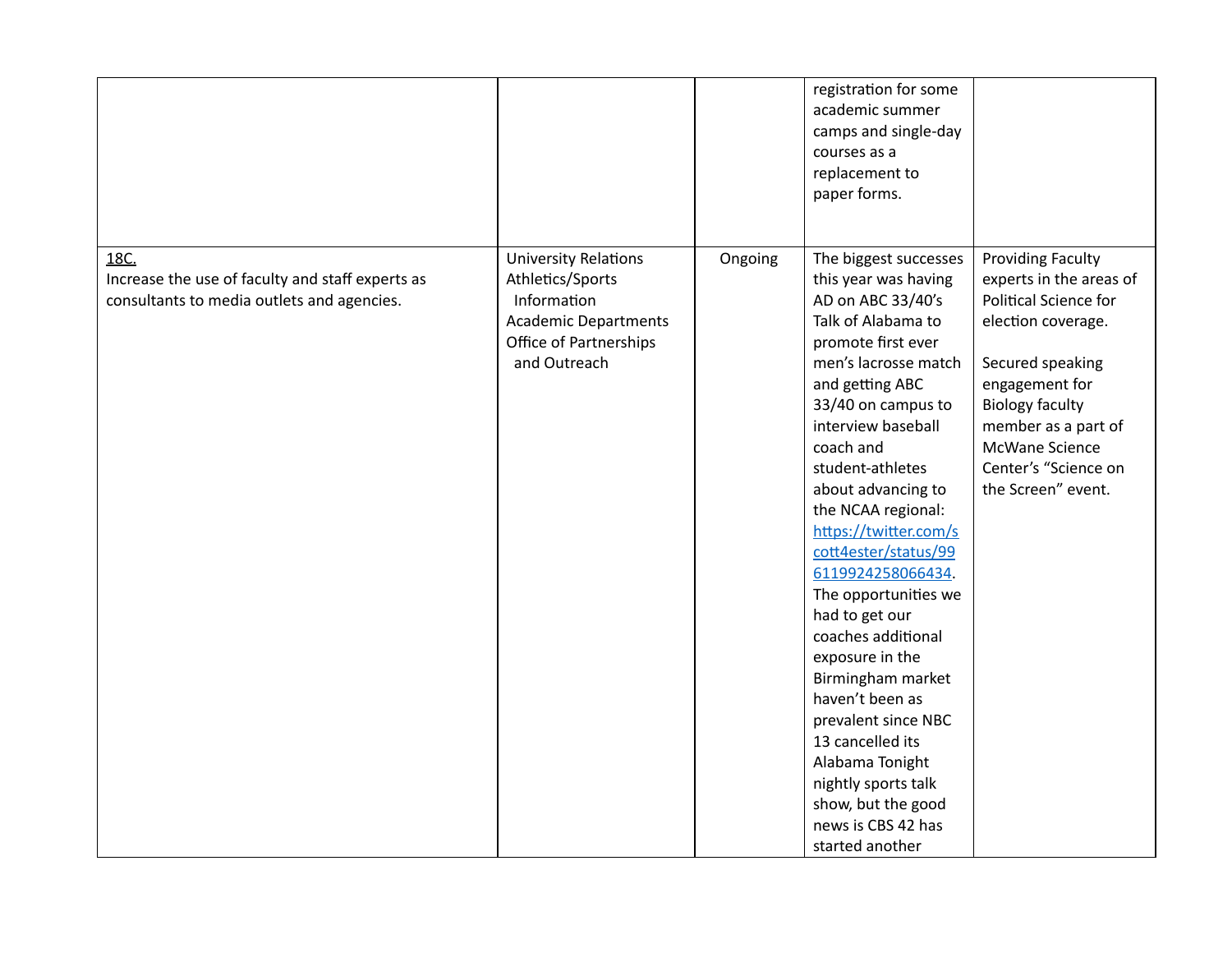|                                                                                                        |                                                                                                                                         |         | registration for some<br>academic summer<br>camps and single-day<br>courses as a<br>replacement to<br>paper forms.                                                                                                                                                                                                                                                                                                                                                                                                                                                                                                                      |                                                                                                                                                                                                                                                                  |
|--------------------------------------------------------------------------------------------------------|-----------------------------------------------------------------------------------------------------------------------------------------|---------|-----------------------------------------------------------------------------------------------------------------------------------------------------------------------------------------------------------------------------------------------------------------------------------------------------------------------------------------------------------------------------------------------------------------------------------------------------------------------------------------------------------------------------------------------------------------------------------------------------------------------------------------|------------------------------------------------------------------------------------------------------------------------------------------------------------------------------------------------------------------------------------------------------------------|
| 18C.<br>Increase the use of faculty and staff experts as<br>consultants to media outlets and agencies. | <b>University Relations</b><br>Athletics/Sports<br>Information<br><b>Academic Departments</b><br>Office of Partnerships<br>and Outreach | Ongoing | The biggest successes<br>this year was having<br>AD on ABC 33/40's<br>Talk of Alabama to<br>promote first ever<br>men's lacrosse match<br>and getting ABC<br>33/40 on campus to<br>interview baseball<br>coach and<br>student-athletes<br>about advancing to<br>the NCAA regional:<br>https://twitter.com/s<br>cott4ester/status/99<br>6119924258066434.<br>The opportunities we<br>had to get our<br>coaches additional<br>exposure in the<br>Birmingham market<br>haven't been as<br>prevalent since NBC<br>13 cancelled its<br>Alabama Tonight<br>nightly sports talk<br>show, but the good<br>news is CBS 42 has<br>started another | <b>Providing Faculty</b><br>experts in the areas of<br><b>Political Science for</b><br>election coverage.<br>Secured speaking<br>engagement for<br><b>Biology faculty</b><br>member as a part of<br>McWane Science<br>Center's "Science on<br>the Screen" event. |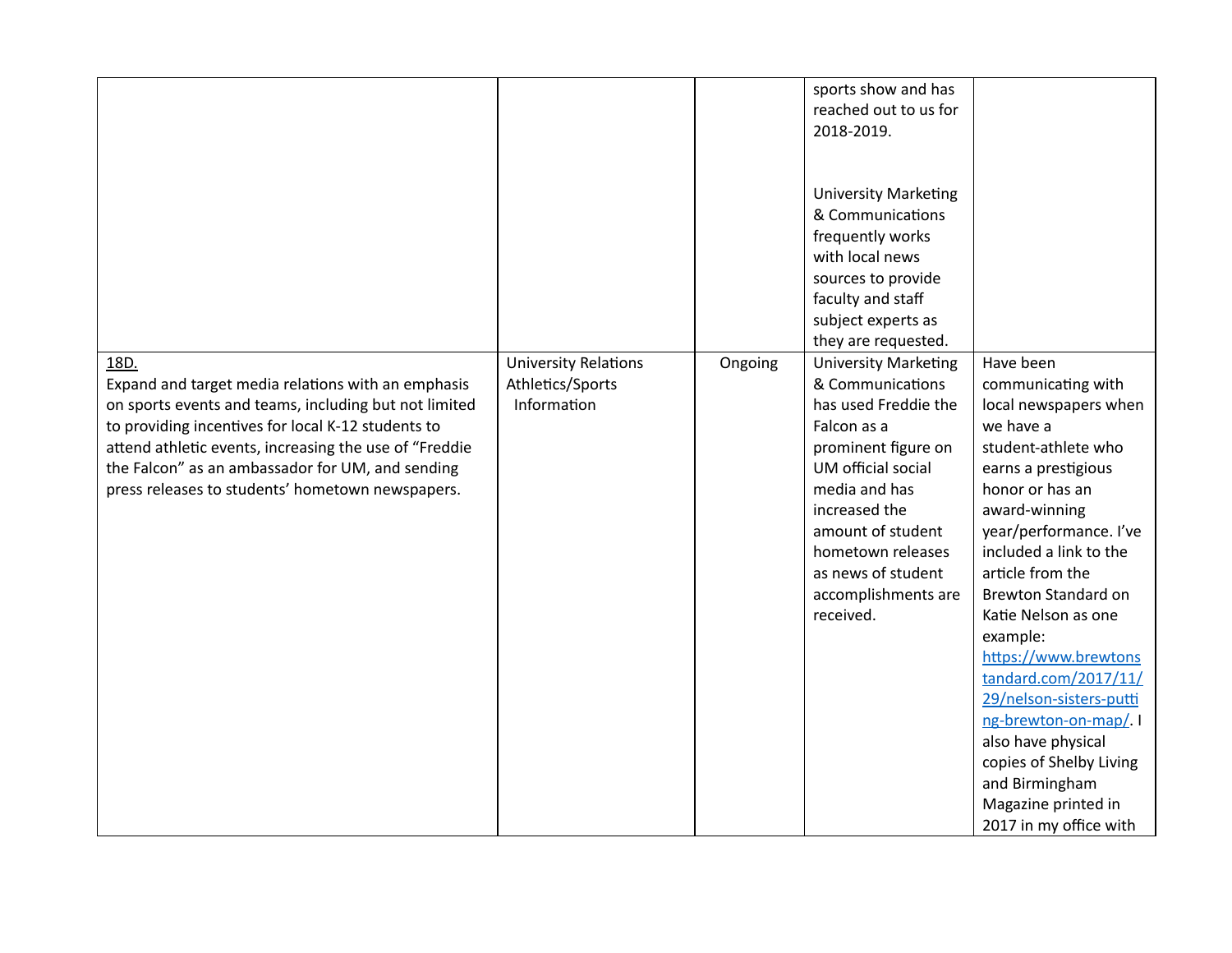|                                                                                                                                                                                                                                                                                                                                             |                                                                |         | sports show and has<br>reached out to us for<br>2018-2019.<br><b>University Marketing</b><br>& Communications<br>frequently works<br>with local news<br>sources to provide<br>faculty and staff<br>subject experts as<br>they are requested.                              |                                                                                                                                                                                                                                                                                                                                                                                                                                                                                                                       |
|---------------------------------------------------------------------------------------------------------------------------------------------------------------------------------------------------------------------------------------------------------------------------------------------------------------------------------------------|----------------------------------------------------------------|---------|---------------------------------------------------------------------------------------------------------------------------------------------------------------------------------------------------------------------------------------------------------------------------|-----------------------------------------------------------------------------------------------------------------------------------------------------------------------------------------------------------------------------------------------------------------------------------------------------------------------------------------------------------------------------------------------------------------------------------------------------------------------------------------------------------------------|
| 18D.<br>Expand and target media relations with an emphasis<br>on sports events and teams, including but not limited<br>to providing incentives for local K-12 students to<br>attend athletic events, increasing the use of "Freddie<br>the Falcon" as an ambassador for UM, and sending<br>press releases to students' hometown newspapers. | <b>University Relations</b><br>Athletics/Sports<br>Information | Ongoing | <b>University Marketing</b><br>& Communications<br>has used Freddie the<br>Falcon as a<br>prominent figure on<br>UM official social<br>media and has<br>increased the<br>amount of student<br>hometown releases<br>as news of student<br>accomplishments are<br>received. | Have been<br>communicating with<br>local newspapers when<br>we have a<br>student-athlete who<br>earns a prestigious<br>honor or has an<br>award-winning<br>year/performance. I've<br>included a link to the<br>article from the<br><b>Brewton Standard on</b><br>Katie Nelson as one<br>example:<br>https://www.brewtons<br>tandard.com/2017/11/<br>29/nelson-sisters-putti<br>ng-brewton-on-map/<br>also have physical<br>copies of Shelby Living<br>and Birmingham<br>Magazine printed in<br>2017 in my office with |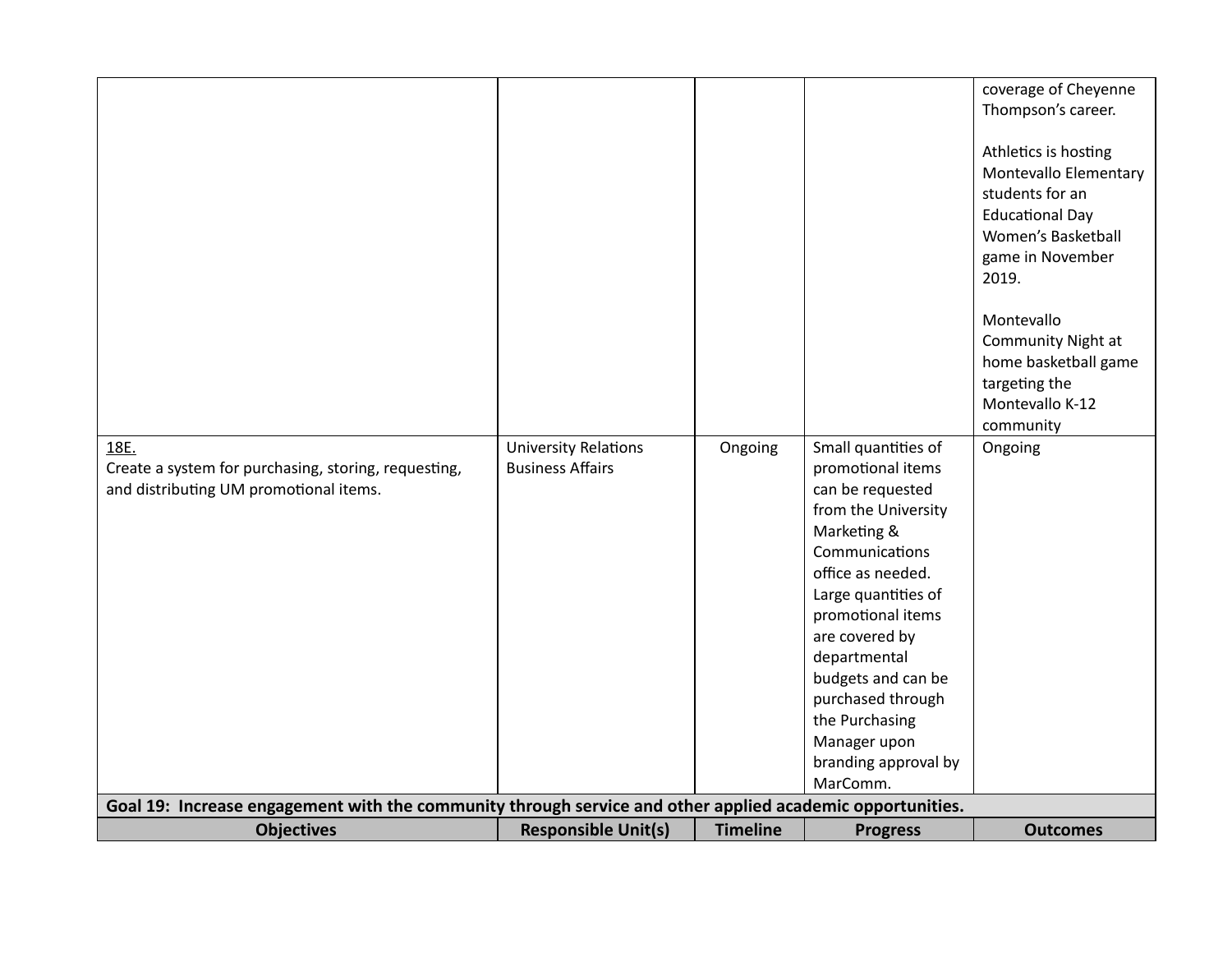| 18E.<br>Create a system for purchasing, storing, requesting,<br>and distributing UM promotional items.                         | <b>University Relations</b><br><b>Business Affairs</b> | Ongoing         | Small quantities of<br>promotional items<br>can be requested<br>from the University<br>Marketing &<br>Communications<br>office as needed.<br>Large quantities of<br>promotional items<br>are covered by<br>departmental<br>budgets and can be<br>purchased through<br>the Purchasing<br>Manager upon<br>branding approval by<br>MarComm. | coverage of Cheyenne<br>Thompson's career.<br>Athletics is hosting<br>Montevallo Elementary<br>students for an<br><b>Educational Day</b><br>Women's Basketball<br>game in November<br>2019.<br>Montevallo<br>Community Night at<br>home basketball game<br>targeting the<br>Montevallo K-12<br>community<br>Ongoing |
|--------------------------------------------------------------------------------------------------------------------------------|--------------------------------------------------------|-----------------|------------------------------------------------------------------------------------------------------------------------------------------------------------------------------------------------------------------------------------------------------------------------------------------------------------------------------------------|---------------------------------------------------------------------------------------------------------------------------------------------------------------------------------------------------------------------------------------------------------------------------------------------------------------------|
| Goal 19: Increase engagement with the community through service and other applied academic opportunities.<br><b>Objectives</b> | <b>Responsible Unit(s)</b>                             | <b>Timeline</b> | <b>Progress</b>                                                                                                                                                                                                                                                                                                                          | <b>Outcomes</b>                                                                                                                                                                                                                                                                                                     |
|                                                                                                                                |                                                        |                 |                                                                                                                                                                                                                                                                                                                                          |                                                                                                                                                                                                                                                                                                                     |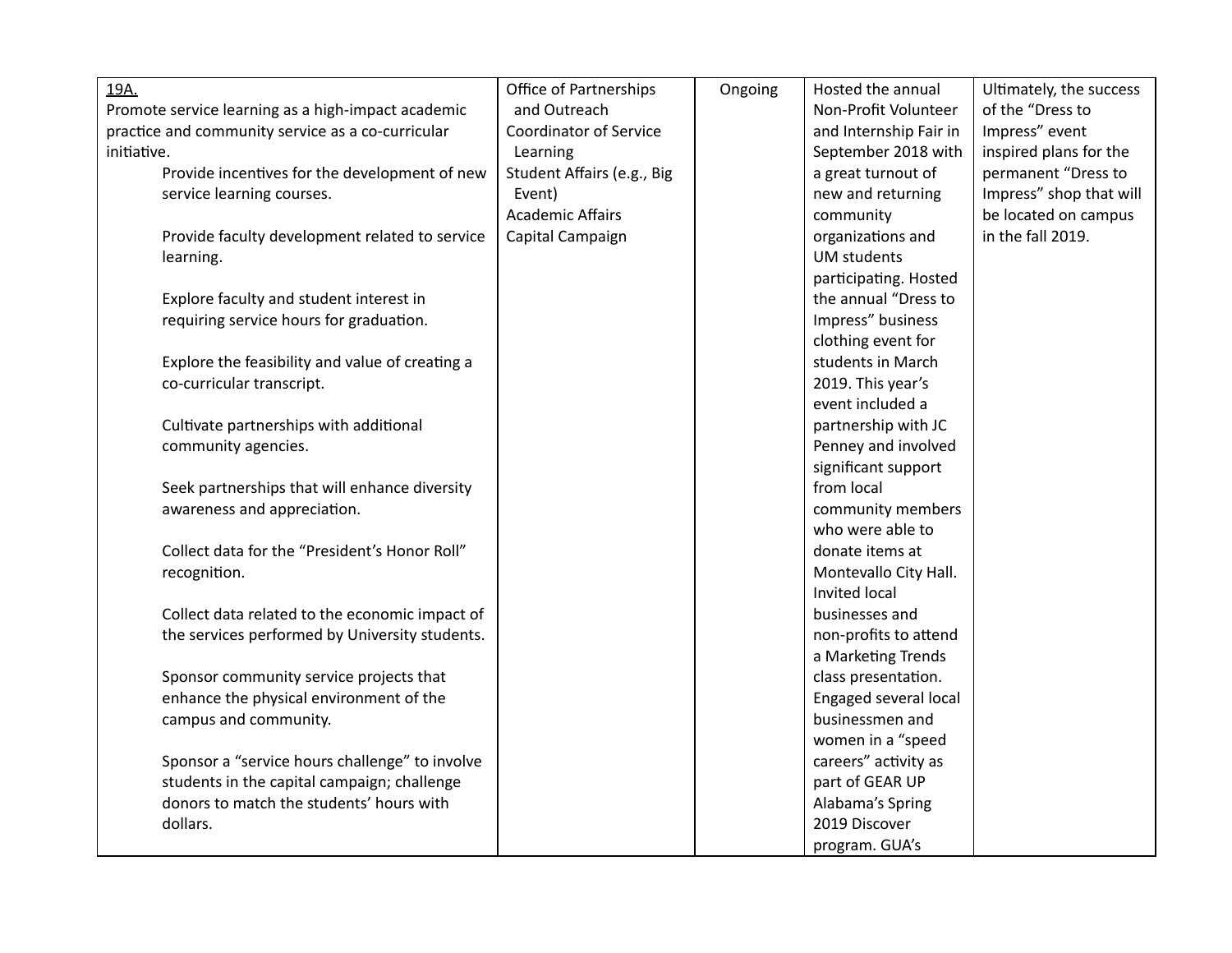| 19A.                                               | Office of Partnerships        | Ongoing | Hosted the annual      | Ultimately, the success |
|----------------------------------------------------|-------------------------------|---------|------------------------|-------------------------|
| Promote service learning as a high-impact academic | and Outreach                  |         | Non-Profit Volunteer   | of the "Dress to        |
| practice and community service as a co-curricular  | <b>Coordinator of Service</b> |         | and Internship Fair in | Impress" event          |
| initiative.                                        | Learning                      |         | September 2018 with    | inspired plans for the  |
| Provide incentives for the development of new      | Student Affairs (e.g., Big    |         | a great turnout of     | permanent "Dress to     |
| service learning courses.                          | Event)                        |         | new and returning      | Impress" shop that will |
|                                                    | <b>Academic Affairs</b>       |         | community              | be located on campus    |
| Provide faculty development related to service     | Capital Campaign              |         | organizations and      | in the fall 2019.       |
| learning.                                          |                               |         | <b>UM</b> students     |                         |
|                                                    |                               |         | participating. Hosted  |                         |
| Explore faculty and student interest in            |                               |         | the annual "Dress to   |                         |
| requiring service hours for graduation.            |                               |         | Impress" business      |                         |
|                                                    |                               |         | clothing event for     |                         |
| Explore the feasibility and value of creating a    |                               |         | students in March      |                         |
| co-curricular transcript.                          |                               |         | 2019. This year's      |                         |
|                                                    |                               |         | event included a       |                         |
| Cultivate partnerships with additional             |                               |         | partnership with JC    |                         |
| community agencies.                                |                               |         | Penney and involved    |                         |
|                                                    |                               |         | significant support    |                         |
| Seek partnerships that will enhance diversity      |                               |         | from local             |                         |
| awareness and appreciation.                        |                               |         | community members      |                         |
|                                                    |                               |         | who were able to       |                         |
| Collect data for the "President's Honor Roll"      |                               |         | donate items at        |                         |
| recognition.                                       |                               |         | Montevallo City Hall.  |                         |
|                                                    |                               |         | Invited local          |                         |
| Collect data related to the economic impact of     |                               |         | businesses and         |                         |
| the services performed by University students.     |                               |         | non-profits to attend  |                         |
|                                                    |                               |         | a Marketing Trends     |                         |
| Sponsor community service projects that            |                               |         | class presentation.    |                         |
| enhance the physical environment of the            |                               |         | Engaged several local  |                         |
| campus and community.                              |                               |         | businessmen and        |                         |
|                                                    |                               |         | women in a "speed      |                         |
| Sponsor a "service hours challenge" to involve     |                               |         | careers" activity as   |                         |
| students in the capital campaign; challenge        |                               |         | part of GEAR UP        |                         |
| donors to match the students' hours with           |                               |         | Alabama's Spring       |                         |
| dollars.                                           |                               |         | 2019 Discover          |                         |
|                                                    |                               |         | program. GUA's         |                         |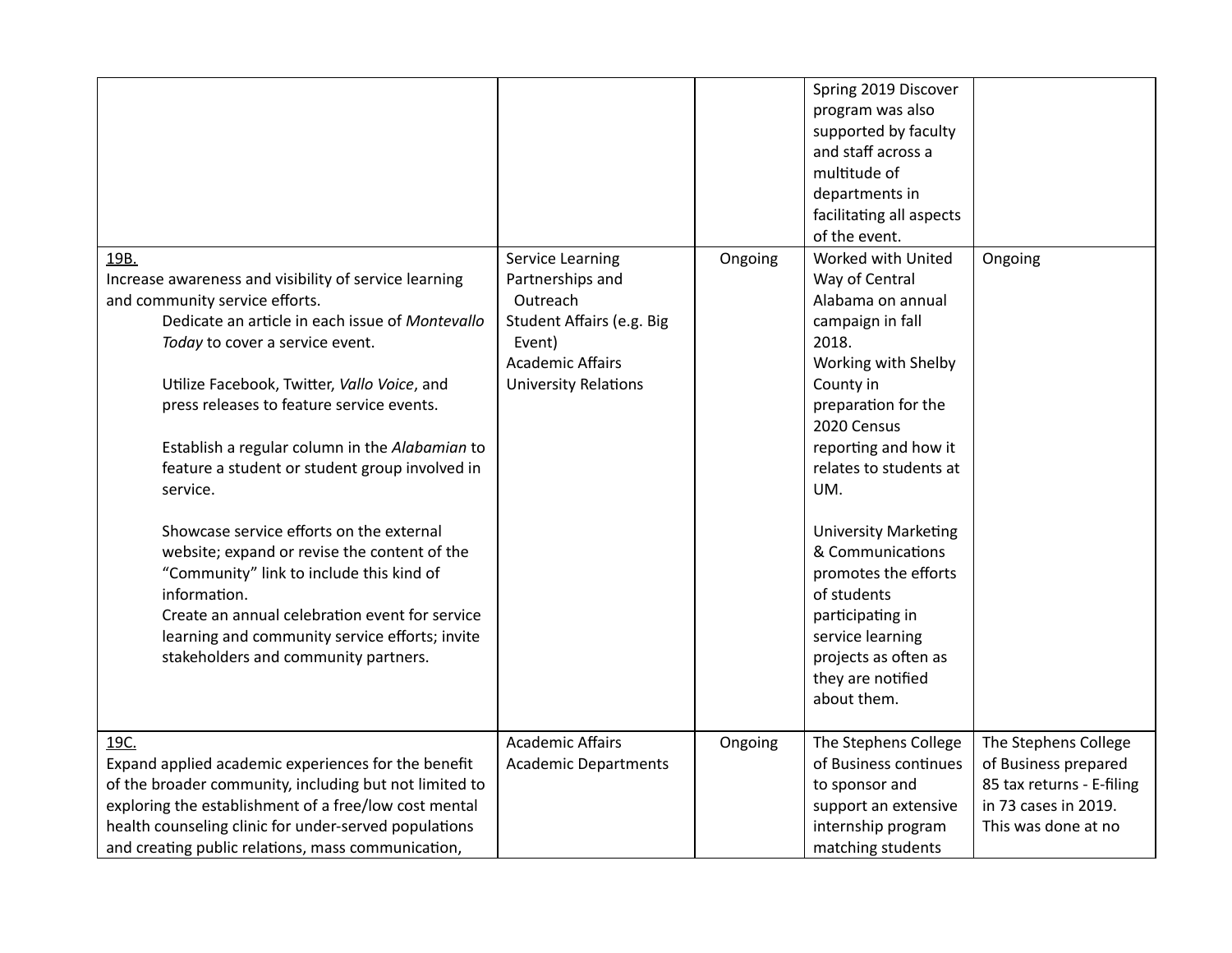|                                                        |                             |         | Spring 2019 Discover        |                           |
|--------------------------------------------------------|-----------------------------|---------|-----------------------------|---------------------------|
|                                                        |                             |         | program was also            |                           |
|                                                        |                             |         | supported by faculty        |                           |
|                                                        |                             |         | and staff across a          |                           |
|                                                        |                             |         | multitude of                |                           |
|                                                        |                             |         | departments in              |                           |
|                                                        |                             |         | facilitating all aspects    |                           |
|                                                        |                             |         | of the event.               |                           |
| 19B.                                                   | Service Learning            | Ongoing | Worked with United          | Ongoing                   |
| Increase awareness and visibility of service learning  | Partnerships and            |         | Way of Central              |                           |
| and community service efforts.                         | Outreach                    |         | Alabama on annual           |                           |
| Dedicate an article in each issue of Montevallo        | Student Affairs (e.g. Big   |         | campaign in fall            |                           |
| Today to cover a service event.                        | Event)                      |         | 2018.                       |                           |
|                                                        | <b>Academic Affairs</b>     |         | Working with Shelby         |                           |
| Utilize Facebook, Twitter, Vallo Voice, and            | <b>University Relations</b> |         | County in                   |                           |
| press releases to feature service events.              |                             |         | preparation for the         |                           |
|                                                        |                             |         | 2020 Census                 |                           |
| Establish a regular column in the Alabamian to         |                             |         | reporting and how it        |                           |
| feature a student or student group involved in         |                             |         | relates to students at      |                           |
| service.                                               |                             |         | UM.                         |                           |
|                                                        |                             |         |                             |                           |
| Showcase service efforts on the external               |                             |         | <b>University Marketing</b> |                           |
| website; expand or revise the content of the           |                             |         | & Communications            |                           |
| "Community" link to include this kind of               |                             |         | promotes the efforts        |                           |
| information.                                           |                             |         | of students                 |                           |
| Create an annual celebration event for service         |                             |         | participating in            |                           |
| learning and community service efforts; invite         |                             |         | service learning            |                           |
| stakeholders and community partners.                   |                             |         | projects as often as        |                           |
|                                                        |                             |         | they are notified           |                           |
|                                                        |                             |         | about them.                 |                           |
|                                                        |                             |         |                             |                           |
| 19C.                                                   | <b>Academic Affairs</b>     | Ongoing | The Stephens College        | The Stephens College      |
| Expand applied academic experiences for the benefit    | <b>Academic Departments</b> |         | of Business continues       | of Business prepared      |
| of the broader community, including but not limited to |                             |         | to sponsor and              | 85 tax returns - E-filing |
| exploring the establishment of a free/low cost mental  |                             |         | support an extensive        | in 73 cases in 2019.      |
| health counseling clinic for under-served populations  |                             |         | internship program          | This was done at no       |
| and creating public relations, mass communication,     |                             |         | matching students           |                           |
|                                                        |                             |         |                             |                           |